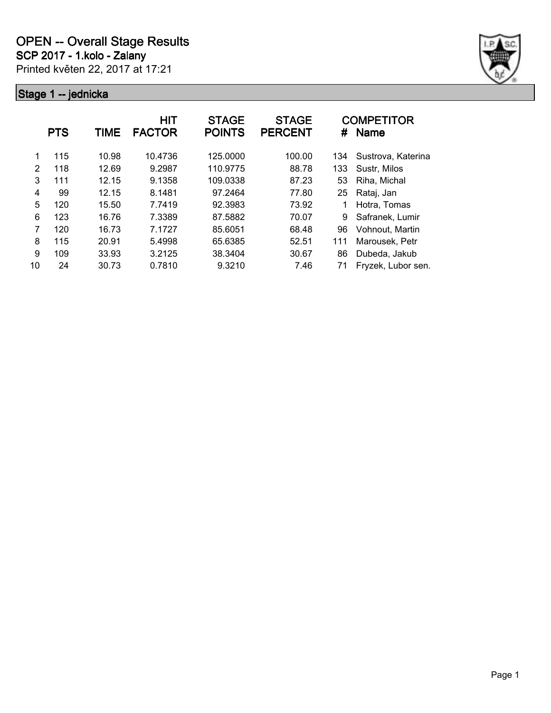

|               | <b>PTS</b> | <b>TIME</b> | <b>HIT</b><br><b>FACTOR</b> | <b>STAGE</b><br><b>POINTS</b> | <b>STAGE</b><br><b>PERCENT</b> | #   | <b>COMPETITOR</b><br><b>Name</b> |
|---------------|------------|-------------|-----------------------------|-------------------------------|--------------------------------|-----|----------------------------------|
| 1             | 115        | 10.98       | 10.4736                     | 125.0000                      | 100.00                         | 134 | Sustrova, Katerina               |
| $\mathcal{P}$ | 118        | 12.69       | 9.2987                      | 110.9775                      | 88.78                          | 133 | Sustr, Milos                     |
| 3             | 111        | 12.15       | 9.1358                      | 109.0338                      | 87.23                          | 53  | Riha, Michal                     |
| 4             | 99         | 12.15       | 8.1481                      | 97.2464                       | 77.80                          | 25  | Rataj, Jan                       |
| 5             | 120        | 15.50       | 7.7419                      | 92.3983                       | 73.92                          |     | Hotra, Tomas                     |
| 6             | 123        | 16.76       | 7.3389                      | 87.5882                       | 70.07                          | 9   | Safranek, Lumir                  |
| 7             | 120        | 16.73       | 7.1727                      | 85.6051                       | 68.48                          | 96  | Vohnout. Martin                  |
| 8             | 115        | 20.91       | 5.4998                      | 65.6385                       | 52.51                          | 111 | Marousek, Petr                   |
| 9             | 109        | 33.93       | 3.2125                      | 38.3404                       | 30.67                          | 86  | Dubeda, Jakub                    |
| 10            | 24         | 30.73       | 0.7810                      | 9.3210                        | 7.46                           | 71  | Fryzek, Lubor sen.               |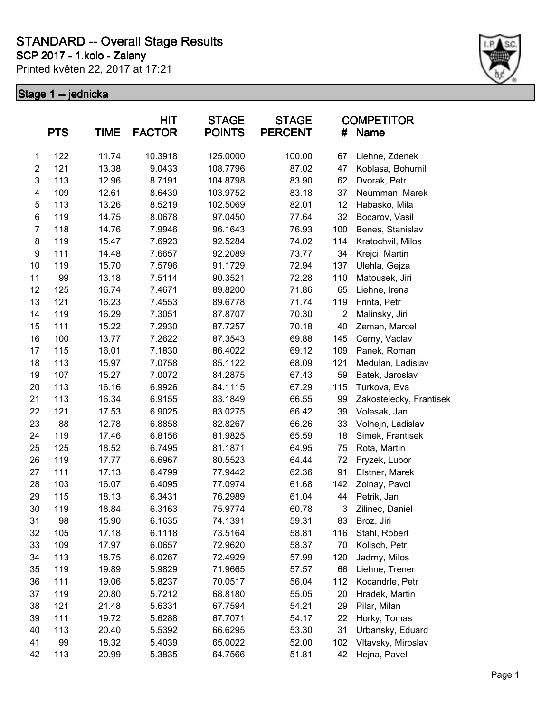**SCP 2017 - 1.kolo - Zalany**

Printed květen 22, 2017 at 17:21



|                | <b>PTS</b> | <b>TIME</b> | <b>HIT</b><br><b>FACTOR</b> | <b>STAGE</b><br><b>POINTS</b> | <b>STAGE</b><br><b>PERCENT</b> | #              | <b>COMPETITOR</b><br><b>Name</b> |
|----------------|------------|-------------|-----------------------------|-------------------------------|--------------------------------|----------------|----------------------------------|
| 1              | 122        | 11.74       | 10.3918                     | 125.0000                      | 100.00                         | 67             | Liehne, Zdenek                   |
| $\overline{c}$ | 121        | 13.38       | 9.0433                      | 108.7796                      | 87.02                          | 47             | Koblasa, Bohumil                 |
| $\mathsf 3$    | 113        | 12.96       | 8.7191                      | 104.8798                      | 83.90                          | 62             | Dvorak, Petr                     |
| 4              | 109        | 12.61       | 8.6439                      | 103.9752                      | 83.18                          | 37             | Neumman, Marek                   |
| $\mathbf 5$    | 113        | 13.26       | 8.5219                      | 102.5069                      | 82.01                          | 12             | Habasko, Mila                    |
| 6              | 119        | 14.75       | 8.0678                      | 97.0450                       | 77.64                          | 32             | Bocarov, Vasil                   |
| $\overline{7}$ | 118        | 14.76       | 7.9946                      | 96.1643                       | 76.93                          | 100            | Benes, Stanislav                 |
| 8              | 119        | 15.47       | 7.6923                      | 92.5284                       | 74.02                          | 114            | Kratochvil, Milos                |
| 9              | 111        | 14.48       | 7.6657                      | 92.2089                       | 73.77                          | 34             | Krejci, Martin                   |
| 10             | 119        | 15.70       | 7.5796                      | 91.1729                       | 72.94                          | 137            | Ulehla, Gejza                    |
| 11             | 99         | 13.18       | 7.5114                      | 90.3521                       | 72.28                          | 110            | Matousek, Jiri                   |
| 12             | 125        | 16.74       | 7.4671                      | 89.8200                       | 71.86                          | 65             | Liehne, Irena                    |
| 13             | 121        | 16.23       | 7.4553                      | 89.6778                       | 71.74                          | 119            | Frinta, Petr                     |
| 14             | 119        | 16.29       | 7.3051                      | 87.8707                       | 70.30                          | $\overline{2}$ | Malinsky, Jiri                   |
| 15             | 111        | 15.22       | 7.2930                      | 87.7257                       | 70.18                          | 40             | Zeman, Marcel                    |
| 16             | 100        | 13.77       | 7.2622                      | 87.3543                       | 69.88                          | 145            | Cerny, Vaclav                    |
| 17             | 115        | 16.01       | 7.1830                      | 86.4022                       | 69.12                          | 109            | Panek, Roman                     |
| 18             | 113        | 15.97       | 7.0758                      | 85.1122                       | 68.09                          | 121            | Medulan, Ladislav                |
| 19             | 107        | 15.27       | 7.0072                      | 84.2875                       | 67.43                          | 59             | Batek, Jaroslav                  |
| 20             | 113        | 16.16       | 6.9926                      | 84.1115                       | 67.29                          | 115            | Turkova, Eva                     |
| 21             | 113        | 16.34       | 6.9155                      | 83.1849                       | 66.55                          | 99             | Zakostelecky, Frantisek          |
| 22             | 121        | 17.53       | 6.9025                      | 83.0275                       | 66.42                          | 39             | Volesak, Jan                     |
| 23             | 88         | 12.78       | 6.8858                      | 82.8267                       | 66.26                          | 33             | Volhejn, Ladislav                |
| 24             | 119        | 17.46       | 6.8156                      | 81.9825                       | 65.59                          | 18             | Simek, Frantisek                 |
| 25             | 125        | 18.52       | 6.7495                      | 81.1871                       | 64.95                          | 75             | Rota, Martin                     |
| 26             | 119        | 17.77       | 6.6967                      | 80.5523                       | 64.44                          | 72             | Fryzek, Lubor                    |
| 27             | 111        | 17.13       | 6.4799                      | 77.9442                       | 62.36                          | 91             | Elstner, Marek                   |
| 28             | 103        | 16.07       | 6.4095                      | 77.0974                       | 61.68                          | 142            | Zolnay, Pavol                    |
| 29             | 115        | 18.13       | 6.3431                      | 76.2989                       | 61.04                          | 44             | Petrik, Jan                      |
| 30             | 119        | 18.84       | 6.3163                      | 75.9774                       | 60.78                          | 3              | Zilinec, Daniel                  |
| 31             | 98         | 15.90       | 6.1635                      | 74.1391                       | 59.31                          | 83             | Broz, Jiri                       |
| 32             | 105        | 17.18       | 6.1118                      | 73.5164                       | 58.81                          | 116            | Stahl, Robert                    |
| 33             | 109        | 17.97       | 6.0657                      | 72.9620                       | 58.37                          | 70             | Kolisch, Petr                    |
| 34             | 113        | 18.75       | 6.0267                      | 72.4929                       | 57.99                          | 120            | Jadrny, Milos                    |
| 35             | 119        | 19.89       | 5.9829                      | 71.9665                       | 57.57                          | 66             | Liehne, Trener                   |
| 36             | 111        | 19.06       | 5.8237                      | 70.0517                       | 56.04                          | 112            | Kocandrle, Petr                  |
| 37             | 119        | 20.80       | 5.7212                      | 68.8180                       | 55.05                          | 20             | Hradek, Martin                   |
| 38             | 121        | 21.48       | 5.6331                      | 67.7594                       | 54.21                          | 29             | Pilar, Milan                     |
| 39             | 111        | 19.72       | 5.6288                      | 67.7071                       | 54.17                          | 22             | Horky, Tomas                     |
| 40             | 113        | 20.40       | 5.5392                      | 66.6295                       | 53.30                          | 31             | Urbansky, Eduard                 |
| 41             | 99         | 18.32       | 5.4039                      | 65.0022                       | 52.00                          | 102            | Vltavsky, Miroslav               |
| 42             | 113        | 20.99       | 5.3835                      | 64.7566                       | 51.81                          | 42             | Hejna, Pavel                     |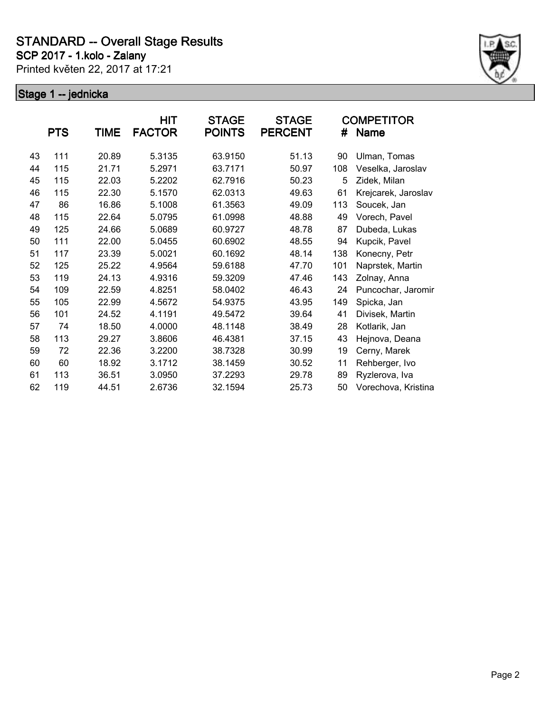**SCP 2017 - 1.kolo - Zalany**

Printed květen 22, 2017 at 17:21



|    | <b>PTS</b> | TIME  | HIT<br><b>FACTOR</b> | <b>STAGE</b><br><b>POINTS</b> | <b>STAGE</b><br><b>PERCENT</b> | #   | <b>COMPETITOR</b><br>Name |
|----|------------|-------|----------------------|-------------------------------|--------------------------------|-----|---------------------------|
| 43 | 111        | 20.89 | 5.3135               | 63.9150                       | 51.13                          | 90  | Ulman, Tomas              |
| 44 | 115        | 21.71 | 5.2971               | 63.7171                       | 50.97                          | 108 | Veselka, Jaroslav         |
| 45 | 115        | 22.03 | 5.2202               | 62.7916                       | 50.23                          | 5   | Zidek, Milan              |
| 46 | 115        | 22.30 | 5.1570               | 62.0313                       | 49.63                          | 61  | Krejcarek, Jaroslav       |
| 47 | 86         | 16.86 | 5.1008               | 61.3563                       | 49.09                          | 113 | Soucek, Jan               |
| 48 | 115        | 22.64 | 5.0795               | 61.0998                       | 48.88                          | 49  | Vorech, Pavel             |
| 49 | 125        | 24.66 | 5.0689               | 60.9727                       | 48.78                          | 87  | Dubeda, Lukas             |
| 50 | 111        | 22.00 | 5.0455               | 60.6902                       | 48.55                          | 94  | Kupcik, Pavel             |
| 51 | 117        | 23.39 | 5.0021               | 60.1692                       | 48.14                          | 138 | Konecny, Petr             |
| 52 | 125        | 25.22 | 4.9564               | 59.6188                       | 47.70                          | 101 | Naprstek, Martin          |
| 53 | 119        | 24.13 | 4.9316               | 59.3209                       | 47.46                          | 143 | Zolnay, Anna              |
| 54 | 109        | 22.59 | 4.8251               | 58.0402                       | 46.43                          | 24  | Puncochar, Jaromir        |
| 55 | 105        | 22.99 | 4.5672               | 54.9375                       | 43.95                          | 149 | Spicka, Jan               |
| 56 | 101        | 24.52 | 4.1191               | 49.5472                       | 39.64                          | 41  | Divisek, Martin           |
| 57 | 74         | 18.50 | 4.0000               | 48.1148                       | 38.49                          | 28  | Kotlarik, Jan             |
| 58 | 113        | 29.27 | 3.8606               | 46.4381                       | 37.15                          | 43  | Hejnova, Deana            |
| 59 | 72         | 22.36 | 3.2200               | 38.7328                       | 30.99                          | 19  | Cerny, Marek              |
| 60 | 60         | 18.92 | 3.1712               | 38.1459                       | 30.52                          | 11  | Rehberger, Ivo            |
| 61 | 113        | 36.51 | 3.0950               | 37.2293                       | 29.78                          | 89  | Ryzlerova, Iva            |
| 62 | 119        | 44.51 | 2.6736               | 32.1594                       | 25.73                          | 50  | Vorechova, Kristina       |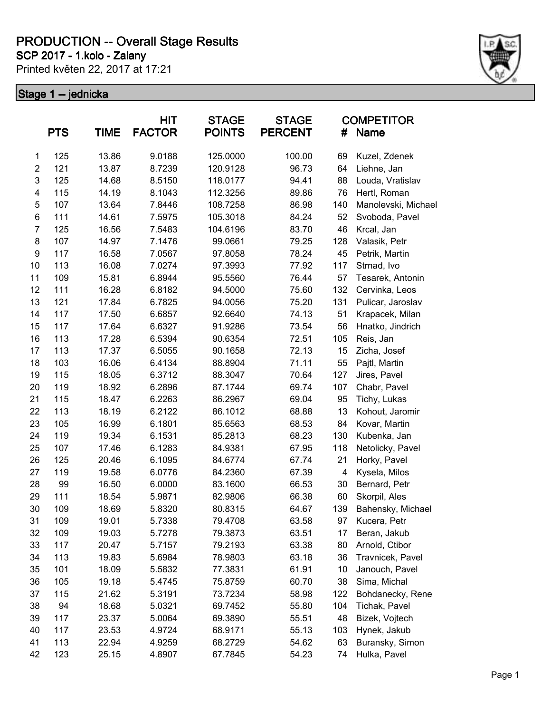**SCP 2017 - 1.kolo - Zalany**

Printed květen 22, 2017 at 17:21



|                         | <b>PTS</b> | TIME  | <b>HIT</b><br><b>FACTOR</b> | <b>STAGE</b><br><b>POINTS</b> | <b>STAGE</b><br><b>PERCENT</b> | #   | <b>COMPETITOR</b><br><b>Name</b> |
|-------------------------|------------|-------|-----------------------------|-------------------------------|--------------------------------|-----|----------------------------------|
| 1                       | 125        | 13.86 | 9.0188                      | 125.0000                      | 100.00                         | 69  | Kuzel, Zdenek                    |
| $\overline{\mathbf{c}}$ | 121        | 13.87 | 8.7239                      | 120.9128                      | 96.73                          | 64  | Liehne, Jan                      |
| 3                       | 125        | 14.68 | 8.5150                      | 118.0177                      | 94.41                          | 88  | Louda, Vratislav                 |
| 4                       | 115        | 14.19 | 8.1043                      | 112.3256                      | 89.86                          | 76  | Hertl, Roman                     |
| 5                       | 107        | 13.64 | 7.8446                      | 108.7258                      | 86.98                          | 140 | Manolevski, Michael              |
| 6                       | 111        | 14.61 | 7.5975                      | 105.3018                      | 84.24                          | 52  | Svoboda, Pavel                   |
| $\overline{7}$          | 125        | 16.56 | 7.5483                      | 104.6196                      | 83.70                          | 46  | Krcal, Jan                       |
| 8                       | 107        | 14.97 | 7.1476                      | 99.0661                       | 79.25                          | 128 | Valasik, Petr                    |
| 9                       | 117        | 16.58 | 7.0567                      | 97.8058                       | 78.24                          | 45  | Petrik, Martin                   |
| 10                      | 113        | 16.08 | 7.0274                      | 97.3993                       | 77.92                          | 117 | Strnad, Ivo                      |
| 11                      | 109        | 15.81 | 6.8944                      | 95.5560                       | 76.44                          | 57  | Tesarek, Antonin                 |
| 12                      | 111        | 16.28 | 6.8182                      | 94.5000                       | 75.60                          | 132 | Cervinka, Leos                   |
| 13                      | 121        | 17.84 | 6.7825                      | 94.0056                       | 75.20                          | 131 | Pulicar, Jaroslav                |
| 14                      | 117        | 17.50 | 6.6857                      | 92.6640                       | 74.13                          | 51  | Krapacek, Milan                  |
| 15                      | 117        | 17.64 | 6.6327                      | 91.9286                       | 73.54                          | 56  | Hnatko, Jindrich                 |
| 16                      | 113        | 17.28 | 6.5394                      | 90.6354                       | 72.51                          | 105 | Reis, Jan                        |
| 17                      | 113        | 17.37 | 6.5055                      | 90.1658                       | 72.13                          | 15  | Zicha, Josef                     |
| 18                      | 103        | 16.06 | 6.4134                      | 88.8904                       | 71.11                          | 55  | Pajtl, Martin                    |
| 19                      | 115        | 18.05 | 6.3712                      | 88.3047                       | 70.64                          | 127 | Jires, Pavel                     |
| 20                      | 119        | 18.92 | 6.2896                      | 87.1744                       | 69.74                          | 107 | Chabr, Pavel                     |
| 21                      | 115        | 18.47 | 6.2263                      | 86.2967                       | 69.04                          | 95  | Tichy, Lukas                     |
| 22                      | 113        | 18.19 | 6.2122                      | 86.1012                       | 68.88                          | 13  | Kohout, Jaromir                  |
| 23                      | 105        | 16.99 | 6.1801                      | 85.6563                       | 68.53                          | 84  | Kovar, Martin                    |
| 24                      | 119        | 19.34 | 6.1531                      | 85.2813                       | 68.23                          | 130 | Kubenka, Jan                     |
| 25                      | 107        | 17.46 | 6.1283                      | 84.9381                       | 67.95                          | 118 | Netolicky, Pavel                 |
| 26                      | 125        | 20.46 | 6.1095                      | 84.6774                       | 67.74                          | 21  | Horky, Pavel                     |
| 27                      | 119        | 19.58 | 6.0776                      | 84.2360                       | 67.39                          | 4   | Kysela, Milos                    |
| 28                      | 99         | 16.50 | 6.0000                      | 83.1600                       | 66.53                          | 30  | Bernard, Petr                    |
| 29                      | 111        | 18.54 | 5.9871                      | 82.9806                       | 66.38                          | 60  | Skorpil, Ales                    |
| 30                      | 109        | 18.69 | 5.8320                      | 80.8315                       | 64.67                          | 139 | Bahensky, Michael                |
| 31                      | 109        | 19.01 | 5.7338                      | 79.4708                       | 63.58                          | 97  | Kucera, Petr                     |
| 32                      | 109        | 19.03 | 5.7278                      | 79.3873                       | 63.51                          | 17  | Beran, Jakub                     |
| 33                      | 117        | 20.47 | 5.7157                      | 79.2193                       | 63.38                          | 80  | Arnold, Ctibor                   |
| 34                      | 113        | 19.83 | 5.6984                      | 78.9803                       | 63.18                          | 36  | Travnicek, Pavel                 |
| 35                      | 101        | 18.09 | 5.5832                      | 77.3831                       | 61.91                          | 10  | Janouch, Pavel                   |
| 36                      | 105        | 19.18 | 5.4745                      | 75.8759                       | 60.70                          | 38  | Sima, Michal                     |
| 37                      | 115        | 21.62 | 5.3191                      | 73.7234                       | 58.98                          | 122 | Bohdanecky, Rene                 |
| 38                      | 94         | 18.68 | 5.0321                      | 69.7452                       | 55.80                          | 104 | Tichak, Pavel                    |
| 39                      | 117        | 23.37 | 5.0064                      | 69.3890                       | 55.51                          | 48  | Bizek, Vojtech                   |
| 40                      | 117        | 23.53 | 4.9724                      | 68.9171                       | 55.13                          | 103 | Hynek, Jakub                     |
| 41                      | 113        | 22.94 | 4.9259                      | 68.2729                       | 54.62                          | 63  | Buransky, Simon                  |
| 42                      | 123        | 25.15 | 4.8907                      | 67.7845                       | 54.23                          | 74  | Hulka, Pavel                     |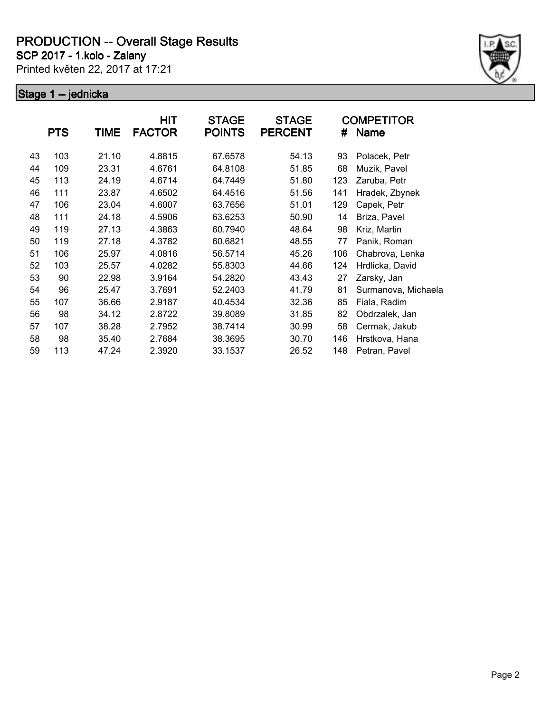**SCP 2017 - 1.kolo - Zalany**

Printed květen 22, 2017 at 17:21



|    | <b>PTS</b> | <b>TIME</b> | HIT<br><b>FACTOR</b> | <b>STAGE</b><br><b>POINTS</b> | <b>STAGE</b><br><b>PERCENT</b> | #   | <b>COMPETITOR</b><br><b>Name</b> |
|----|------------|-------------|----------------------|-------------------------------|--------------------------------|-----|----------------------------------|
| 43 | 103        | 21.10       | 4.8815               | 67.6578                       | 54.13                          | 93  | Polacek, Petr                    |
| 44 | 109        | 23.31       | 4.6761               | 64.8108                       | 51.85                          | 68  | Muzik, Pavel                     |
| 45 | 113        | 24.19       | 4.6714               | 64.7449                       | 51.80                          | 123 | Zaruba, Petr                     |
| 46 | 111        | 23.87       | 4.6502               | 64.4516                       | 51.56                          | 141 | Hradek, Zbynek                   |
| 47 | 106        | 23.04       | 4.6007               | 63.7656                       | 51.01                          | 129 | Capek, Petr                      |
| 48 | 111        | 24.18       | 4.5906               | 63.6253                       | 50.90                          | 14  | Briza, Pavel                     |
| 49 | 119        | 27.13       | 4.3863               | 60.7940                       | 48.64                          | 98  | Kriz, Martin                     |
| 50 | 119        | 27.18       | 4.3782               | 60.6821                       | 48.55                          | 77  | Panik, Roman                     |
| 51 | 106        | 25.97       | 4.0816               | 56.5714                       | 45.26                          | 106 | Chabrova, Lenka                  |
| 52 | 103        | 25.57       | 4.0282               | 55.8303                       | 44.66                          | 124 | Hrdlicka, David                  |
| 53 | 90         | 22.98       | 3.9164               | 54.2820                       | 43.43                          | 27  | Zarsky, Jan                      |
| 54 | 96         | 25.47       | 3.7691               | 52.2403                       | 41.79                          | 81  | Surmanova, Michaela              |
| 55 | 107        | 36.66       | 2.9187               | 40.4534                       | 32.36                          | 85  | Fiala, Radim                     |
| 56 | 98         | 34.12       | 2.8722               | 39.8089                       | 31.85                          | 82  | Obdrzalek, Jan                   |
| 57 | 107        | 38.28       | 2.7952               | 38.7414                       | 30.99                          | 58  | Cermak, Jakub                    |
| 58 | 98         | 35.40       | 2.7684               | 38.3695                       | 30.70                          | 146 | Hrstkova, Hana                   |
| 59 | 113        | 47.24       | 2.3920               | 33.1537                       | 26.52                          | 148 | Petran, Pavel                    |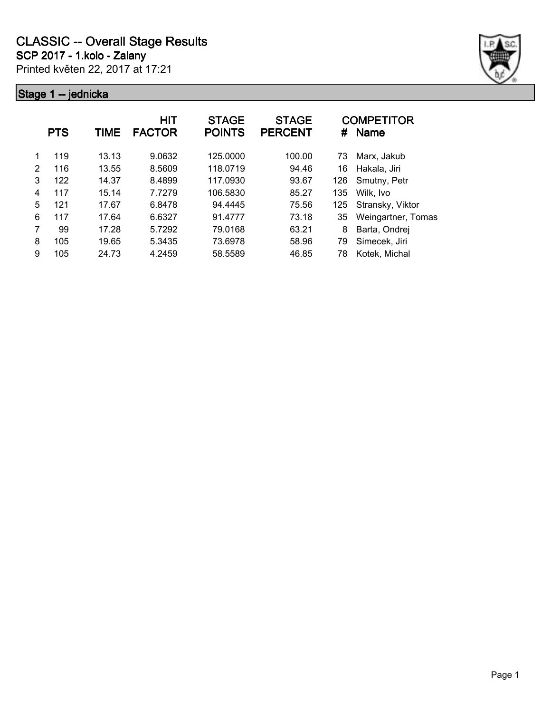

|   | <b>PTS</b> | TIME  | HIT<br><b>FACTOR</b> | <b>STAGE</b><br><b>POINTS</b> | <b>STAGE</b><br><b>PERCENT</b> | #   | <b>COMPETITOR</b><br>Name |
|---|------------|-------|----------------------|-------------------------------|--------------------------------|-----|---------------------------|
|   | 119        | 13.13 | 9.0632               | 125.0000                      | 100.00                         | 73  | Marx, Jakub               |
| 2 | 116        | 13.55 | 8.5609               | 118.0719                      | 94.46                          | 16  | Hakala, Jiri              |
| 3 | 122        | 14.37 | 8.4899               | 117.0930                      | 93.67                          | 126 | Smutny, Petr              |
| 4 | 117        | 15.14 | 7.7279               | 106.5830                      | 85.27                          | 135 | Wilk, Ivo                 |
| 5 | 121        | 17.67 | 6.8478               | 94.4445                       | 75.56                          | 125 | Stransky, Viktor          |
| 6 | 117        | 17.64 | 6.6327               | 91.4777                       | 73.18                          | 35  | Weingartner, Tomas        |
| 7 | 99         | 17.28 | 5.7292               | 79.0168                       | 63.21                          | 8   | Barta, Ondrej             |
| 8 | 105        | 19.65 | 5.3435               | 73.6978                       | 58.96                          | 79  | Simecek, Jiri             |
| 9 | 105        | 24.73 | 4.2459               | 58.5589                       | 46.85                          | 78  | Kotek, Michal             |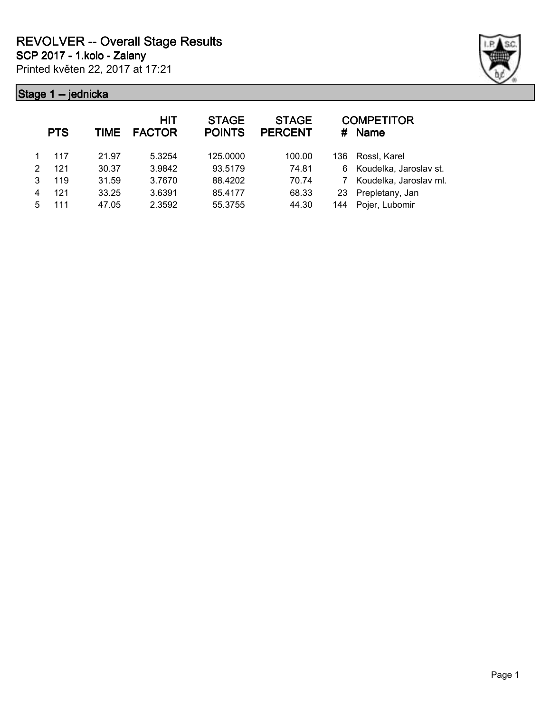Printed květen 22, 2017 at 17:21 **SCP 2017 - 1.kolo - Zalany**



| <b>PTS</b> | <b>TIME</b> | <b>HIT</b><br><b>FACTOR</b> | <b>STAGE</b><br><b>POINTS</b> | <b>STAGE</b><br><b>PERCENT</b> | #    | <b>COMPETITOR</b><br><b>Name</b> |
|------------|-------------|-----------------------------|-------------------------------|--------------------------------|------|----------------------------------|
| 117        | 21.97       | 5.3254                      | 125.0000                      | 100.00                         | 136. | Rossl, Karel                     |
| 121        | 30.37       | 3.9842                      | 93.5179                       | 74.81                          | 6.   | Koudelka, Jaroslav st.           |
| 119        | 31.59       | 3.7670                      | 88.4202                       | 70.74                          | 7    | Koudelka, Jaroslav ml.           |
| 121        | 33.25       | 3.6391                      | 85.4177                       | 68.33                          | 23   | Prepletany, Jan                  |
| 111        | 47.05       | 2.3592                      | 55.3755                       | 44.30                          | 144  | Pojer, Lubomir                   |
|            |             |                             |                               |                                |      |                                  |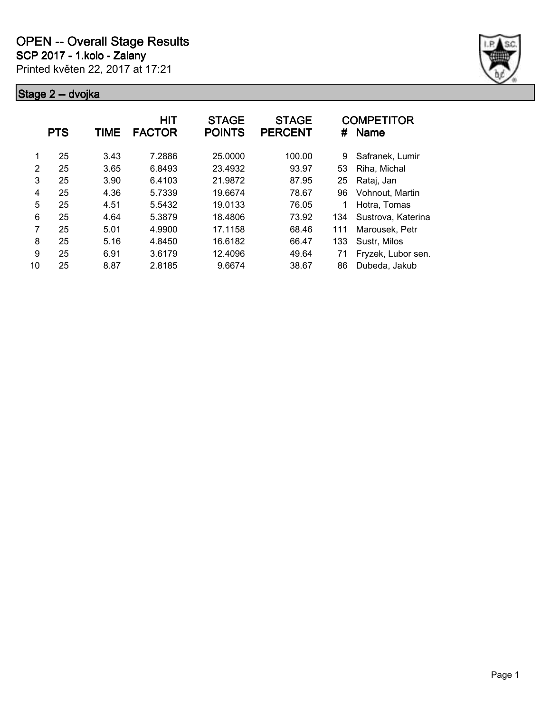

|    | <b>PTS</b> | <b>TIME</b> | HIT<br><b>FACTOR</b> | <b>STAGE</b><br><b>POINTS</b> | <b>STAGE</b><br><b>PERCENT</b> | #   | <b>COMPETITOR</b><br><b>Name</b> |
|----|------------|-------------|----------------------|-------------------------------|--------------------------------|-----|----------------------------------|
| 1  | 25         | 3.43        | 7.2886               | 25,0000                       | 100.00                         | 9   | Safranek, Lumir                  |
| 2  | 25         | 3.65        | 6.8493               | 23.4932                       | 93.97                          | 53  | Riha, Michal                     |
| 3  | 25         | 3.90        | 6.4103               | 21.9872                       | 87.95                          | 25  | Rataj, Jan                       |
| 4  | 25         | 4.36        | 5.7339               | 19.6674                       | 78.67                          | 96  | Vohnout, Martin                  |
| 5  | 25         | 4.51        | 5.5432               | 19.0133                       | 76.05                          |     | Hotra, Tomas                     |
| 6  | 25         | 4.64        | 5.3879               | 18.4806                       | 73.92                          | 134 | Sustrova, Katerina               |
| 7  | 25         | 5.01        | 4.9900               | 17.1158                       | 68.46                          | 111 | Marousek, Petr                   |
| 8  | 25         | 5.16        | 4.8450               | 16.6182                       | 66.47                          | 133 | Sustr, Milos                     |
| 9  | 25         | 6.91        | 3.6179               | 12.4096                       | 49.64                          | 71  | Fryzek, Lubor sen.               |
| 10 | 25         | 8.87        | 2.8185               | 9.6674                        | 38.67                          | 86  | Dubeda, Jakub                    |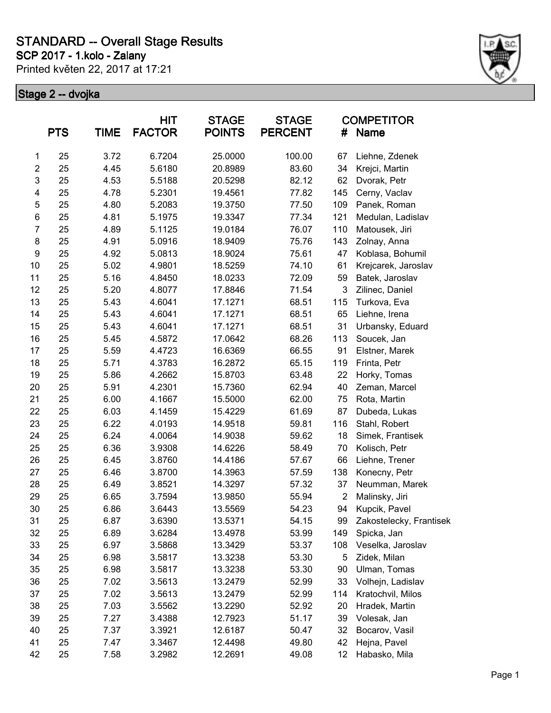**SCP 2017 - 1.kolo - Zalany**

Printed květen 22, 2017 at 17:21



|                         | <b>PTS</b> | <b>TIME</b> | <b>HIT</b><br><b>FACTOR</b> | <b>STAGE</b><br><b>POINTS</b> | <b>STAGE</b><br><b>PERCENT</b> | #              | <b>COMPETITOR</b><br><b>Name</b> |
|-------------------------|------------|-------------|-----------------------------|-------------------------------|--------------------------------|----------------|----------------------------------|
| 1                       | 25         | 3.72        | 6.7204                      | 25.0000                       | 100.00                         | 67             | Liehne, Zdenek                   |
| $\overline{\mathbf{c}}$ | 25         | 4.45        | 5.6180                      | 20.8989                       | 83.60                          | 34             | Krejci, Martin                   |
| $\mathsf 3$             | 25         | 4.53        | 5.5188                      | 20.5298                       | 82.12                          | 62             | Dvorak, Petr                     |
| 4                       | 25         | 4.78        | 5.2301                      | 19.4561                       | 77.82                          | 145            | Cerny, Vaclav                    |
| 5                       | 25         | 4.80        | 5.2083                      | 19.3750                       | 77.50                          | 109            | Panek, Roman                     |
| 6                       | 25         | 4.81        | 5.1975                      | 19.3347                       | 77.34                          | 121            | Medulan, Ladislav                |
| $\overline{7}$          | 25         | 4.89        | 5.1125                      | 19.0184                       | 76.07                          | 110            | Matousek, Jiri                   |
| 8                       | 25         | 4.91        | 5.0916                      | 18.9409                       | 75.76                          | 143            | Zolnay, Anna                     |
| $\boldsymbol{9}$        | 25         | 4.92        | 5.0813                      | 18.9024                       | 75.61                          | 47             | Koblasa, Bohumil                 |
| 10                      | 25         | 5.02        | 4.9801                      | 18.5259                       | 74.10                          | 61             | Krejcarek, Jaroslav              |
| 11                      | 25         | 5.16        | 4.8450                      | 18.0233                       | 72.09                          | 59             | Batek, Jaroslav                  |
| 12                      | 25         | 5.20        | 4.8077                      | 17.8846                       | 71.54                          | 3              | Zilinec, Daniel                  |
| 13                      | 25         | 5.43        | 4.6041                      | 17.1271                       | 68.51                          | 115            | Turkova, Eva                     |
| 14                      | 25         | 5.43        | 4.6041                      | 17.1271                       | 68.51                          | 65             | Liehne, Irena                    |
| 15                      | 25         | 5.43        | 4.6041                      | 17.1271                       | 68.51                          | 31             | Urbansky, Eduard                 |
| 16                      | 25         | 5.45        | 4.5872                      | 17.0642                       | 68.26                          | 113            | Soucek, Jan                      |
| 17                      | 25         | 5.59        | 4.4723                      | 16.6369                       | 66.55                          | 91             | Elstner, Marek                   |
| 18                      | 25         | 5.71        | 4.3783                      | 16.2872                       | 65.15                          | 119            | Frinta, Petr                     |
| 19                      | 25         | 5.86        | 4.2662                      | 15.8703                       | 63.48                          | 22             | Horky, Tomas                     |
| 20                      | 25         | 5.91        | 4.2301                      | 15.7360                       | 62.94                          | 40             | Zeman, Marcel                    |
| 21                      | 25         | 6.00        | 4.1667                      | 15.5000                       | 62.00                          | 75             | Rota, Martin                     |
| 22                      | 25         | 6.03        | 4.1459                      | 15.4229                       | 61.69                          | 87             | Dubeda, Lukas                    |
| 23                      | 25         | 6.22        | 4.0193                      | 14.9518                       | 59.81                          | 116            | Stahl, Robert                    |
| 24                      | 25         | 6.24        | 4.0064                      | 14.9038                       | 59.62                          | 18             | Simek, Frantisek                 |
| 25                      | 25         | 6.36        | 3.9308                      | 14.6226                       | 58.49                          | 70             | Kolisch, Petr                    |
| 26                      | 25         | 6.45        | 3.8760                      | 14.4186                       | 57.67                          | 66             | Liehne, Trener                   |
| 27                      | 25         | 6.46        | 3.8700                      | 14.3963                       | 57.59                          | 138            | Konecny, Petr                    |
| 28                      | 25         | 6.49        | 3.8521                      | 14.3297                       | 57.32                          | 37             | Neumman, Marek                   |
| 29                      | 25         | 6.65        | 3.7594                      | 13.9850                       | 55.94                          | $\overline{2}$ | Malinsky, Jiri                   |
| 30                      | 25         | 6.86        | 3.6443                      | 13.5569                       | 54.23                          | 94             | Kupcik, Pavel                    |
| 31                      | 25         | 6.87        | 3.6390                      | 13.5371                       | 54.15                          | 99             | Zakostelecky, Frantisek          |
| 32                      | 25         | 6.89        | 3.6284                      | 13.4978                       | 53.99                          | 149            | Spicka, Jan                      |
| 33                      | 25         | 6.97        | 3.5868                      | 13.3429                       | 53.37                          | 108            | Veselka, Jaroslav                |
| 34                      | 25         | 6.98        | 3.5817                      | 13.3238                       | 53.30                          | 5              | Zidek, Milan                     |
| 35                      | 25         | 6.98        | 3.5817                      | 13.3238                       | 53.30                          | 90             | Ulman, Tomas                     |
| 36                      | 25         | 7.02        | 3.5613                      | 13.2479                       | 52.99                          | 33             | Volhejn, Ladislav                |
| 37                      | 25         | 7.02        | 3.5613                      | 13.2479                       | 52.99                          | 114            | Kratochvil, Milos                |
| 38                      | 25         | 7.03        | 3.5562                      | 13.2290                       | 52.92                          | 20             | Hradek, Martin                   |
| 39                      | 25         | 7.27        | 3.4388                      | 12.7923                       | 51.17                          | 39             | Volesak, Jan                     |
| 40                      | 25         | 7.37        | 3.3921                      | 12.6187                       | 50.47                          | 32             | Bocarov, Vasil                   |
| 41                      | 25         | 7.47        | 3.3467                      | 12.4498                       | 49.80                          | 42             | Hejna, Pavel                     |
| 42                      | 25         | 7.58        | 3.2982                      | 12.2691                       | 49.08                          | 12             | Habasko, Mila                    |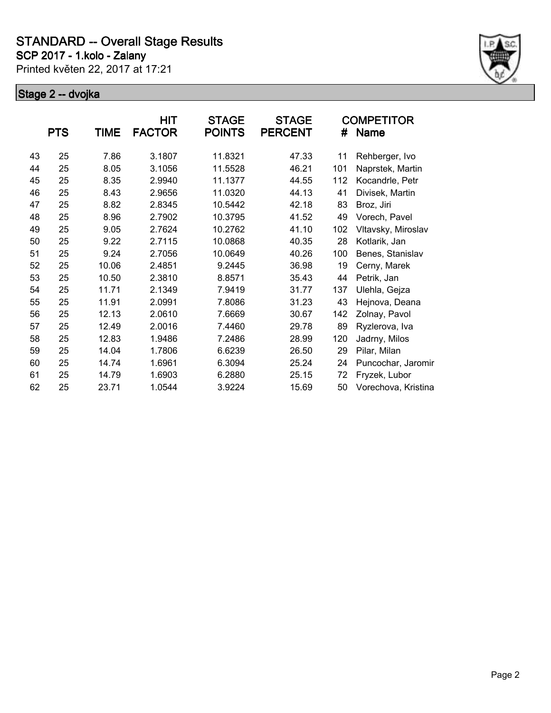**SCP 2017 - 1.kolo - Zalany**

Printed květen 22, 2017 at 17:21



|    |            |       | HIT           | <b>STAGE</b>  | <b>STAGE</b>   |     | <b>COMPETITOR</b>   |
|----|------------|-------|---------------|---------------|----------------|-----|---------------------|
|    | <b>PTS</b> | TIME  | <b>FACTOR</b> | <b>POINTS</b> | <b>PERCENT</b> | #   | <b>Name</b>         |
| 43 | 25         | 7.86  | 3.1807        | 11.8321       | 47.33          | 11  | Rehberger, Ivo      |
| 44 | 25         | 8.05  | 3.1056        | 11.5528       | 46.21          | 101 | Naprstek, Martin    |
| 45 | 25         | 8.35  | 2.9940        | 11.1377       | 44.55          | 112 | Kocandrle, Petr     |
| 46 | 25         | 8.43  | 2.9656        | 11.0320       | 44.13          | 41  | Divisek, Martin     |
| 47 | 25         | 8.82  | 2.8345        | 10.5442       | 42.18          | 83  | Broz, Jiri          |
| 48 | 25         | 8.96  | 2.7902        | 10.3795       | 41.52          | 49  | Vorech, Pavel       |
| 49 | 25         | 9.05  | 2.7624        | 10.2762       | 41.10          | 102 | Vltavsky, Miroslav  |
| 50 | 25         | 9.22  | 2.7115        | 10.0868       | 40.35          | 28  | Kotlarik, Jan       |
| 51 | 25         | 9.24  | 2.7056        | 10.0649       | 40.26          | 100 | Benes, Stanislav    |
| 52 | 25         | 10.06 | 2.4851        | 9.2445        | 36.98          | 19  | Cerny, Marek        |
| 53 | 25         | 10.50 | 2.3810        | 8.8571        | 35.43          | 44  | Petrik, Jan         |
| 54 | 25         | 11.71 | 2.1349        | 7.9419        | 31.77          | 137 | Ulehla, Gejza       |
| 55 | 25         | 11.91 | 2.0991        | 7.8086        | 31.23          | 43  | Hejnova, Deana      |
| 56 | 25         | 12.13 | 2.0610        | 7.6669        | 30.67          | 142 | Zolnay, Pavol       |
| 57 | 25         | 12.49 | 2.0016        | 7.4460        | 29.78          | 89  | Ryzlerova, Iva      |
| 58 | 25         | 12.83 | 1.9486        | 7.2486        | 28.99          | 120 | Jadrny, Milos       |
| 59 | 25         | 14.04 | 1.7806        | 6.6239        | 26.50          | 29  | Pilar, Milan        |
| 60 | 25         | 14.74 | 1.6961        | 6.3094        | 25.24          | 24  | Puncochar, Jaromir  |
| 61 | 25         | 14.79 | 1.6903        | 6.2880        | 25.15          | 72  | Fryzek, Lubor       |
| 62 | 25         | 23.71 | 1.0544        | 3.9224        | 15.69          | 50  | Vorechova, Kristina |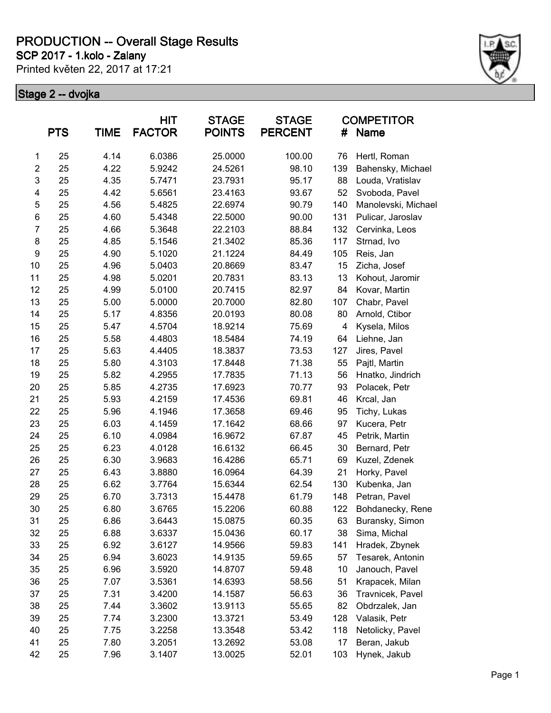**SCP 2017 - 1.kolo - Zalany**

Printed květen 22, 2017 at 17:21



|                         | <b>PTS</b> | <b>TIME</b> | <b>HIT</b><br><b>FACTOR</b> | <b>STAGE</b><br><b>POINTS</b> | <b>STAGE</b><br><b>PERCENT</b> | #                       | <b>COMPETITOR</b><br><b>Name</b> |
|-------------------------|------------|-------------|-----------------------------|-------------------------------|--------------------------------|-------------------------|----------------------------------|
| 1                       | 25         | 4.14        | 6.0386                      | 25.0000                       | 100.00                         | 76                      | Hertl, Roman                     |
| $\overline{c}$          | 25         | 4.22        | 5.9242                      | 24.5261                       | 98.10                          | 139                     | Bahensky, Michael                |
| 3                       | 25         | 4.35        | 5.7471                      | 23.7931                       | 95.17                          | 88                      | Louda, Vratislav                 |
| $\overline{\mathbf{4}}$ | 25         | 4.42        | 5.6561                      | 23.4163                       | 93.67                          | 52                      | Svoboda, Pavel                   |
| 5                       | 25         | 4.56        | 5.4825                      | 22.6974                       | 90.79                          | 140                     | Manolevski, Michael              |
| 6                       | 25         | 4.60        | 5.4348                      | 22.5000                       | 90.00                          | 131                     | Pulicar, Jaroslav                |
| $\overline{7}$          | 25         | 4.66        | 5.3648                      | 22.2103                       | 88.84                          | 132                     | Cervinka, Leos                   |
| 8                       | 25         | 4.85        | 5.1546                      | 21.3402                       | 85.36                          | 117                     | Strnad, Ivo                      |
| 9                       | 25         | 4.90        | 5.1020                      | 21.1224                       | 84.49                          | 105                     | Reis, Jan                        |
| 10                      | 25         | 4.96        | 5.0403                      | 20.8669                       | 83.47                          | 15                      | Zicha, Josef                     |
| 11                      | 25         | 4.98        | 5.0201                      | 20.7831                       | 83.13                          | 13                      | Kohout, Jaromir                  |
| 12                      | 25         | 4.99        | 5.0100                      | 20.7415                       | 82.97                          | 84                      | Kovar, Martin                    |
| 13                      | 25         | 5.00        | 5.0000                      | 20.7000                       | 82.80                          | 107                     | Chabr, Pavel                     |
| 14                      | 25         | 5.17        | 4.8356                      | 20.0193                       | 80.08                          | 80                      | Arnold, Ctibor                   |
| 15                      | 25         | 5.47        | 4.5704                      | 18.9214                       | 75.69                          | $\overline{\mathbf{4}}$ | Kysela, Milos                    |
| 16                      | 25         | 5.58        | 4.4803                      | 18.5484                       | 74.19                          | 64                      | Liehne, Jan                      |
| 17                      | 25         | 5.63        | 4.4405                      | 18.3837                       | 73.53                          | 127                     | Jires, Pavel                     |
| 18                      | 25         | 5.80        | 4.3103                      | 17.8448                       | 71.38                          | 55                      | Pajtl, Martin                    |
| 19                      | 25         | 5.82        | 4.2955                      | 17.7835                       | 71.13                          | 56                      | Hnatko, Jindrich                 |
| 20                      | 25         | 5.85        | 4.2735                      | 17.6923                       | 70.77                          | 93                      | Polacek, Petr                    |
| 21                      | 25         | 5.93        | 4.2159                      | 17.4536                       | 69.81                          | 46                      | Krcal, Jan                       |
| 22                      | 25         | 5.96        | 4.1946                      | 17.3658                       | 69.46                          | 95                      | Tichy, Lukas                     |
| 23                      | 25         | 6.03        | 4.1459                      | 17.1642                       | 68.66                          | 97                      | Kucera, Petr                     |
| 24                      | 25         | 6.10        | 4.0984                      | 16.9672                       | 67.87                          | 45                      | Petrik, Martin                   |
| 25                      | 25         | 6.23        | 4.0128                      | 16.6132                       | 66.45                          | 30                      | Bernard, Petr                    |
| 26                      | 25         | 6.30        | 3.9683                      | 16.4286                       | 65.71                          | 69                      | Kuzel, Zdenek                    |
| 27                      | 25         | 6.43        | 3.8880                      | 16.0964                       | 64.39                          | 21                      | Horky, Pavel                     |
| 28                      | 25         | 6.62        | 3.7764                      | 15.6344                       | 62.54                          | 130                     | Kubenka, Jan                     |
| 29                      | 25         | 6.70        | 3.7313                      | 15.4478                       | 61.79                          | 148                     | Petran, Pavel                    |
| 30                      | 25         | 6.80        | 3.6765                      | 15.2206                       | 60.88                          | 122                     | Bohdanecky, Rene                 |
| 31                      | 25         | 6.86        | 3.6443                      | 15.0875                       | 60.35                          | 63                      | Buransky, Simon                  |
| 32                      | 25         | 6.88        | 3.6337                      | 15.0436                       | 60.17                          | 38                      | Sima, Michal                     |
| 33                      | 25         | 6.92        | 3.6127                      | 14.9566                       | 59.83                          | 141                     | Hradek, Zbynek                   |
| 34                      | 25         | 6.94        | 3.6023                      | 14.9135                       | 59.65                          | 57                      | Tesarek, Antonin                 |
| 35                      | 25         | 6.96        | 3.5920                      | 14.8707                       | 59.48                          | 10                      | Janouch, Pavel                   |
| 36                      | 25         | 7.07        | 3.5361                      | 14.6393                       | 58.56                          | 51                      | Krapacek, Milan                  |
| 37                      | 25         | 7.31        | 3.4200                      | 14.1587                       | 56.63                          | 36                      | Travnicek, Pavel                 |
| 38                      | 25         | 7.44        | 3.3602                      | 13.9113                       | 55.65                          | 82                      | Obdrzalek, Jan                   |
| 39                      | 25         | 7.74        | 3.2300                      | 13.3721                       | 53.49                          | 128                     | Valasik, Petr                    |
| 40                      | 25         | 7.75        | 3.2258                      | 13.3548                       | 53.42                          | 118                     | Netolicky, Pavel                 |
| 41                      | 25         | 7.80        | 3.2051                      | 13.2692                       | 53.08                          | 17                      | Beran, Jakub                     |
| 42                      | 25         | 7.96        | 3.1407                      | 13.0025                       | 52.01                          | 103                     | Hynek, Jakub                     |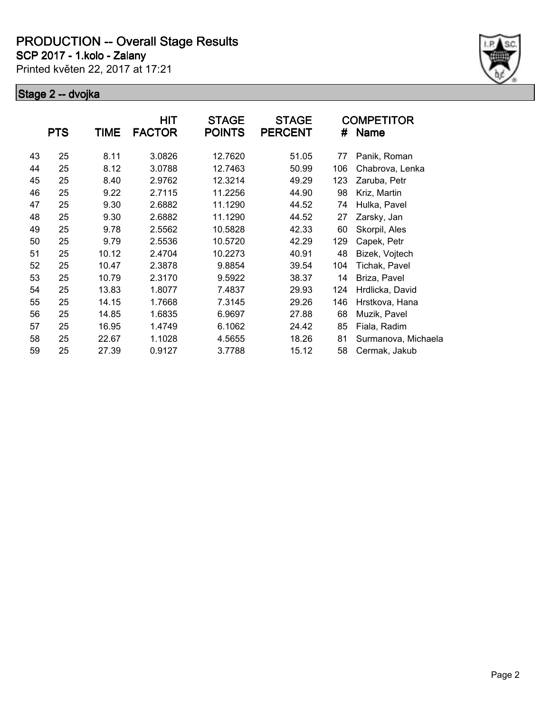**SCP 2017 - 1.kolo - Zalany**

Printed květen 22, 2017 at 17:21



|    | <b>PTS</b> | TIME  | <b>HIT</b><br><b>FACTOR</b> | <b>STAGE</b><br><b>POINTS</b> | <b>STAGE</b><br><b>PERCENT</b> | #   | <b>COMPETITOR</b><br><b>Name</b> |
|----|------------|-------|-----------------------------|-------------------------------|--------------------------------|-----|----------------------------------|
| 43 | 25         | 8.11  | 3.0826                      | 12.7620                       | 51.05                          | 77  | Panik, Roman                     |
| 44 | 25         | 8.12  | 3.0788                      | 12.7463                       | 50.99                          | 106 | Chabrova, Lenka                  |
| 45 | 25         | 8.40  | 2.9762                      | 12.3214                       | 49.29                          | 123 | Zaruba, Petr                     |
| 46 | 25         | 9.22  | 2.7115                      | 11.2256                       | 44.90                          | 98  | Kriz, Martin                     |
| 47 | 25         | 9.30  | 2.6882                      | 11.1290                       | 44.52                          | 74  | Hulka, Pavel                     |
| 48 | 25         | 9.30  | 2.6882                      | 11.1290                       | 44.52                          | 27  | Zarsky, Jan                      |
| 49 | 25         | 9.78  | 2.5562                      | 10.5828                       | 42.33                          | 60  | Skorpil, Ales                    |
| 50 | 25         | 9.79  | 2.5536                      | 10.5720                       | 42.29                          | 129 | Capek, Petr                      |
| 51 | 25         | 10.12 | 2.4704                      | 10.2273                       | 40.91                          | 48  | Bizek, Vojtech                   |
| 52 | 25         | 10.47 | 2.3878                      | 9.8854                        | 39.54                          | 104 | Tichak, Pavel                    |
| 53 | 25         | 10.79 | 2.3170                      | 9.5922                        | 38.37                          | 14  | Briza, Pavel                     |
| 54 | 25         | 13.83 | 1.8077                      | 7.4837                        | 29.93                          | 124 | Hrdlicka, David                  |
| 55 | 25         | 14.15 | 1.7668                      | 7.3145                        | 29.26                          | 146 | Hrstkova, Hana                   |
| 56 | 25         | 14.85 | 1.6835                      | 6.9697                        | 27.88                          | 68  | Muzik, Pavel                     |
| 57 | 25         | 16.95 | 1.4749                      | 6.1062                        | 24.42                          | 85  | Fiala, Radim                     |
| 58 | 25         | 22.67 | 1.1028                      | 4.5655                        | 18.26                          | 81  | Surmanova, Michaela              |
| 59 | 25         | 27.39 | 0.9127                      | 3.7788                        | 15.12                          | 58  | Cermak, Jakub                    |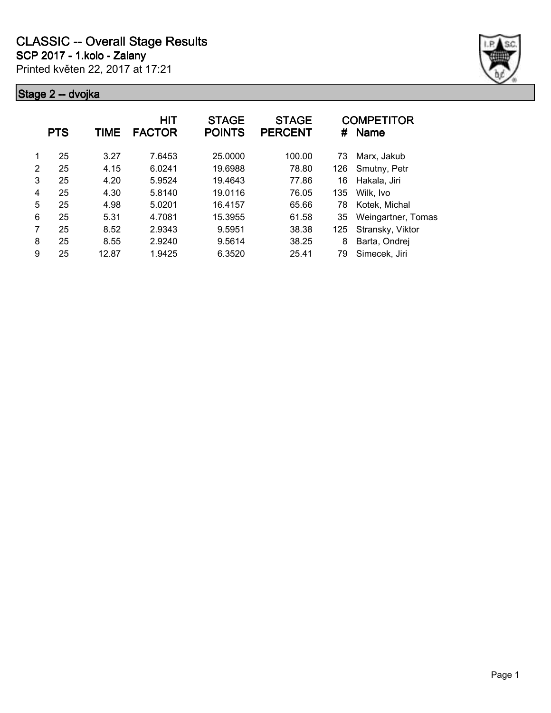

|   | <b>PTS</b> | <b>TIME</b> | <b>HIT</b><br><b>FACTOR</b> | <b>STAGE</b><br><b>POINTS</b> | <b>STAGE</b><br><b>PERCENT</b> | #   | <b>COMPETITOR</b><br><b>Name</b> |
|---|------------|-------------|-----------------------------|-------------------------------|--------------------------------|-----|----------------------------------|
|   | 25         | 3.27        | 7.6453                      | 25.0000                       | 100.00                         | 73  | Marx, Jakub                      |
| 2 | 25         | 4.15        | 6.0241                      | 19.6988                       | 78.80                          | 126 | Smutny, Petr                     |
| 3 | 25         | 4.20        | 5.9524                      | 19.4643                       | 77.86                          | 16  | Hakala, Jiri                     |
| 4 | 25         | 4.30        | 5.8140                      | 19.0116                       | 76.05                          | 135 | Wilk, Ivo                        |
| 5 | 25         | 4.98        | 5.0201                      | 16.4157                       | 65.66                          | 78  | Kotek, Michal                    |
| 6 | 25         | 5.31        | 4.7081                      | 15.3955                       | 61.58                          | 35  | Weingartner, Tomas               |
| 7 | 25         | 8.52        | 2.9343                      | 9.5951                        | 38.38                          | 125 | Stransky, Viktor                 |
| 8 | 25         | 8.55        | 2.9240                      | 9.5614                        | 38.25                          | 8   | Barta, Ondrej                    |
| 9 | 25         | 12.87       | 1.9425                      | 6.3520                        | 25.41                          | 79  | Simecek, Jiri                    |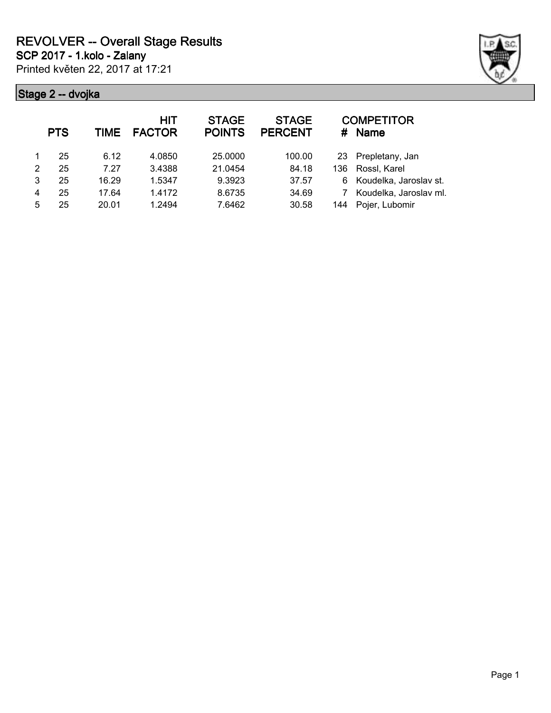

|   | <b>PTS</b> | <b>TIME</b> | <b>HIT</b><br><b>FACTOR</b> | <b>STAGE</b><br><b>POINTS</b> | <b>STAGE</b><br><b>PERCENT</b> | #   | <b>COMPETITOR</b><br><b>Name</b> |
|---|------------|-------------|-----------------------------|-------------------------------|--------------------------------|-----|----------------------------------|
|   | 25         | 6.12        | 4.0850                      | 25.0000                       | 100.00                         | 23  | Prepletany, Jan                  |
| 2 | 25         | 7.27        | 3.4388                      | 21.0454                       | 84.18                          | 136 | Rossl, Karel                     |
| 3 | 25         | 16.29       | 1.5347                      | 9.3923                        | 37.57                          | 6   | Koudelka, Jaroslav st.           |
| 4 | 25         | 17.64       | 1.4172                      | 8.6735                        | 34.69                          |     | Koudelka, Jaroslav ml.           |
| 5 | 25         | 20.01       | 1.2494                      | 7.6462                        | 30.58                          | 144 | Pojer, Lubomir                   |
|   |            |             |                             |                               |                                |     |                                  |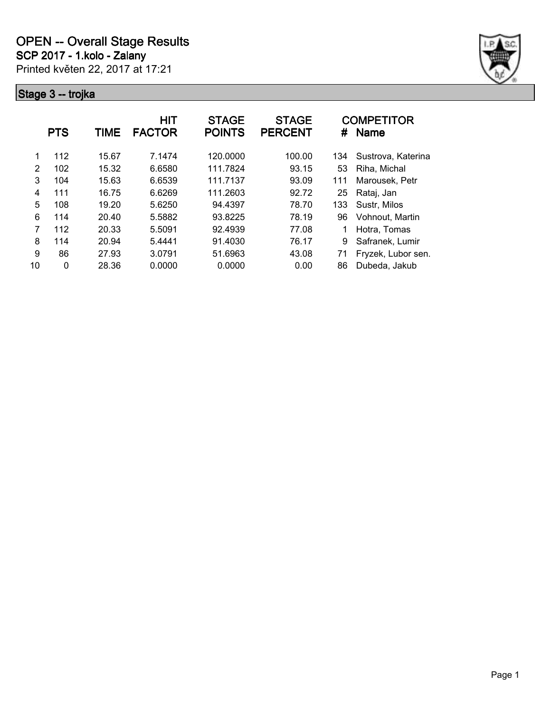

|               | <b>PTS</b> | <b>TIME</b> | <b>HIT</b><br><b>FACTOR</b> | <b>STAGE</b><br><b>POINTS</b> | <b>STAGE</b><br><b>PERCENT</b> | #   | <b>COMPETITOR</b><br><b>Name</b> |
|---------------|------------|-------------|-----------------------------|-------------------------------|--------------------------------|-----|----------------------------------|
|               | 112        | 15.67       | 7.1474                      | 120,0000                      | 100.00                         | 134 | Sustrova, Katerina               |
| $\mathcal{P}$ | 102        | 15.32       | 6.6580                      | 111.7824                      | 93.15                          | 53  | Riha, Michal                     |
| 3             | 104        | 15.63       | 6.6539                      | 111.7137                      | 93.09                          | 111 | Marousek, Petr                   |
| 4             | 111        | 16.75       | 6.6269                      | 111.2603                      | 92.72                          | 25  | Rataj, Jan                       |
| 5             | 108        | 19.20       | 5.6250                      | 94.4397                       | 78.70                          | 133 | Sustr, Milos                     |
| 6             | 114        | 20.40       | 5.5882                      | 93.8225                       | 78.19                          | 96  | Vohnout, Martin                  |
| 7             | 112        | 20.33       | 5.5091                      | 92.4939                       | 77.08                          |     | Hotra, Tomas                     |
| 8             | 114        | 20.94       | 5.4441                      | 91.4030                       | 76.17                          | 9   | Safranek, Lumir                  |
| 9             | 86         | 27.93       | 3.0791                      | 51.6963                       | 43.08                          | 71  | Fryzek, Lubor sen.               |
| 10            | 0          | 28.36       | 0.0000                      | 0.0000                        | 0.00                           | 86  | Dubeda, Jakub                    |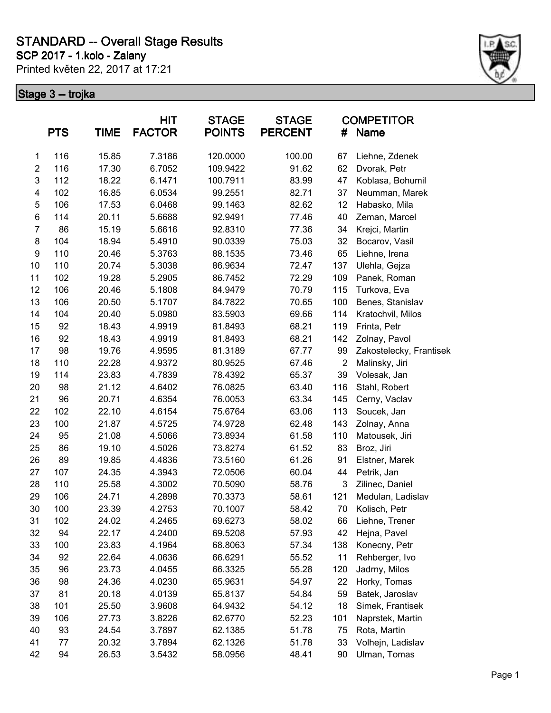**SCP 2017 - 1.kolo - Zalany**

Printed květen 22, 2017 at 17:21



| <b>PTS</b><br><b>TIME</b> |     | HIT<br><b>STAGE</b><br><b>FACTOR</b><br><b>POINTS</b> |        | <b>STAGE</b><br><b>PERCENT</b> | #      | <b>COMPETITOR</b><br><b>Name</b> |                         |
|---------------------------|-----|-------------------------------------------------------|--------|--------------------------------|--------|----------------------------------|-------------------------|
| 1                         | 116 | 15.85                                                 | 7.3186 | 120.0000                       | 100.00 | 67                               | Liehne, Zdenek          |
| $\overline{\mathbf{c}}$   | 116 | 17.30                                                 | 6.7052 | 109.9422                       | 91.62  | 62                               | Dvorak, Petr            |
| $\mathsf 3$               | 112 | 18.22                                                 | 6.1471 | 100.7911                       | 83.99  | 47                               | Koblasa, Bohumil        |
| 4                         | 102 | 16.85                                                 | 6.0534 | 99.2551                        | 82.71  | 37                               | Neumman, Marek          |
| 5                         | 106 | 17.53                                                 | 6.0468 | 99.1463                        | 82.62  | 12                               | Habasko, Mila           |
| 6                         | 114 | 20.11                                                 | 5.6688 | 92.9491                        | 77.46  | 40                               | Zeman, Marcel           |
| $\overline{7}$            | 86  | 15.19                                                 | 5.6616 | 92.8310                        | 77.36  | 34                               | Krejci, Martin          |
| 8                         | 104 | 18.94                                                 | 5.4910 | 90.0339                        | 75.03  | 32                               | Bocarov, Vasil          |
| $\boldsymbol{9}$          | 110 | 20.46                                                 | 5.3763 | 88.1535                        | 73.46  | 65                               | Liehne, Irena           |
| 10                        | 110 | 20.74                                                 | 5.3038 | 86.9634                        | 72.47  | 137                              | Ulehla, Gejza           |
| 11                        | 102 | 19.28                                                 | 5.2905 | 86.7452                        | 72.29  | 109                              | Panek, Roman            |
| 12                        | 106 | 20.46                                                 | 5.1808 | 84.9479                        | 70.79  | 115                              | Turkova, Eva            |
| 13                        | 106 | 20.50                                                 | 5.1707 | 84.7822                        | 70.65  | 100                              | Benes, Stanislav        |
| 14                        | 104 | 20.40                                                 | 5.0980 | 83.5903                        | 69.66  | 114                              | Kratochvil, Milos       |
| 15                        | 92  | 18.43                                                 | 4.9919 | 81.8493                        | 68.21  | 119                              | Frinta, Petr            |
| 16                        | 92  | 18.43                                                 | 4.9919 | 81.8493                        | 68.21  | 142                              | Zolnay, Pavol           |
| 17                        | 98  | 19.76                                                 | 4.9595 | 81.3189                        | 67.77  | 99                               | Zakostelecky, Frantisek |
| 18                        | 110 | 22.28                                                 | 4.9372 | 80.9525                        | 67.46  | $\overline{c}$                   | Malinsky, Jiri          |
| 19                        | 114 | 23.83                                                 | 4.7839 | 78.4392                        | 65.37  | 39                               | Volesak, Jan            |
| 20                        | 98  | 21.12                                                 | 4.6402 | 76.0825                        | 63.40  | 116                              | Stahl, Robert           |
| 21                        | 96  | 20.71                                                 | 4.6354 | 76.0053                        | 63.34  | 145                              | Cerny, Vaclav           |
| 22                        | 102 | 22.10                                                 | 4.6154 | 75.6764                        | 63.06  | 113                              | Soucek, Jan             |
| 23                        | 100 | 21.87                                                 | 4.5725 | 74.9728                        | 62.48  | 143                              | Zolnay, Anna            |
| 24                        | 95  | 21.08                                                 | 4.5066 | 73.8934                        | 61.58  | 110                              | Matousek, Jiri          |
| 25                        | 86  | 19.10                                                 | 4.5026 | 73.8274                        | 61.52  | 83                               | Broz, Jiri              |
| 26                        | 89  | 19.85                                                 | 4.4836 | 73.5160                        | 61.26  | 91                               | Elstner, Marek          |
| 27                        | 107 | 24.35                                                 | 4.3943 | 72.0506                        | 60.04  | 44                               | Petrik, Jan             |
| 28                        | 110 | 25.58                                                 | 4.3002 | 70.5090                        | 58.76  | $\mathbf{3}$                     | Zilinec, Daniel         |
| 29                        | 106 | 24.71                                                 | 4.2898 | 70.3373                        | 58.61  | 121                              | Medulan, Ladislav       |
| 30                        | 100 | 23.39                                                 | 4.2753 | 70.1007                        | 58.42  | 70                               | Kolisch, Petr           |
| 31                        | 102 | 24.02                                                 | 4.2465 | 69.6273                        | 58.02  | 66                               | Liehne, Trener          |
| 32                        | 94  | 22.17                                                 | 4.2400 | 69.5208                        | 57.93  | 42                               | Hejna, Pavel            |
| 33                        | 100 | 23.83                                                 | 4.1964 | 68.8063                        | 57.34  | 138                              | Konecny, Petr           |
| 34                        | 92  | 22.64                                                 | 4.0636 | 66.6291                        | 55.52  | 11                               | Rehberger, Ivo          |
| 35                        | 96  | 23.73                                                 | 4.0455 | 66.3325                        | 55.28  | 120                              | Jadrny, Milos           |
| 36                        | 98  | 24.36                                                 | 4.0230 | 65.9631                        | 54.97  | 22                               | Horky, Tomas            |
| 37                        | 81  | 20.18                                                 | 4.0139 | 65.8137                        | 54.84  | 59                               | Batek, Jaroslav         |
| 38                        | 101 | 25.50                                                 | 3.9608 | 64.9432                        | 54.12  | 18                               | Simek, Frantisek        |
| 39                        | 106 | 27.73                                                 | 3.8226 | 62.6770                        | 52.23  | 101                              | Naprstek, Martin        |
| 40                        | 93  | 24.54                                                 | 3.7897 | 62.1385                        | 51.78  | 75                               | Rota, Martin            |
| 41                        | 77  | 20.32                                                 | 3.7894 | 62.1326                        | 51.78  | 33                               | Volhejn, Ladislav       |
| 42                        | 94  | 26.53                                                 | 3.5432 | 58.0956                        | 48.41  | 90                               | Ulman, Tomas            |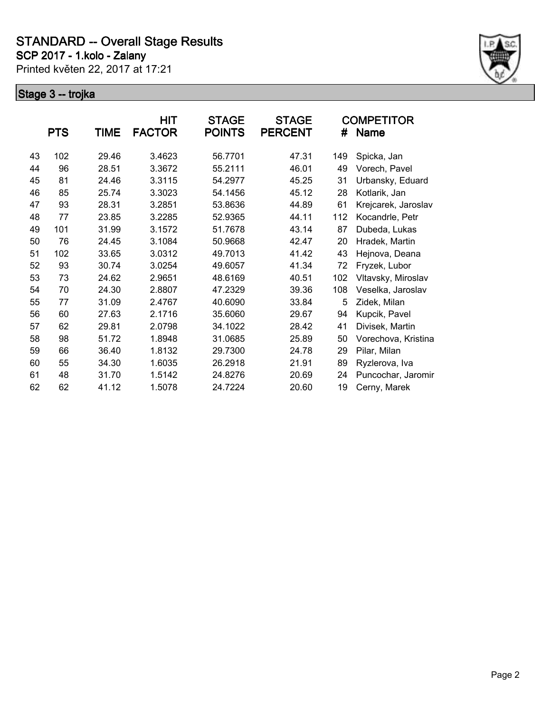**SCP 2017 - 1.kolo - Zalany**

Printed květen 22, 2017 at 17:21



|    | <b>PTS</b> | TIME  | HIT<br><b>FACTOR</b> | <b>STAGE</b><br><b>POINTS</b> | <b>STAGE</b><br><b>PERCENT</b> | #   | <b>COMPETITOR</b><br><b>Name</b> |
|----|------------|-------|----------------------|-------------------------------|--------------------------------|-----|----------------------------------|
| 43 | 102        | 29.46 | 3.4623               | 56.7701                       | 47.31                          | 149 | Spicka, Jan                      |
| 44 | 96         | 28.51 | 3.3672               | 55.2111                       | 46.01                          | 49  | Vorech, Pavel                    |
| 45 | 81         | 24.46 | 3.3115               | 54.2977                       | 45.25                          | 31  | Urbansky, Eduard                 |
| 46 | 85         | 25.74 | 3.3023               | 54.1456                       | 45.12                          | 28  | Kotlarik, Jan                    |
| 47 | 93         | 28.31 | 3.2851               | 53.8636                       | 44.89                          | 61  | Krejcarek, Jaroslav              |
| 48 | 77         | 23.85 | 3.2285               | 52.9365                       | 44.11                          | 112 | Kocandrle, Petr                  |
| 49 | 101        | 31.99 | 3.1572               | 51.7678                       | 43.14                          | 87  | Dubeda, Lukas                    |
| 50 | 76         | 24.45 | 3.1084               | 50.9668                       | 42.47                          | 20  | Hradek, Martin                   |
| 51 | 102        | 33.65 | 3.0312               | 49.7013                       | 41.42                          | 43  | Hejnova, Deana                   |
| 52 | 93         | 30.74 | 3.0254               | 49.6057                       | 41.34                          | 72  | Fryzek, Lubor                    |
| 53 | 73         | 24.62 | 2.9651               | 48.6169                       | 40.51                          | 102 | Vltavsky, Miroslav               |
| 54 | 70         | 24.30 | 2.8807               | 47.2329                       | 39.36                          | 108 | Veselka, Jaroslav                |
| 55 | 77         | 31.09 | 2.4767               | 40.6090                       | 33.84                          | 5   | Zidek, Milan                     |
| 56 | 60         | 27.63 | 2.1716               | 35.6060                       | 29.67                          | 94  | Kupcik, Pavel                    |
| 57 | 62         | 29.81 | 2.0798               | 34.1022                       | 28.42                          | 41  | Divisek, Martin                  |
| 58 | 98         | 51.72 | 1.8948               | 31.0685                       | 25.89                          | 50  | Vorechova, Kristina              |
| 59 | 66         | 36.40 | 1.8132               | 29.7300                       | 24.78                          | 29  | Pilar, Milan                     |
| 60 | 55         | 34.30 | 1.6035               | 26.2918                       | 21.91                          | 89  | Ryzlerova, Iva                   |
| 61 | 48         | 31.70 | 1.5142               | 24.8276                       | 20.69                          | 24  | Puncochar, Jaromir               |
| 62 | 62         | 41.12 | 1.5078               | 24.7224                       | 20.60                          | 19  | Cerny, Marek                     |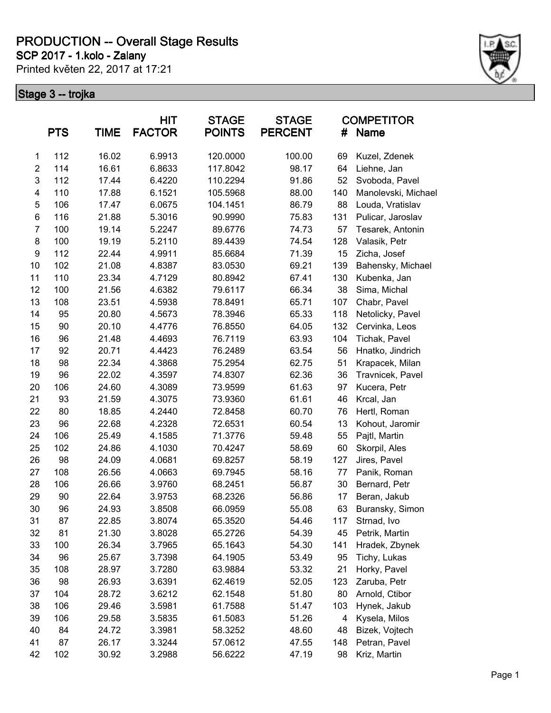**SCP 2017 - 1.kolo - Zalany**

Printed květen 22, 2017 at 17:21



|                         | <b>PTS</b> | TIME  | <b>HIT</b><br><b>FACTOR</b> | <b>STAGE</b><br><b>POINTS</b> | <b>STAGE</b><br><b>PERCENT</b> | #   | <b>COMPETITOR</b><br><b>Name</b> |
|-------------------------|------------|-------|-----------------------------|-------------------------------|--------------------------------|-----|----------------------------------|
| 1                       | 112        | 16.02 | 6.9913                      | 120.0000                      | 100.00                         | 69  | Kuzel, Zdenek                    |
| $\overline{\mathbf{c}}$ | 114        | 16.61 | 6.8633                      | 117.8042                      | 98.17                          | 64  | Liehne, Jan                      |
| 3                       | 112        | 17.44 | 6.4220                      | 110.2294                      | 91.86                          | 52  | Svoboda, Pavel                   |
| $\overline{\mathbf{4}}$ | 110        | 17.88 | 6.1521                      | 105.5968                      | 88.00                          | 140 | Manolevski, Michael              |
| 5                       | 106        | 17.47 | 6.0675                      | 104.1451                      | 86.79                          | 88  | Louda, Vratislav                 |
| 6                       | 116        | 21.88 | 5.3016                      | 90.9990                       | 75.83                          | 131 | Pulicar, Jaroslav                |
| $\overline{7}$          | 100        | 19.14 | 5.2247                      | 89.6776                       | 74.73                          | 57  | Tesarek, Antonin                 |
| 8                       | 100        | 19.19 | 5.2110                      | 89.4439                       | 74.54                          | 128 | Valasik, Petr                    |
| 9                       | 112        | 22.44 | 4.9911                      | 85.6684                       | 71.39                          | 15  | Zicha, Josef                     |
| 10                      | 102        | 21.08 | 4.8387                      | 83.0530                       | 69.21                          | 139 | Bahensky, Michael                |
| 11                      | 110        | 23.34 | 4.7129                      | 80.8942                       | 67.41                          | 130 | Kubenka, Jan                     |
| 12                      | 100        | 21.56 | 4.6382                      | 79.6117                       | 66.34                          | 38  | Sima, Michal                     |
| 13                      | 108        | 23.51 | 4.5938                      | 78.8491                       | 65.71                          | 107 | Chabr, Pavel                     |
| 14                      | 95         | 20.80 | 4.5673                      | 78.3946                       | 65.33                          | 118 | Netolicky, Pavel                 |
| 15                      | 90         | 20.10 | 4.4776                      | 76.8550                       | 64.05                          | 132 | Cervinka, Leos                   |
| 16                      | 96         | 21.48 | 4.4693                      | 76.7119                       | 63.93                          | 104 | Tichak, Pavel                    |
| 17                      | 92         | 20.71 | 4.4423                      | 76.2489                       | 63.54                          | 56  | Hnatko, Jindrich                 |
| 18                      | 98         | 22.34 | 4.3868                      | 75.2954                       | 62.75                          | 51  | Krapacek, Milan                  |
| 19                      | 96         | 22.02 | 4.3597                      | 74.8307                       | 62.36                          | 36  | Travnicek, Pavel                 |
| 20                      | 106        | 24.60 | 4.3089                      | 73.9599                       | 61.63                          | 97  | Kucera, Petr                     |
| 21                      | 93         | 21.59 | 4.3075                      | 73.9360                       | 61.61                          | 46  | Krcal, Jan                       |
| 22                      | 80         | 18.85 | 4.2440                      | 72.8458                       | 60.70                          | 76  | Hertl, Roman                     |
| 23                      | 96         | 22.68 | 4.2328                      | 72.6531                       | 60.54                          | 13  | Kohout, Jaromir                  |
| 24                      | 106        | 25.49 | 4.1585                      | 71.3776                       | 59.48                          | 55  | Pajtl, Martin                    |
| 25                      | 102        | 24.86 | 4.1030                      | 70.4247                       | 58.69                          | 60  | Skorpil, Ales                    |
| 26                      | 98         | 24.09 | 4.0681                      | 69.8257                       | 58.19                          | 127 | Jires, Pavel                     |
| 27                      | 108        | 26.56 | 4.0663                      | 69.7945                       | 58.16                          | 77  | Panik, Roman                     |
| 28                      | 106        | 26.66 | 3.9760                      | 68.2451                       | 56.87                          | 30  | Bernard, Petr                    |
| 29                      | 90         | 22.64 | 3.9753                      | 68.2326                       | 56.86                          | 17  | Beran, Jakub                     |
| 30                      | 96         | 24.93 | 3.8508                      | 66.0959                       | 55.08                          | 63  | Buransky, Simon                  |
| 31                      | 87         | 22.85 | 3.8074                      | 65.3520                       | 54.46                          | 117 | Strnad, Ivo                      |
| 32                      | 81         | 21.30 | 3.8028                      | 65.2726                       | 54.39                          | 45  | Petrik, Martin                   |
| 33                      | 100        | 26.34 | 3.7965                      | 65.1643                       | 54.30                          | 141 | Hradek, Zbynek                   |
| 34                      | 96         | 25.67 | 3.7398                      | 64.1905                       | 53.49                          | 95  | Tichy, Lukas                     |
| 35                      | 108        | 28.97 | 3.7280                      | 63.9884                       | 53.32                          | 21  | Horky, Pavel                     |
| 36                      | 98         | 26.93 | 3.6391                      | 62.4619                       | 52.05                          | 123 | Zaruba, Petr                     |
| 37                      | 104        | 28.72 | 3.6212                      | 62.1548                       | 51.80                          | 80  | Arnold, Ctibor                   |
| 38                      | 106        | 29.46 | 3.5981                      | 61.7588                       | 51.47                          | 103 | Hynek, Jakub                     |
| 39                      | 106        | 29.58 | 3.5835                      | 61.5083                       | 51.26                          | 4   | Kysela, Milos                    |
| 40                      | 84         | 24.72 | 3.3981                      | 58.3252                       | 48.60                          | 48  | Bizek, Vojtech                   |
| 41                      | 87         | 26.17 | 3.3244                      | 57.0612                       | 47.55                          | 148 | Petran, Pavel                    |
| 42                      | 102        | 30.92 | 3.2988                      | 56.6222                       | 47.19                          | 98  | Kriz, Martin                     |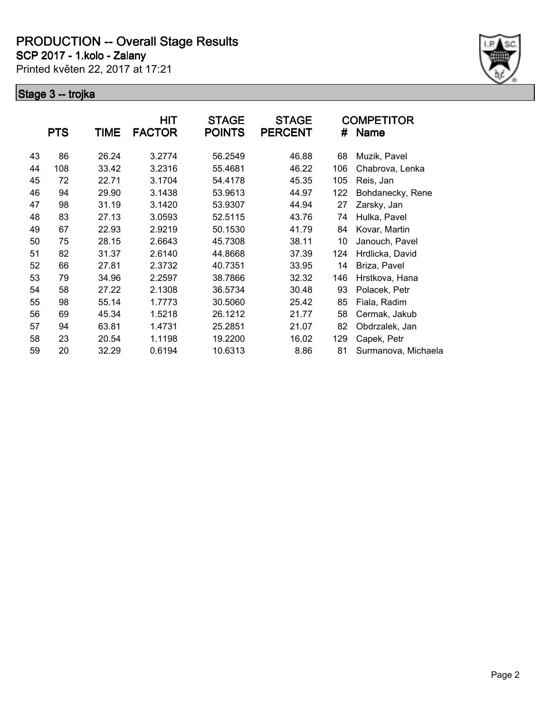**SCP 2017 - 1.kolo - Zalany**

Printed květen 22, 2017 at 17:21



|    | <b>PTS</b> | TIME  | HIT<br><b>FACTOR</b> | <b>STAGE</b><br><b>POINTS</b> | <b>STAGE</b><br><b>PERCENT</b> | #   | <b>COMPETITOR</b><br><b>Name</b> |
|----|------------|-------|----------------------|-------------------------------|--------------------------------|-----|----------------------------------|
| 43 | 86         | 26.24 | 3.2774               | 56.2549                       | 46.88                          | 68  | Muzik, Pavel                     |
| 44 | 108        | 33.42 | 3.2316               | 55.4681                       | 46.22                          | 106 | Chabrova, Lenka                  |
| 45 | 72         | 22.71 | 3.1704               | 54.4178                       | 45.35                          | 105 | Reis, Jan                        |
| 46 | 94         | 29.90 | 3.1438               | 53.9613                       | 44.97                          | 122 | Bohdanecky, Rene                 |
| 47 | 98         | 31.19 | 3.1420               | 53.9307                       | 44.94                          | 27  | Zarsky, Jan                      |
| 48 | 83         | 27.13 | 3.0593               | 52.5115                       | 43.76                          | 74  | Hulka, Pavel                     |
| 49 | 67         | 22.93 | 2.9219               | 50.1530                       | 41.79                          | 84  | Kovar, Martin                    |
| 50 | 75         | 28.15 | 2.6643               | 45.7308                       | 38.11                          | 10  | Janouch, Pavel                   |
| 51 | 82         | 31.37 | 2.6140               | 44.8668                       | 37.39                          | 124 | Hrdlicka, David                  |
| 52 | 66         | 27.81 | 2.3732               | 40.7351                       | 33.95                          | 14  | Briza, Pavel                     |
| 53 | 79         | 34.96 | 2.2597               | 38.7866                       | 32.32                          | 146 | Hrstkova, Hana                   |
| 54 | 58         | 27.22 | 2.1308               | 36.5734                       | 30.48                          | 93  | Polacek, Petr                    |
| 55 | 98         | 55.14 | 1.7773               | 30.5060                       | 25.42                          | 85  | Fiala, Radim                     |
| 56 | 69         | 45.34 | 1.5218               | 26.1212                       | 21.77                          | 58  | Cermak, Jakub                    |
| 57 | 94         | 63.81 | 1.4731               | 25.2851                       | 21.07                          | 82  | Obdrzalek, Jan                   |
| 58 | 23         | 20.54 | 1.1198               | 19.2200                       | 16.02                          | 129 | Capek, Petr                      |
| 59 | 20         | 32.29 | 0.6194               | 10.6313                       | 8.86                           | 81  | Surmanova, Michaela              |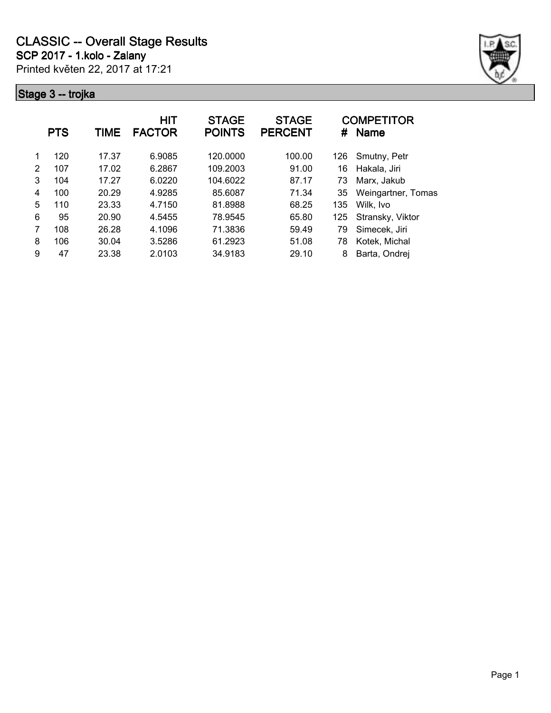

|   | <b>PTS</b> | TIME  | HIT<br><b>FACTOR</b> | <b>STAGE</b><br><b>POINTS</b> | <b>STAGE</b><br><b>PERCENT</b> | #   | <b>COMPETITOR</b><br><b>Name</b> |
|---|------------|-------|----------------------|-------------------------------|--------------------------------|-----|----------------------------------|
| 1 | 120        | 17.37 | 6.9085               | 120.0000                      | 100.00                         | 126 | Smutny, Petr                     |
| 2 | 107        | 17.02 | 6.2867               | 109.2003                      | 91.00                          | 16  | Hakala, Jiri                     |
| 3 | 104        | 17.27 | 6.0220               | 104.6022                      | 87.17                          | 73  | Marx, Jakub                      |
| 4 | 100        | 20.29 | 4.9285               | 85.6087                       | 71.34                          | 35  | Weingartner, Tomas               |
| 5 | 110        | 23.33 | 4.7150               | 81.8988                       | 68.25                          | 135 | Wilk, Ivo                        |
| 6 | 95         | 20.90 | 4.5455               | 78.9545                       | 65.80                          | 125 | Stransky, Viktor                 |
|   | 108        | 26.28 | 4.1096               | 71.3836                       | 59.49                          | 79  | Simecek, Jiri                    |
| 8 | 106        | 30.04 | 3.5286               | 61.2923                       | 51.08                          | 78  | Kotek, Michal                    |
| 9 | 47         | 23.38 | 2.0103               | 34.9183                       | 29.10                          | 8   | Barta, Ondrej                    |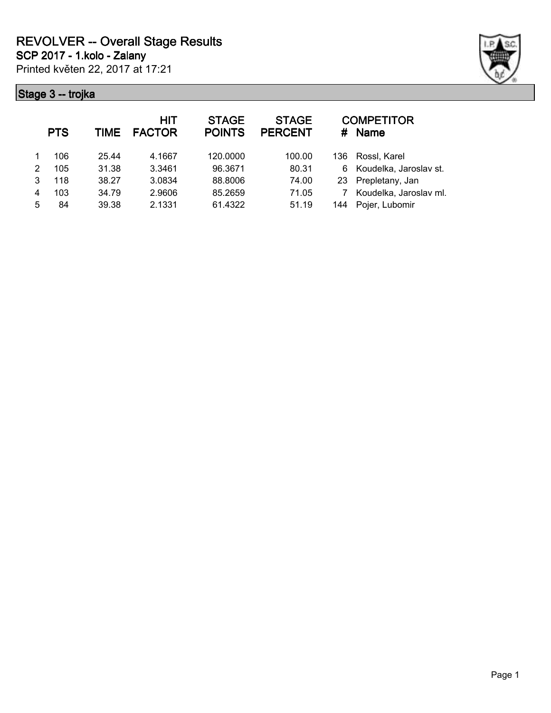

|   | <b>PTS</b> | <b>TIME</b> | <b>HIT</b><br><b>FACTOR</b> | <b>STAGE</b><br><b>POINTS</b> | <b>STAGE</b><br><b>PERCENT</b> | #    | <b>COMPETITOR</b><br><b>Name</b> |
|---|------------|-------------|-----------------------------|-------------------------------|--------------------------------|------|----------------------------------|
|   | 106        | 25.44       | 4.1667                      | 120,0000                      | 100.00                         | 136. | Rossl, Karel                     |
| 2 | 105        | 31.38       | 3.3461                      | 96.3671                       | 80.31                          | 6    | Koudelka, Jaroslav st.           |
| 3 | 118        | 38.27       | 3.0834                      | 88.8006                       | 74.00                          | 23   | Prepletany, Jan                  |
| 4 | 103        | 34.79       | 2.9606                      | 85.2659                       | 71.05                          |      | Koudelka, Jaroslav ml.           |
| 5 | 84         | 39.38       | 2.1331                      | 61.4322                       | 51.19                          | 144  | Pojer, Lubomir                   |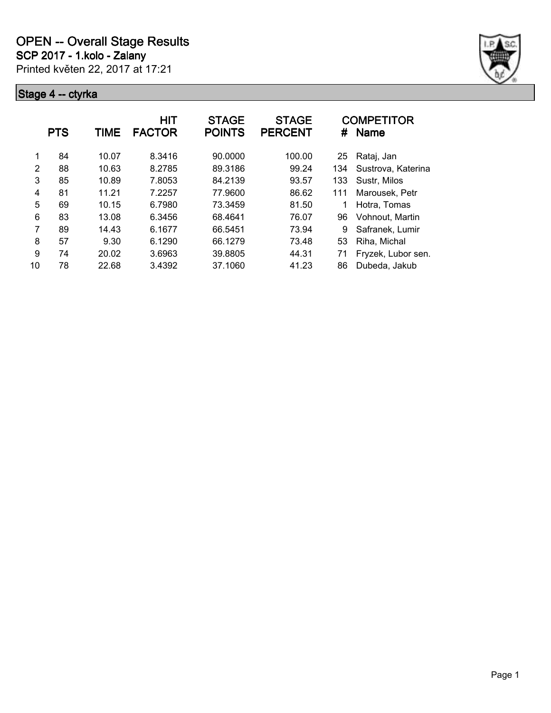

|    | <b>PTS</b> | TIME  | <b>HIT</b><br><b>FACTOR</b> | <b>STAGE</b><br><b>POINTS</b> | <b>STAGE</b><br><b>PERCENT</b> | #   | <b>COMPETITOR</b><br>Name |
|----|------------|-------|-----------------------------|-------------------------------|--------------------------------|-----|---------------------------|
| 1  | 84         | 10.07 | 8.3416                      | 90.0000                       | 100.00                         | 25  | Rataj, Jan                |
| 2  | 88         | 10.63 | 8.2785                      | 89.3186                       | 99.24                          | 134 | Sustrova, Katerina        |
| 3  | 85         | 10.89 | 7.8053                      | 84.2139                       | 93.57                          | 133 | Sustr, Milos              |
| 4  | 81         | 11.21 | 7.2257                      | 77.9600                       | 86.62                          | 111 | Marousek, Petr            |
| 5  | 69         | 10.15 | 6.7980                      | 73.3459                       | 81.50                          |     | Hotra, Tomas              |
| 6  | 83         | 13.08 | 6.3456                      | 68.4641                       | 76.07                          | 96  | Vohnout, Martin           |
| 7  | 89         | 14.43 | 6.1677                      | 66.5451                       | 73.94                          | 9   | Safranek, Lumir           |
| 8  | 57         | 9.30  | 6.1290                      | 66.1279                       | 73.48                          | 53  | Riha, Michal              |
| 9  | 74         | 20.02 | 3.6963                      | 39.8805                       | 44.31                          | 71  | Fryzek, Lubor sen.        |
| 10 | 78         | 22.68 | 3.4392                      | 37.1060                       | 41.23                          | 86  | Dubeda, Jakub             |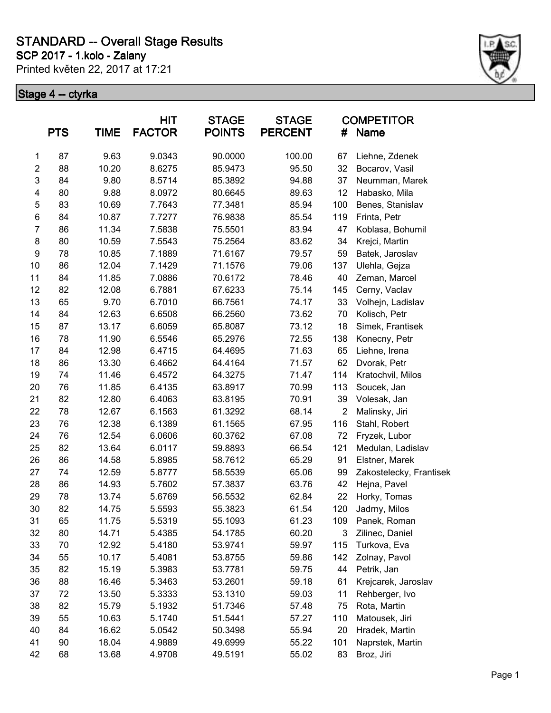Printed květen 22, 2017 at 17:21 **SCP 2017 - 1.kolo - Zalany**



| <b>PTS</b>     |    | <b>TIME</b> | <b>HIT</b><br><b>FACTOR</b> | <b>STAGE</b><br><b>POINTS</b> |        | #              | <b>COMPETITOR</b><br><b>Name</b> |
|----------------|----|-------------|-----------------------------|-------------------------------|--------|----------------|----------------------------------|
| 1              | 87 | 9.63        | 9.0343                      | 90.0000                       | 100.00 | 67             | Liehne, Zdenek                   |
| $\overline{c}$ | 88 | 10.20       | 8.6275                      | 85.9473                       | 95.50  | 32             | Bocarov, Vasil                   |
| $\mathsf 3$    | 84 | 9.80        | 8.5714                      | 85.3892                       | 94.88  | 37             | Neumman, Marek                   |
| 4              | 80 | 9.88        | 8.0972                      | 80.6645                       | 89.63  | 12             | Habasko, Mila                    |
| 5              | 83 | 10.69       | 7.7643                      | 77.3481                       | 85.94  | 100            | Benes, Stanislav                 |
| 6              | 84 | 10.87       | 7.7277                      | 76.9838                       | 85.54  | 119            | Frinta, Petr                     |
| $\overline{7}$ | 86 | 11.34       | 7.5838                      | 75.5501                       | 83.94  | 47             | Koblasa, Bohumil                 |
| 8              | 80 | 10.59       | 7.5543                      | 75.2564                       | 83.62  | 34             | Krejci, Martin                   |
| 9              | 78 | 10.85       | 7.1889                      | 71.6167                       | 79.57  | 59             | Batek, Jaroslav                  |
| 10             | 86 | 12.04       | 7.1429                      | 71.1576                       | 79.06  | 137            | Ulehla, Gejza                    |
| 11             | 84 | 11.85       | 7.0886                      | 70.6172                       | 78.46  | 40             | Zeman, Marcel                    |
| 12             | 82 | 12.08       | 6.7881                      | 67.6233                       | 75.14  | 145            | Cerny, Vaclav                    |
| 13             | 65 | 9.70        | 6.7010                      | 66.7561                       | 74.17  | 33             | Volhejn, Ladislav                |
| 14             | 84 | 12.63       | 6.6508                      | 66.2560                       | 73.62  | 70             | Kolisch, Petr                    |
| 15             | 87 | 13.17       | 6.6059                      | 65.8087                       | 73.12  | 18             | Simek, Frantisek                 |
| 16             | 78 | 11.90       | 6.5546                      | 65.2976                       | 72.55  | 138            | Konecny, Petr                    |
| 17             | 84 | 12.98       | 6.4715                      | 64.4695                       | 71.63  | 65             | Liehne, Irena                    |
| 18             | 86 | 13.30       | 6.4662                      | 64.4164                       | 71.57  | 62             | Dvorak, Petr                     |
| 19             | 74 | 11.46       | 6.4572                      | 64.3275                       | 71.47  | 114            | Kratochvil, Milos                |
| 20             | 76 | 11.85       | 6.4135                      | 63.8917                       | 70.99  | 113            | Soucek, Jan                      |
| 21             | 82 | 12.80       | 6.4063                      | 63.8195                       | 70.91  | 39             | Volesak, Jan                     |
| 22             | 78 | 12.67       | 6.1563                      | 61.3292                       | 68.14  | $\overline{2}$ | Malinsky, Jiri                   |
| 23             | 76 | 12.38       | 6.1389                      | 61.1565                       | 67.95  | 116            | Stahl, Robert                    |
| 24             | 76 | 12.54       | 6.0606                      | 60.3762                       | 67.08  | 72             | Fryzek, Lubor                    |
| 25             | 82 | 13.64       | 6.0117                      | 59.8893                       | 66.54  | 121            | Medulan, Ladislav                |
| 26             | 86 | 14.58       | 5.8985                      | 58.7612                       | 65.29  | 91             | Elstner, Marek                   |
| 27             | 74 | 12.59       | 5.8777                      | 58.5539                       | 65.06  | 99             | Zakostelecky, Frantisek          |
| 28             | 86 | 14.93       | 5.7602                      | 57.3837                       | 63.76  | 42             | Hejna, Pavel                     |
| 29             | 78 | 13.74       | 5.6769                      | 56.5532                       | 62.84  | 22             | Horky, Tomas                     |
| 30             | 82 | 14.75       | 5.5593                      | 55.3823                       | 61.54  | 120            | Jadrny, Milos                    |
| 31             | 65 | 11.75       | 5.5319                      | 55.1093                       | 61.23  | 109            | Panek, Roman                     |
| 32             | 80 | 14.71       | 5.4385                      | 54.1785                       | 60.20  | 3              | Zilinec, Daniel                  |
| 33             | 70 | 12.92       | 5.4180                      | 53.9741                       | 59.97  | 115            | Turkova, Eva                     |
| 34             | 55 | 10.17       | 5.4081                      | 53.8755                       | 59.86  | 142            | Zolnay, Pavol                    |
| 35             | 82 | 15.19       | 5.3983                      | 53.7781                       | 59.75  | 44             | Petrik, Jan                      |
| 36             | 88 | 16.46       | 5.3463                      | 53.2601                       | 59.18  | 61             | Krejcarek, Jaroslav              |
| 37             | 72 | 13.50       | 5.3333                      | 53.1310                       | 59.03  | 11             | Rehberger, Ivo                   |
| 38             | 82 | 15.79       | 5.1932                      | 51.7346                       | 57.48  | 75             | Rota, Martin                     |
| 39             | 55 | 10.63       | 5.1740                      | 51.5441                       | 57.27  | 110            | Matousek, Jiri                   |
| 40             | 84 | 16.62       | 5.0542                      | 50.3498                       | 55.94  | 20             | Hradek, Martin                   |
| 41             | 90 | 18.04       | 4.9889                      | 49.6999                       | 55.22  | 101            | Naprstek, Martin                 |
| 42             | 68 | 13.68       | 4.9708                      | 49.5191                       | 55.02  | 83             | Broz, Jiri                       |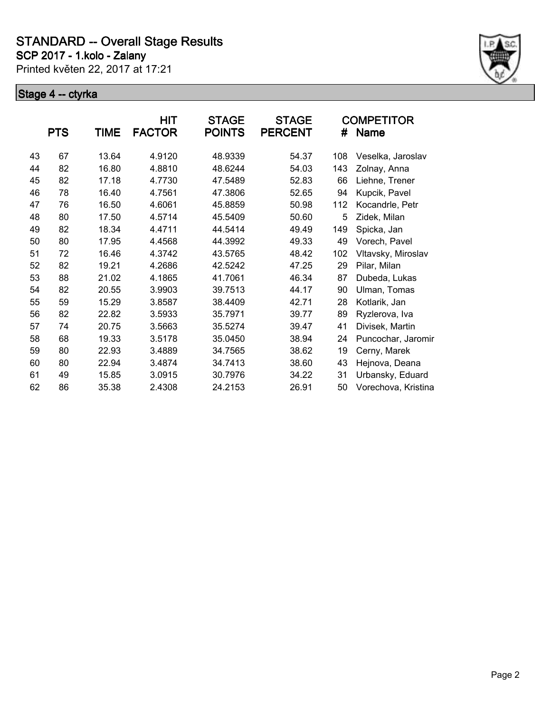**SCP 2017 - 1.kolo - Zalany**

Printed květen 22, 2017 at 17:21



|    |            |       | <b>HIT</b>    | <b>STAGE</b>  | <b>STAGE</b>   |     | <b>COMPETITOR</b>   |
|----|------------|-------|---------------|---------------|----------------|-----|---------------------|
|    | <b>PTS</b> | TIME  | <b>FACTOR</b> | <b>POINTS</b> | <b>PERCENT</b> | #   | <b>Name</b>         |
| 43 | 67         | 13.64 | 4.9120        | 48.9339       | 54.37          | 108 | Veselka, Jaroslav   |
| 44 | 82         | 16.80 | 4.8810        | 48.6244       | 54.03          | 143 | Zolnay, Anna        |
| 45 | 82         | 17.18 | 4.7730        | 47.5489       | 52.83          | 66  | Liehne, Trener      |
| 46 | 78         | 16.40 | 4.7561        | 47.3806       | 52.65          | 94  | Kupcik, Pavel       |
| 47 | 76         | 16.50 | 4.6061        | 45.8859       | 50.98          | 112 | Kocandrle, Petr     |
| 48 | 80         | 17.50 | 4.5714        | 45.5409       | 50.60          | 5   | Zidek, Milan        |
| 49 | 82         | 18.34 | 4.4711        | 44.5414       | 49.49          | 149 | Spicka, Jan         |
| 50 | 80         | 17.95 | 4.4568        | 44.3992       | 49.33          | 49  | Vorech, Pavel       |
| 51 | 72         | 16.46 | 4.3742        | 43.5765       | 48.42          | 102 | Vltavsky, Miroslav  |
| 52 | 82         | 19.21 | 4.2686        | 42.5242       | 47.25          | 29  | Pilar, Milan        |
| 53 | 88         | 21.02 | 4.1865        | 41.7061       | 46.34          | 87  | Dubeda, Lukas       |
| 54 | 82         | 20.55 | 3.9903        | 39.7513       | 44.17          | 90  | Ulman, Tomas        |
| 55 | 59         | 15.29 | 3.8587        | 38.4409       | 42.71          | 28  | Kotlarik, Jan       |
| 56 | 82         | 22.82 | 3.5933        | 35.7971       | 39.77          | 89  | Ryzlerova, Iva      |
| 57 | 74         | 20.75 | 3.5663        | 35.5274       | 39.47          | 41  | Divisek, Martin     |
| 58 | 68         | 19.33 | 3.5178        | 35.0450       | 38.94          | 24  | Puncochar, Jaromir  |
| 59 | 80         | 22.93 | 3.4889        | 34.7565       | 38.62          | 19  | Cerny, Marek        |
| 60 | 80         | 22.94 | 3.4874        | 34.7413       | 38.60          | 43  | Hejnova, Deana      |
| 61 | 49         | 15.85 | 3.0915        | 30.7976       | 34.22          | 31  | Urbansky, Eduard    |
| 62 | 86         | 35.38 | 2.4308        | 24.2153       | 26.91          | 50  | Vorechova, Kristina |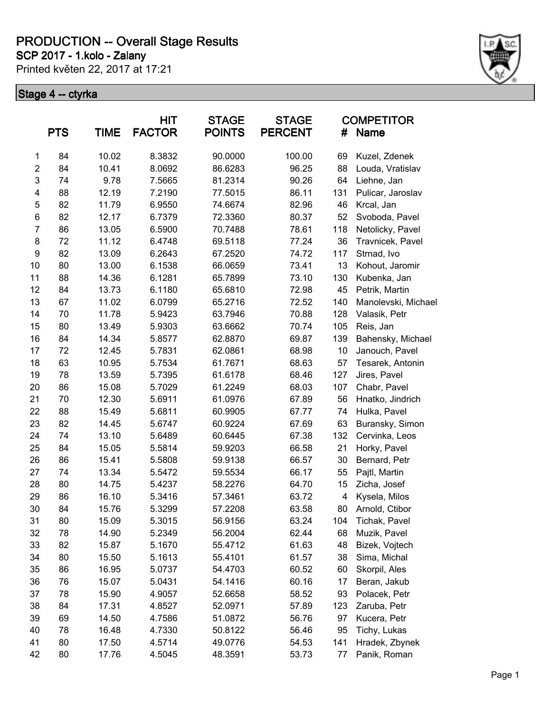**SCP 2017 - 1.kolo - Zalany**

Printed květen 22, 2017 at 17:21



|                         | <b>PTS</b> | TIME  | <b>HIT</b><br><b>FACTOR</b> | <b>STAGE</b><br><b>POINTS</b> | <b>STAGE</b><br><b>PERCENT</b> | #   | <b>COMPETITOR</b><br><b>Name</b> |
|-------------------------|------------|-------|-----------------------------|-------------------------------|--------------------------------|-----|----------------------------------|
| 1                       | 84         | 10.02 | 8.3832                      | 90.0000                       | 100.00                         | 69  | Kuzel, Zdenek                    |
| $\overline{\mathbf{c}}$ | 84         | 10.41 | 8.0692                      | 86.6283                       | 96.25                          | 88  | Louda, Vratislav                 |
| 3                       | 74         | 9.78  | 7.5665                      | 81.2314                       | 90.26                          | 64  | Liehne, Jan                      |
| 4                       | 88         | 12.19 | 7.2190                      | 77.5015                       | 86.11                          | 131 | Pulicar, Jaroslav                |
| 5                       | 82         | 11.79 | 6.9550                      | 74.6674                       | 82.96                          | 46  | Krcal, Jan                       |
| 6                       | 82         | 12.17 | 6.7379                      | 72.3360                       | 80.37                          | 52  | Svoboda, Pavel                   |
| $\overline{7}$          | 86         | 13.05 | 6.5900                      | 70.7488                       | 78.61                          | 118 | Netolicky, Pavel                 |
| 8                       | 72         | 11.12 | 6.4748                      | 69.5118                       | 77.24                          | 36  | Travnicek, Pavel                 |
| 9                       | 82         | 13.09 | 6.2643                      | 67.2520                       | 74.72                          | 117 | Strnad, Ivo                      |
| 10                      | 80         | 13.00 | 6.1538                      | 66.0659                       | 73.41                          | 13  | Kohout, Jaromir                  |
| 11                      | 88         | 14.36 | 6.1281                      | 65.7899                       | 73.10                          | 130 | Kubenka, Jan                     |
| 12                      | 84         | 13.73 | 6.1180                      | 65.6810                       | 72.98                          | 45  | Petrik, Martin                   |
| 13                      | 67         | 11.02 | 6.0799                      | 65.2716                       | 72.52                          | 140 | Manolevski, Michael              |
| 14                      | 70         | 11.78 | 5.9423                      | 63.7946                       | 70.88                          | 128 | Valasik, Petr                    |
| 15                      | 80         | 13.49 | 5.9303                      | 63.6662                       | 70.74                          | 105 | Reis, Jan                        |
| 16                      | 84         | 14.34 | 5.8577                      | 62.8870                       | 69.87                          | 139 | Bahensky, Michael                |
| 17                      | 72         | 12.45 | 5.7831                      | 62.0861                       | 68.98                          | 10  | Janouch, Pavel                   |
| 18                      | 63         | 10.95 | 5.7534                      | 61.7671                       | 68.63                          | 57  | Tesarek, Antonin                 |
| 19                      | 78         | 13.59 | 5.7395                      | 61.6178                       | 68.46                          | 127 | Jires, Pavel                     |
| 20                      | 86         | 15.08 | 5.7029                      | 61.2249                       | 68.03                          | 107 | Chabr, Pavel                     |
| 21                      | 70         | 12.30 | 5.6911                      | 61.0976                       | 67.89                          | 56  | Hnatko, Jindrich                 |
| 22                      | 88         | 15.49 | 5.6811                      | 60.9905                       | 67.77                          | 74  | Hulka, Pavel                     |
| 23                      | 82         | 14.45 | 5.6747                      | 60.9224                       | 67.69                          | 63  | Buransky, Simon                  |
| 24                      | 74         | 13.10 | 5.6489                      | 60.6445                       | 67.38                          | 132 | Cervinka, Leos                   |
| 25                      | 84         | 15.05 | 5.5814                      | 59.9203                       | 66.58                          | 21  | Horky, Pavel                     |
| 26                      | 86         | 15.41 | 5.5808                      | 59.9138                       | 66.57                          | 30  | Bernard, Petr                    |
| 27                      | 74         | 13.34 | 5.5472                      | 59.5534                       | 66.17                          | 55  | Pajtl, Martin                    |
| 28                      | 80         | 14.75 | 5.4237                      | 58.2276                       | 64.70                          | 15  | Zicha, Josef                     |
| 29                      | 86         | 16.10 | 5.3416                      | 57.3461                       | 63.72                          | 4   | Kysela, Milos                    |
| 30                      | 84         | 15.76 | 5.3299                      | 57.2208                       | 63.58                          | 80  | Arnold, Ctibor                   |
| 31                      | 80         | 15.09 | 5.3015                      | 56.9156                       | 63.24                          | 104 | Tichak, Pavel                    |
| 32                      | 78         | 14.90 | 5.2349                      | 56.2004                       | 62.44                          | 68  | Muzik, Pavel                     |
| 33                      | 82         | 15.87 | 5.1670                      | 55.4712                       | 61.63                          | 48  | Bizek, Vojtech                   |
| 34                      | 80         | 15.50 | 5.1613                      | 55.4101                       | 61.57                          | 38  | Sima, Michal                     |
| 35                      | 86         | 16.95 | 5.0737                      | 54.4703                       | 60.52                          | 60  | Skorpil, Ales                    |
| 36                      | 76         | 15.07 | 5.0431                      | 54.1416                       | 60.16                          | 17  | Beran, Jakub                     |
| 37                      | 78         | 15.90 | 4.9057                      | 52.6658                       | 58.52                          | 93  | Polacek, Petr                    |
| 38                      | 84         | 17.31 | 4.8527                      | 52.0971                       | 57.89                          | 123 | Zaruba, Petr                     |
| 39                      | 69         | 14.50 | 4.7586                      | 51.0872                       | 56.76                          | 97  | Kucera, Petr                     |
| 40                      | 78         | 16.48 | 4.7330                      | 50.8122                       | 56.46                          | 95  | Tichy, Lukas                     |
| 41                      | 80         | 17.50 | 4.5714                      | 49.0776                       | 54.53                          | 141 | Hradek, Zbynek                   |
| 42                      | 80         | 17.76 | 4.5045                      | 48.3591                       | 53.73                          | 77  | Panik, Roman                     |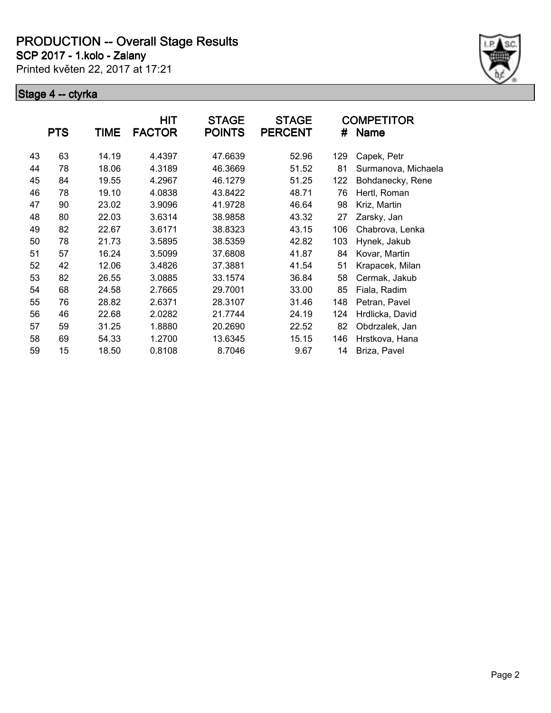**SCP 2017 - 1.kolo - Zalany**

Printed květen 22, 2017 at 17:21



|    |            |             | <b>HIT</b>    | <b>STAGE</b>  | <b>STAGE</b>   |     | <b>COMPETITOR</b>   |
|----|------------|-------------|---------------|---------------|----------------|-----|---------------------|
|    | <b>PTS</b> | <b>TIME</b> | <b>FACTOR</b> | <b>POINTS</b> | <b>PERCENT</b> | #   | <b>Name</b>         |
| 43 | 63         | 14.19       | 4.4397        | 47.6639       | 52.96          | 129 | Capek, Petr         |
| 44 | 78         | 18.06       | 4.3189        | 46.3669       | 51.52          | 81  | Surmanova, Michaela |
| 45 | 84         | 19.55       | 4.2967        | 46.1279       | 51.25          | 122 | Bohdanecky, Rene    |
| 46 | 78         | 19.10       | 4.0838        | 43.8422       | 48.71          | 76  | Hertl, Roman        |
| 47 | 90         | 23.02       | 3.9096        | 41.9728       | 46.64          | 98  | Kriz, Martin        |
| 48 | 80         | 22.03       | 3.6314        | 38.9858       | 43.32          | 27  | Zarsky, Jan         |
| 49 | 82         | 22.67       | 3.6171        | 38.8323       | 43.15          | 106 | Chabrova, Lenka     |
| 50 | 78         | 21.73       | 3.5895        | 38.5359       | 42.82          | 103 | Hynek, Jakub        |
| 51 | 57         | 16.24       | 3.5099        | 37.6808       | 41.87          | 84  | Kovar, Martin       |
| 52 | 42         | 12.06       | 3.4826        | 37.3881       | 41.54          | 51  | Krapacek, Milan     |
| 53 | 82         | 26.55       | 3.0885        | 33.1574       | 36.84          | 58  | Cermak, Jakub       |
| 54 | 68         | 24.58       | 2.7665        | 29.7001       | 33.00          | 85  | Fiala, Radim        |
| 55 | 76         | 28.82       | 2.6371        | 28.3107       | 31.46          | 148 | Petran, Pavel       |
| 56 | 46         | 22.68       | 2.0282        | 21.7744       | 24.19          | 124 | Hrdlicka, David     |
| 57 | 59         | 31.25       | 1.8880        | 20.2690       | 22.52          | 82  | Obdrzalek, Jan      |
| 58 | 69         | 54.33       | 1.2700        | 13.6345       | 15.15          | 146 | Hrstkova, Hana      |
| 59 | 15         | 18.50       | 0.8108        | 8.7046        | 9.67           | 14  | Briza, Pavel        |
|    |            |             |               |               |                |     |                     |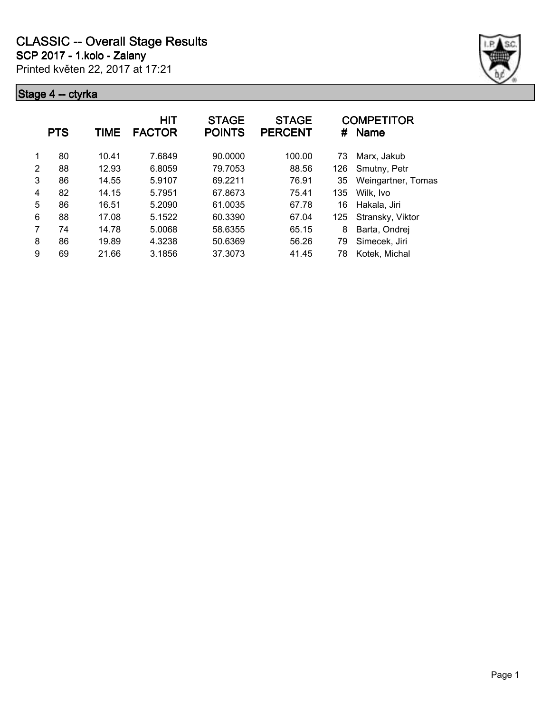

| 80<br>7.6849<br>90.0000<br>10.41<br>100.00<br>1<br>73<br>Marx, Jakub<br>$\mathfrak{p}$<br>12.93<br>79.7053<br>88<br>6.8059<br>88.56<br>126<br>Smutny, Petr<br>3<br>86<br>69.2211<br>Weingartner, Tomas<br>14.55<br>5.9107<br>76.91<br>35<br>82<br>5.7951<br>14.15<br>67.8673<br>75.41<br>135<br>Wilk, Ivo<br>$\overline{4}$<br>5<br>86<br>5.2090<br>61.0035<br>16.51<br>67.78<br>16<br>Hakala, Jiri |  |
|-----------------------------------------------------------------------------------------------------------------------------------------------------------------------------------------------------------------------------------------------------------------------------------------------------------------------------------------------------------------------------------------------------|--|
|                                                                                                                                                                                                                                                                                                                                                                                                     |  |
|                                                                                                                                                                                                                                                                                                                                                                                                     |  |
|                                                                                                                                                                                                                                                                                                                                                                                                     |  |
|                                                                                                                                                                                                                                                                                                                                                                                                     |  |
|                                                                                                                                                                                                                                                                                                                                                                                                     |  |
| 6<br>88<br>60.3390<br>17.08<br>5.1522<br>67.04<br>125<br>Stransky, Viktor                                                                                                                                                                                                                                                                                                                           |  |
| 7<br>74<br>14.78<br>5.0068<br>58.6355<br>65.15<br>8<br>Barta, Ondrej                                                                                                                                                                                                                                                                                                                                |  |
| 8<br>86<br>19.89<br>4.3238<br>50.6369<br>Simecek, Jiri<br>56.26<br>79                                                                                                                                                                                                                                                                                                                               |  |
| 9<br>37.3073<br>69<br>21.66<br>3.1856<br>41.45<br>Kotek, Michal<br>78                                                                                                                                                                                                                                                                                                                               |  |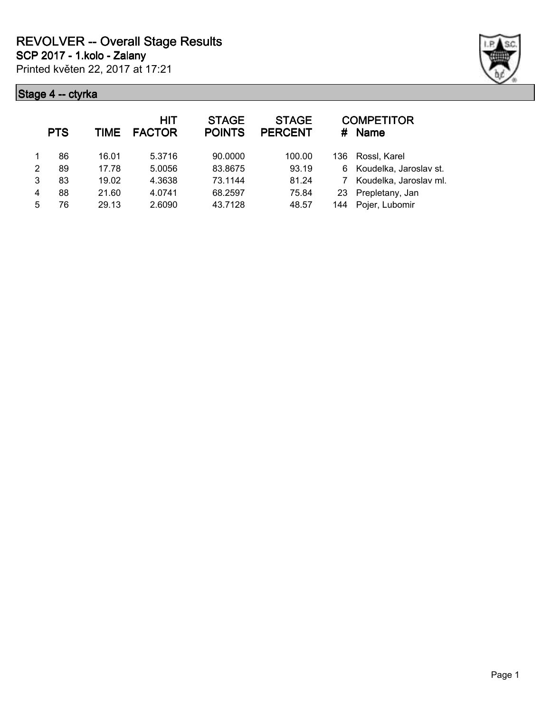

|   | <b>PTS</b> | <b>TIME</b> | <b>HIT</b><br><b>FACTOR</b> | <b>STAGE</b><br><b>POINTS</b> | <b>STAGE</b><br><b>PERCENT</b> | #    | <b>COMPETITOR</b><br><b>Name</b> |
|---|------------|-------------|-----------------------------|-------------------------------|--------------------------------|------|----------------------------------|
|   | 86         | 16.01       | 5.3716                      | 90.0000                       | 100.00                         | 136. | Rossl, Karel                     |
| 2 | 89         | 17.78       | 5.0056                      | 83.8675                       | 93.19                          | 6    | Koudelka, Jaroslav st.           |
| 3 | 83         | 19.02       | 4.3638                      | 73.1144                       | 81.24                          |      | Koudelka, Jaroslav ml.           |
| 4 | 88         | 21.60       | 4.0741                      | 68.2597                       | 75.84                          | 23   | Prepletany, Jan                  |
| 5 | 76         | 29.13       | 2.6090                      | 43.7128                       | 48.57                          | 144  | Pojer, Lubomir                   |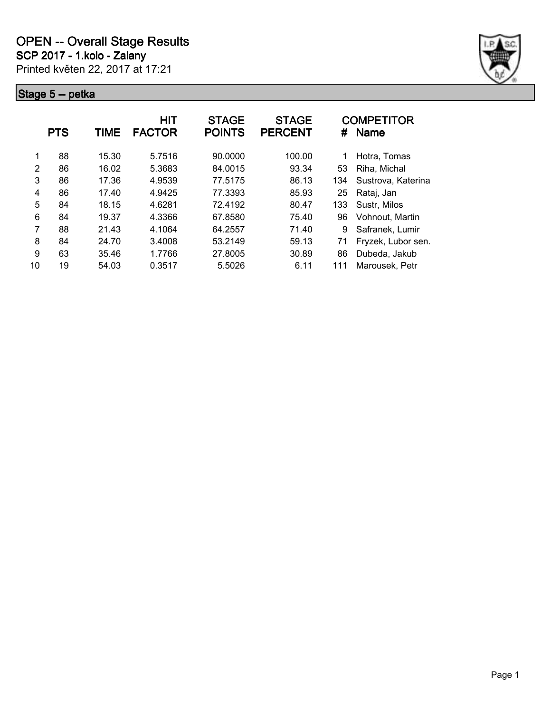

|    | <b>PTS</b> | TIME  | <b>HIT</b><br><b>FACTOR</b> | <b>STAGE</b><br><b>POINTS</b> | <b>STAGE</b><br><b>PERCENT</b> | #   | <b>COMPETITOR</b><br><b>Name</b> |
|----|------------|-------|-----------------------------|-------------------------------|--------------------------------|-----|----------------------------------|
| 1  | 88         | 15.30 | 5.7516                      | 90.0000                       | 100.00                         | 1   | Hotra, Tomas                     |
| 2  | 86         | 16.02 | 5.3683                      | 84.0015                       | 93.34                          | 53  | Riha, Michal                     |
| 3  | 86         | 17.36 | 4.9539                      | 77.5175                       | 86.13                          | 134 | Sustrova, Katerina               |
| 4  | 86         | 17.40 | 4.9425                      | 77.3393                       | 85.93                          | 25  | Rataj, Jan                       |
| 5  | 84         | 18.15 | 4.6281                      | 72.4192                       | 80.47                          | 133 | Sustr, Milos                     |
| 6  | 84         | 19.37 | 4.3366                      | 67.8580                       | 75.40                          | 96  | Vohnout, Martin                  |
| 7  | 88         | 21.43 | 4.1064                      | 64.2557                       | 71.40                          | 9   | Safranek, Lumir                  |
| 8  | 84         | 24.70 | 3.4008                      | 53.2149                       | 59.13                          | 71  | Fryzek, Lubor sen.               |
| 9  | 63         | 35.46 | 1.7766                      | 27.8005                       | 30.89                          | 86  | Dubeda, Jakub                    |
| 10 | 19         | 54.03 | 0.3517                      | 5.5026                        | 6.11                           | 111 | Marousek, Petr                   |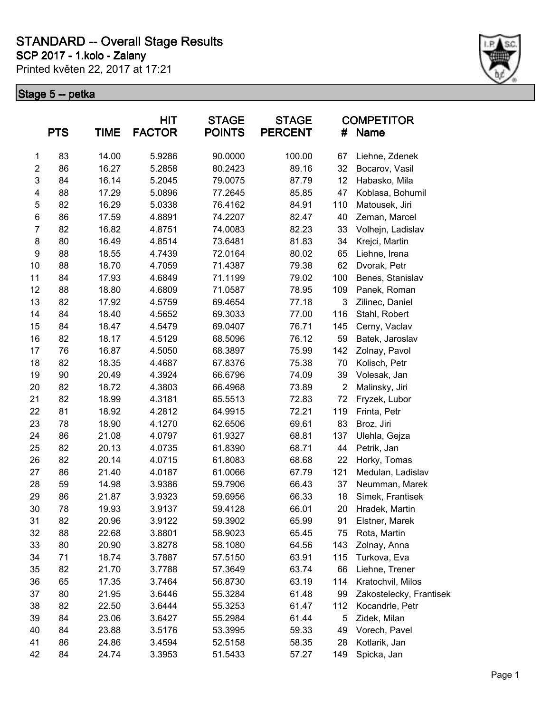**SCP 2017 - 1.kolo - Zalany**

Printed květen 22, 2017 at 17:21



|                         | <b>PTS</b> | TIME  | <b>HIT</b><br><b>FACTOR</b> | <b>STAGE</b><br><b>POINTS</b> | <b>STAGE</b><br><b>PERCENT</b> | #              | <b>COMPETITOR</b><br><b>Name</b> |
|-------------------------|------------|-------|-----------------------------|-------------------------------|--------------------------------|----------------|----------------------------------|
| 1                       | 83         | 14.00 | 5.9286                      | 90.0000                       | 100.00                         | 67             | Liehne, Zdenek                   |
| $\overline{\mathbf{c}}$ | 86         | 16.27 | 5.2858                      | 80.2423                       | 89.16                          | 32             | Bocarov, Vasil                   |
| 3                       | 84         | 16.14 | 5.2045                      | 79.0075                       | 87.79                          | 12             | Habasko, Mila                    |
| 4                       | 88         | 17.29 | 5.0896                      | 77.2645                       | 85.85                          | 47             | Koblasa, Bohumil                 |
| 5                       | 82         | 16.29 | 5.0338                      | 76.4162                       | 84.91                          | 110            | Matousek, Jiri                   |
| 6                       | 86         | 17.59 | 4.8891                      | 74.2207                       | 82.47                          | 40             | Zeman, Marcel                    |
| $\overline{7}$          | 82         | 16.82 | 4.8751                      | 74.0083                       | 82.23                          | 33             | Volhejn, Ladislav                |
| 8                       | 80         | 16.49 | 4.8514                      | 73.6481                       | 81.83                          | 34             | Krejci, Martin                   |
| 9                       | 88         | 18.55 | 4.7439                      | 72.0164                       | 80.02                          | 65             | Liehne, Irena                    |
| 10                      | 88         | 18.70 | 4.7059                      | 71.4387                       | 79.38                          | 62             | Dvorak, Petr                     |
| 11                      | 84         | 17.93 | 4.6849                      | 71.1199                       | 79.02                          | 100            | Benes, Stanislav                 |
| 12                      | 88         | 18.80 | 4.6809                      | 71.0587                       | 78.95                          | 109            | Panek, Roman                     |
| 13                      | 82         | 17.92 | 4.5759                      | 69.4654                       | 77.18                          | 3              | Zilinec, Daniel                  |
| 14                      | 84         | 18.40 | 4.5652                      | 69.3033                       | 77.00                          | 116            | Stahl, Robert                    |
| 15                      | 84         | 18.47 | 4.5479                      | 69.0407                       | 76.71                          | 145            | Cerny, Vaclav                    |
| 16                      | 82         | 18.17 | 4.5129                      | 68.5096                       | 76.12                          | 59             | Batek, Jaroslav                  |
| 17                      | 76         | 16.87 | 4.5050                      | 68.3897                       | 75.99                          | 142            | Zolnay, Pavol                    |
| 18                      | 82         | 18.35 | 4.4687                      | 67.8376                       | 75.38                          | 70             | Kolisch, Petr                    |
| 19                      | 90         | 20.49 | 4.3924                      | 66.6796                       | 74.09                          | 39             | Volesak, Jan                     |
| 20                      | 82         | 18.72 | 4.3803                      | 66.4968                       | 73.89                          | $\overline{2}$ | Malinsky, Jiri                   |
| 21                      | 82         | 18.99 | 4.3181                      | 65.5513                       | 72.83                          | 72             | Fryzek, Lubor                    |
| 22                      | 81         | 18.92 | 4.2812                      | 64.9915                       | 72.21                          | 119            | Frinta, Petr                     |
| 23                      | 78         | 18.90 | 4.1270                      | 62.6506                       | 69.61                          | 83             | Broz, Jiri                       |
| 24                      | 86         | 21.08 | 4.0797                      | 61.9327                       | 68.81                          | 137            | Ulehla, Gejza                    |
| 25                      | 82         | 20.13 | 4.0735                      | 61.8390                       | 68.71                          | 44             | Petrik, Jan                      |
| 26                      | 82         | 20.14 | 4.0715                      | 61.8083                       | 68.68                          | 22             | Horky, Tomas                     |
| 27                      | 86         | 21.40 | 4.0187                      | 61.0066                       | 67.79                          | 121            | Medulan, Ladislav                |
| 28                      | 59         | 14.98 | 3.9386                      | 59.7906                       | 66.43                          | 37             | Neumman, Marek                   |
| 29                      | 86         | 21.87 | 3.9323                      | 59.6956                       | 66.33                          | 18             | Simek, Frantisek                 |
| 30                      | 78         | 19.93 | 3.9137                      | 59.4128                       | 66.01                          | 20             | Hradek, Martin                   |
| 31                      | 82         | 20.96 | 3.9122                      | 59.3902                       | 65.99                          | 91             | Elstner, Marek                   |
| 32                      | 88         | 22.68 | 3.8801                      | 58.9023                       | 65.45                          | 75             | Rota, Martin                     |
| 33                      | 80         | 20.90 | 3.8278                      | 58.1080                       | 64.56                          | 143            | Zolnay, Anna                     |
| 34                      | 71         | 18.74 | 3.7887                      | 57.5150                       | 63.91                          | 115            | Turkova, Eva                     |
| 35                      | 82         | 21.70 | 3.7788                      | 57.3649                       | 63.74                          | 66             | Liehne, Trener                   |
| 36                      | 65         | 17.35 | 3.7464                      | 56.8730                       | 63.19                          | 114            | Kratochvil, Milos                |
| 37                      | 80         | 21.95 | 3.6446                      | 55.3284                       | 61.48                          | 99             | Zakostelecky, Frantisek          |
| 38                      | 82         | 22.50 | 3.6444                      | 55.3253                       | 61.47                          | 112            | Kocandrle, Petr                  |
| 39                      | 84         | 23.06 | 3.6427                      | 55.2984                       | 61.44                          | 5              | Zidek, Milan                     |
| 40                      | 84         | 23.88 | 3.5176                      | 53.3995                       | 59.33                          | 49             | Vorech, Pavel                    |
| 41                      | 86         | 24.86 | 3.4594                      | 52.5158                       | 58.35                          | 28             | Kotlarik, Jan                    |
| 42                      | 84         | 24.74 | 3.3953                      | 51.5433                       | 57.27                          | 149            | Spicka, Jan                      |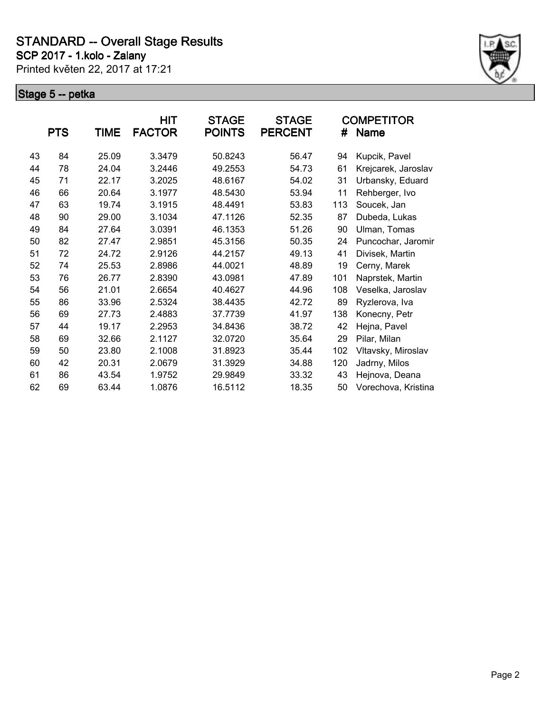**SCP 2017 - 1.kolo - Zalany**

Printed květen 22, 2017 at 17:21



|    | <b>PTS</b> | <b>TIME</b> | <b>HIT</b><br><b>FACTOR</b> | <b>STAGE</b><br><b>POINTS</b> | <b>STAGE</b><br><b>PERCENT</b> | #   | <b>COMPETITOR</b><br><b>Name</b> |
|----|------------|-------------|-----------------------------|-------------------------------|--------------------------------|-----|----------------------------------|
| 43 | 84         | 25.09       | 3.3479                      | 50.8243                       | 56.47                          | 94  | Kupcik, Pavel                    |
| 44 | 78         | 24.04       | 3.2446                      | 49.2553                       | 54.73                          | 61  | Krejcarek, Jaroslav              |
| 45 | 71         | 22.17       | 3.2025                      | 48.6167                       | 54.02                          | 31  | Urbansky, Eduard                 |
| 46 | 66         | 20.64       | 3.1977                      | 48.5430                       | 53.94                          | 11  | Rehberger, Ivo                   |
| 47 | 63         | 19.74       | 3.1915                      | 48.4491                       | 53.83                          | 113 | Soucek, Jan                      |
| 48 | 90         | 29.00       | 3.1034                      | 47.1126                       | 52.35                          | 87  | Dubeda, Lukas                    |
| 49 | 84         | 27.64       | 3.0391                      | 46.1353                       | 51.26                          | 90  | Ulman, Tomas                     |
| 50 | 82         | 27.47       | 2.9851                      | 45.3156                       | 50.35                          | 24  | Puncochar, Jaromir               |
| 51 | 72         | 24.72       | 2.9126                      | 44.2157                       | 49.13                          | 41  | Divisek, Martin                  |
| 52 | 74         | 25.53       | 2.8986                      | 44.0021                       | 48.89                          | 19  | Cerny, Marek                     |
| 53 | 76         | 26.77       | 2.8390                      | 43.0981                       | 47.89                          | 101 | Naprstek, Martin                 |
| 54 | 56         | 21.01       | 2.6654                      | 40.4627                       | 44.96                          | 108 | Veselka, Jaroslav                |
| 55 | 86         | 33.96       | 2.5324                      | 38.4435                       | 42.72                          | 89  | Ryzlerova, Iva                   |
| 56 | 69         | 27.73       | 2.4883                      | 37.7739                       | 41.97                          | 138 | Konecny, Petr                    |
| 57 | 44         | 19.17       | 2.2953                      | 34.8436                       | 38.72                          | 42  | Hejna, Pavel                     |
| 58 | 69         | 32.66       | 2.1127                      | 32.0720                       | 35.64                          | 29  | Pilar, Milan                     |
| 59 | 50         | 23.80       | 2.1008                      | 31.8923                       | 35.44                          | 102 | Vltavsky, Miroslav               |
| 60 | 42         | 20.31       | 2.0679                      | 31.3929                       | 34.88                          | 120 | Jadrny, Milos                    |
| 61 | 86         | 43.54       | 1.9752                      | 29.9849                       | 33.32                          | 43  | Hejnova, Deana                   |
| 62 | 69         | 63.44       | 1.0876                      | 16.5112                       | 18.35                          | 50  | Vorechova, Kristina              |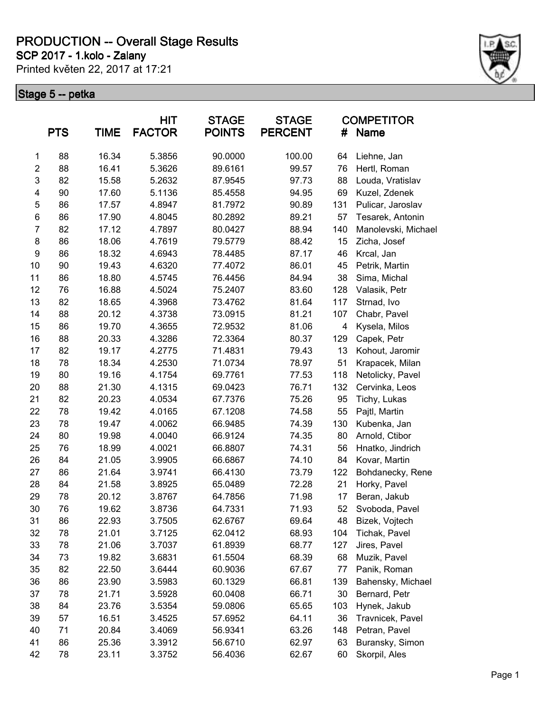**SCP 2017 - 1.kolo - Zalany**

Printed květen 22, 2017 at 17:21



|                | <b>PTS</b> | <b>TIME</b> | <b>HIT</b><br><b>FACTOR</b> | <b>STAGE</b><br><b>POINTS</b> | <b>STAGE</b><br><b>PERCENT</b> | #                       | <b>COMPETITOR</b><br><b>Name</b> |
|----------------|------------|-------------|-----------------------------|-------------------------------|--------------------------------|-------------------------|----------------------------------|
| 1              | 88         | 16.34       | 5.3856                      | 90.0000                       | 100.00                         | 64                      | Liehne, Jan                      |
| $\overline{2}$ | 88         | 16.41       | 5.3626                      | 89.6161                       | 99.57                          | 76                      | Hertl, Roman                     |
| 3              | 82         | 15.58       | 5.2632                      | 87.9545                       | 97.73                          | 88                      | Louda, Vratislav                 |
| 4              | 90         | 17.60       | 5.1136                      | 85.4558                       | 94.95                          | 69                      | Kuzel, Zdenek                    |
| 5              | 86         | 17.57       | 4.8947                      | 81.7972                       | 90.89                          | 131                     | Pulicar, Jaroslav                |
| 6              | 86         | 17.90       | 4.8045                      | 80.2892                       | 89.21                          | 57                      | Tesarek, Antonin                 |
| $\overline{7}$ | 82         | 17.12       | 4.7897                      | 80.0427                       | 88.94                          | 140                     | Manolevski, Michael              |
| 8              | 86         | 18.06       | 4.7619                      | 79.5779                       | 88.42                          | 15                      | Zicha, Josef                     |
| 9              | 86         | 18.32       | 4.6943                      | 78.4485                       | 87.17                          | 46                      | Krcal, Jan                       |
| 10             | 90         | 19.43       | 4.6320                      | 77.4072                       | 86.01                          | 45                      | Petrik, Martin                   |
| 11             | 86         | 18.80       | 4.5745                      | 76.4456                       | 84.94                          | 38                      | Sima, Michal                     |
| 12             | 76         | 16.88       | 4.5024                      | 75.2407                       | 83.60                          | 128                     | Valasik, Petr                    |
| 13             | 82         | 18.65       | 4.3968                      | 73.4762                       | 81.64                          | 117                     | Strnad, Ivo                      |
| 14             | 88         | 20.12       | 4.3738                      | 73.0915                       | 81.21                          | 107                     | Chabr, Pavel                     |
| 15             | 86         | 19.70       | 4.3655                      | 72.9532                       | 81.06                          | $\overline{\mathbf{4}}$ | Kysela, Milos                    |
| 16             | 88         | 20.33       | 4.3286                      | 72.3364                       | 80.37                          | 129                     | Capek, Petr                      |
| 17             | 82         | 19.17       | 4.2775                      | 71.4831                       | 79.43                          | 13                      | Kohout, Jaromir                  |
| 18             | 78         | 18.34       | 4.2530                      | 71.0734                       | 78.97                          | 51                      | Krapacek, Milan                  |
| 19             | 80         | 19.16       | 4.1754                      | 69.7761                       | 77.53                          | 118                     | Netolicky, Pavel                 |
| 20             | 88         | 21.30       | 4.1315                      | 69.0423                       | 76.71                          | 132                     | Cervinka, Leos                   |
| 21             | 82         | 20.23       | 4.0534                      | 67.7376                       | 75.26                          | 95                      | Tichy, Lukas                     |
| 22             | 78         | 19.42       | 4.0165                      | 67.1208                       | 74.58                          | 55                      | Pajtl, Martin                    |
| 23             | 78         | 19.47       | 4.0062                      | 66.9485                       | 74.39                          | 130                     | Kubenka, Jan                     |
| 24             | 80         | 19.98       | 4.0040                      | 66.9124                       | 74.35                          | 80                      | Arnold, Ctibor                   |
| 25             | 76         | 18.99       | 4.0021                      | 66.8807                       | 74.31                          | 56                      | Hnatko, Jindrich                 |
| 26             | 84         | 21.05       | 3.9905                      | 66.6867                       | 74.10                          | 84                      | Kovar, Martin                    |
| 27             | 86         | 21.64       | 3.9741                      | 66.4130                       | 73.79                          | 122                     | Bohdanecky, Rene                 |
| 28             | 84         | 21.58       | 3.8925                      | 65.0489                       | 72.28                          | 21                      | Horky, Pavel                     |
| 29             | 78         | 20.12       | 3.8767                      | 64.7856                       | 71.98                          | 17                      | Beran, Jakub                     |
| 30             | 76         | 19.62       | 3.8736                      | 64.7331                       | 71.93                          | 52                      | Svoboda, Pavel                   |
| 31             | 86         | 22.93       | 3.7505                      | 62.6767                       | 69.64                          | 48                      | Bizek, Vojtech                   |
| 32             | 78         | 21.01       | 3.7125                      | 62.0412                       | 68.93                          | 104                     | Tichak, Pavel                    |
| 33             | 78         | 21.06       | 3.7037                      | 61.8939                       | 68.77                          | 127                     | Jires, Pavel                     |
| 34             | 73         | 19.82       | 3.6831                      | 61.5504                       | 68.39                          | 68                      | Muzik, Pavel                     |
| 35             | 82         | 22.50       | 3.6444                      | 60.9036                       | 67.67                          | 77                      | Panik, Roman                     |
| 36             | 86         | 23.90       | 3.5983                      | 60.1329                       | 66.81                          | 139                     | Bahensky, Michael                |
| 37             | 78         | 21.71       | 3.5928                      | 60.0408                       | 66.71                          | 30                      | Bernard, Petr                    |
| 38             | 84         | 23.76       | 3.5354                      | 59.0806                       | 65.65                          | 103                     | Hynek, Jakub                     |
| 39             | 57         | 16.51       | 3.4525                      | 57.6952                       | 64.11                          | 36                      | Travnicek, Pavel                 |
| 40             | 71         | 20.84       | 3.4069                      | 56.9341                       | 63.26                          | 148                     | Petran, Pavel                    |
| 41             | 86         | 25.36       | 3.3912                      | 56.6710                       | 62.97                          | 63                      | Buransky, Simon                  |
| 42             | 78         | 23.11       | 3.3752                      | 56.4036                       | 62.67                          | 60                      | Skorpil, Ales                    |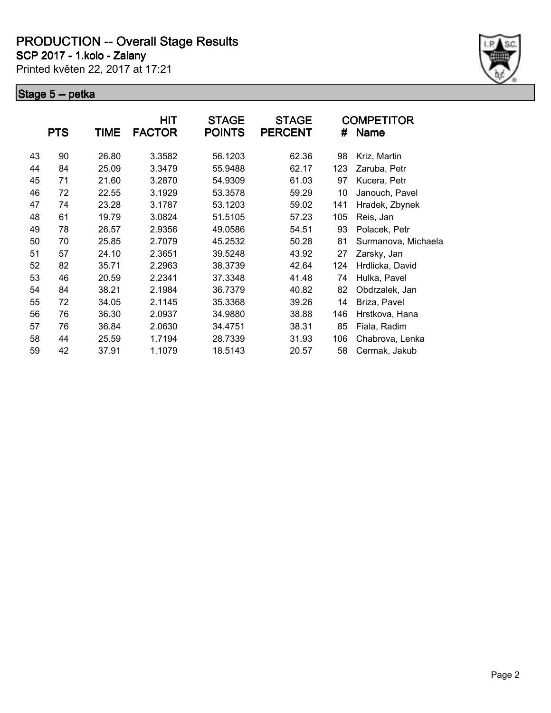**SCP 2017 - 1.kolo - Zalany**

Printed květen 22, 2017 at 17:21



|    | <b>PTS</b> | <b>TIME</b> | HIT<br><b>FACTOR</b> | <b>STAGE</b><br><b>POINTS</b> | <b>STAGE</b><br><b>PERCENT</b> | #   | COMPETITOR<br><b>Name</b> |
|----|------------|-------------|----------------------|-------------------------------|--------------------------------|-----|---------------------------|
|    |            |             |                      |                               |                                |     |                           |
| 43 | 90         | 26.80       | 3.3582               | 56.1203                       | 62.36                          | 98  | Kriz, Martin              |
| 44 | 84         | 25.09       | 3.3479               | 55.9488                       | 62.17                          | 123 | Zaruba, Petr              |
| 45 | 71         | 21.60       | 3.2870               | 54.9309                       | 61.03                          | 97  | Kucera, Petr              |
| 46 | 72         | 22.55       | 3.1929               | 53.3578                       | 59.29                          | 10  | Janouch, Pavel            |
| 47 | 74         | 23.28       | 3.1787               | 53.1203                       | 59.02                          | 141 | Hradek, Zbynek            |
| 48 | 61         | 19.79       | 3.0824               | 51.5105                       | 57.23                          | 105 | Reis, Jan                 |
| 49 | 78         | 26.57       | 2.9356               | 49.0586                       | 54.51                          | 93  | Polacek, Petr             |
| 50 | 70         | 25.85       | 2.7079               | 45.2532                       | 50.28                          | 81  | Surmanova, Michaela       |
| 51 | 57         | 24.10       | 2.3651               | 39.5248                       | 43.92                          | 27  | Zarsky, Jan               |
| 52 | 82         | 35.71       | 2.2963               | 38.3739                       | 42.64                          | 124 | Hrdlicka, David           |
| 53 | 46         | 20.59       | 2.2341               | 37.3348                       | 41.48                          | 74  | Hulka, Pavel              |
| 54 | 84         | 38.21       | 2.1984               | 36.7379                       | 40.82                          | 82  | Obdrzalek, Jan            |
| 55 | 72         | 34.05       | 2.1145               | 35.3368                       | 39.26                          | 14  | Briza, Pavel              |
| 56 | 76         | 36.30       | 2.0937               | 34.9880                       | 38.88                          | 146 | Hrstkova, Hana            |
| 57 | 76         | 36.84       | 2.0630               | 34.4751                       | 38.31                          | 85  | Fiala, Radim              |
| 58 | 44         | 25.59       | 1.7194               | 28.7339                       | 31.93                          | 106 | Chabrova, Lenka           |
| 59 | 42         | 37.91       | 1.1079               | 18.5143                       | 20.57                          | 58  | Cermak, Jakub             |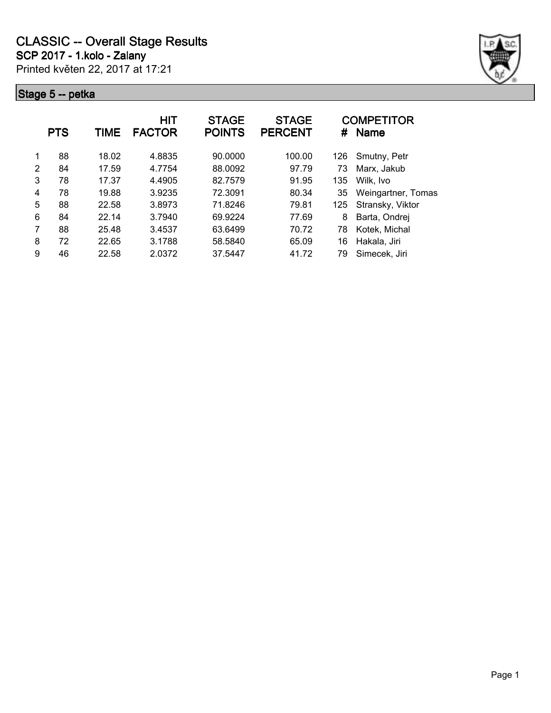

|   | <b>PTS</b> | <b>TIME</b> | HIT<br><b>FACTOR</b> | <b>STAGE</b><br><b>POINTS</b> | <b>STAGE</b><br><b>PERCENT</b> | #   | <b>COMPETITOR</b><br><b>Name</b> |
|---|------------|-------------|----------------------|-------------------------------|--------------------------------|-----|----------------------------------|
| 1 | 88         | 18.02       | 4.8835               | 90.0000                       | 100.00                         | 126 | Smutny, Petr                     |
| 2 | 84         | 17.59       | 4.7754               | 88.0092                       | 97.79                          | 73  | Marx, Jakub                      |
| 3 | 78         | 17.37       | 4.4905               | 82.7579                       | 91.95                          | 135 | Wilk, Ivo                        |
| 4 | 78         | 19.88       | 3.9235               | 72.3091                       | 80.34                          | 35  | Weingartner, Tomas               |
| 5 | 88         | 22.58       | 3.8973               | 71.8246                       | 79.81                          | 125 | Stransky, Viktor                 |
| 6 | 84         | 22.14       | 3.7940               | 69.9224                       | 77.69                          | 8   | Barta, Ondrej                    |
| 7 | 88         | 25.48       | 3.4537               | 63.6499                       | 70.72                          | 78  | Kotek, Michal                    |
| 8 | 72         | 22.65       | 3.1788               | 58.5840                       | 65.09                          | 16  | Hakala, Jiri                     |
| 9 | 46         | 22.58       | 2.0372               | 37.5447                       | 41.72                          | 79  | Simecek, Jiri                    |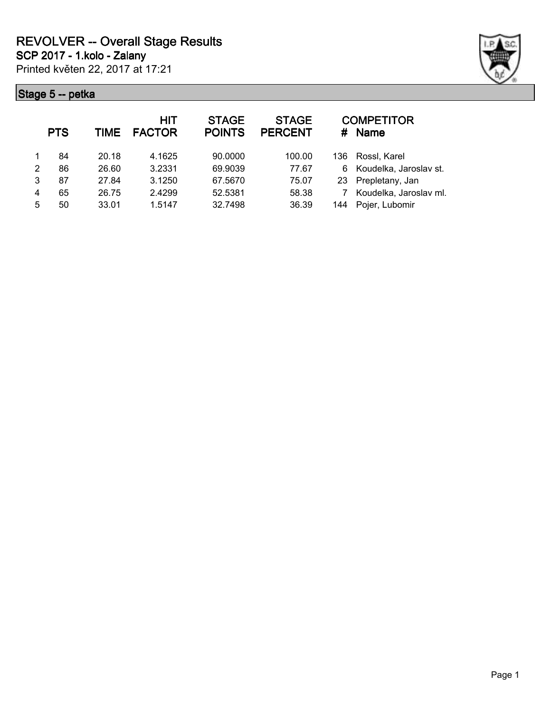

|                | <b>PTS</b> | <b>TIME</b> | <b>HIT</b><br><b>FACTOR</b> | <b>STAGE</b><br><b>POINTS</b> | <b>STAGE</b><br><b>PERCENT</b> | #    | <b>COMPETITOR</b><br><b>Name</b> |
|----------------|------------|-------------|-----------------------------|-------------------------------|--------------------------------|------|----------------------------------|
|                | 84         | 20.18       | 4.1625                      | 90,0000                       | 100.00                         | 136. | Rossl, Karel                     |
| $\mathfrak{p}$ | 86         | 26.60       | 3.2331                      | 69.9039                       | 77.67                          | 6    | Koudelka, Jaroslav st.           |
| 3              | 87         | 27.84       | 3.1250                      | 67.5670                       | 75.07                          | 23   | Prepletany, Jan                  |
| 4              | 65         | 26.75       | 2.4299                      | 52.5381                       | 58.38                          |      | Koudelka, Jaroslav ml.           |
| 5              | 50         | 33.01       | 1.5147                      | 32.7498                       | 36.39                          | 144  | Pojer, Lubomir                   |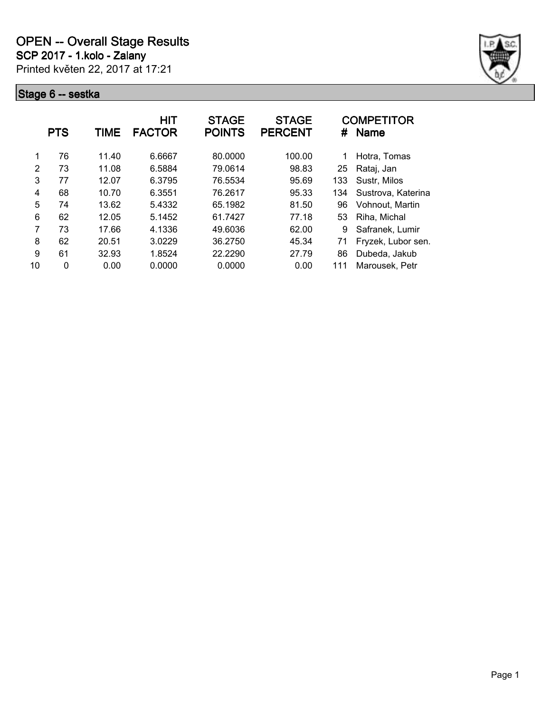

|               | <b>PTS</b> | TIME  | <b>HIT</b><br><b>FACTOR</b> | <b>STAGE</b><br><b>POINTS</b> | <b>STAGE</b><br><b>PERCENT</b> | #   | <b>COMPETITOR</b><br><b>Name</b> |
|---------------|------------|-------|-----------------------------|-------------------------------|--------------------------------|-----|----------------------------------|
|               | 76         | 11.40 | 6.6667                      | 80.0000                       | 100.00                         |     | Hotra, Tomas                     |
| $\mathcal{P}$ | 73         | 11.08 | 6.5884                      | 79.0614                       | 98.83                          | 25  | Rataj, Jan                       |
| 3             | 77         | 12.07 | 6.3795                      | 76.5534                       | 95.69                          | 133 | Sustr, Milos                     |
| 4             | 68         | 10.70 | 6.3551                      | 76.2617                       | 95.33                          | 134 | Sustrova, Katerina               |
| 5             | 74         | 13.62 | 5.4332                      | 65.1982                       | 81.50                          | 96  | Vohnout, Martin                  |
| 6             | 62         | 12.05 | 5.1452                      | 61.7427                       | 77.18                          | 53  | Riha, Michal                     |
| 7             | 73         | 17.66 | 4.1336                      | 49.6036                       | 62.00                          | 9   | Safranek, Lumir                  |
| 8             | 62         | 20.51 | 3.0229                      | 36.2750                       | 45.34                          | 71  | Fryzek, Lubor sen.               |
| 9             | 61         | 32.93 | 1.8524                      | 22.2290                       | 27.79                          | 86  | Dubeda, Jakub                    |
| 10            | 0          | 0.00  | 0.0000                      | 0.0000                        | 0.00                           | 111 | Marousek, Petr                   |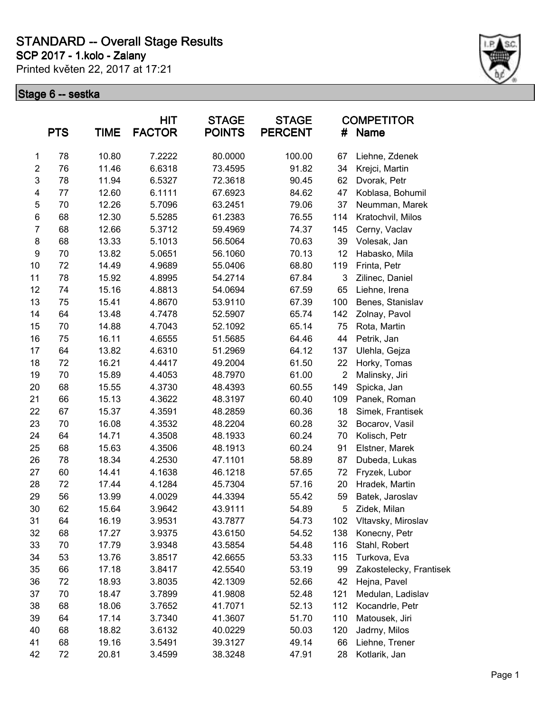**SCP 2017 - 1.kolo - Zalany**

Printed květen 22, 2017 at 17:21



|                         | <b>PTS</b> | <b>TIME</b> | <b>HIT</b><br><b>FACTOR</b> | <b>STAGE</b><br><b>POINTS</b> | <b>STAGE</b><br><b>PERCENT</b> | #              | <b>COMPETITOR</b><br><b>Name</b> |
|-------------------------|------------|-------------|-----------------------------|-------------------------------|--------------------------------|----------------|----------------------------------|
| 1                       | 78         | 10.80       | 7.2222                      | 80.0000                       | 100.00                         | 67             | Liehne, Zdenek                   |
| $\boldsymbol{2}$        | 76         | 11.46       | 6.6318                      | 73.4595                       | 91.82                          | 34             | Krejci, Martin                   |
| 3                       | 78         | 11.94       | 6.5327                      | 72.3618                       | 90.45                          | 62             | Dvorak, Petr                     |
| $\overline{\mathbf{4}}$ | 77         | 12.60       | 6.1111                      | 67.6923                       | 84.62                          | 47             | Koblasa, Bohumil                 |
| 5                       | 70         | 12.26       | 5.7096                      | 63.2451                       | 79.06                          | 37             | Neumman, Marek                   |
| $\,6$                   | 68         | 12.30       | 5.5285                      | 61.2383                       | 76.55                          | 114            | Kratochvil, Milos                |
| $\overline{7}$          | 68         | 12.66       | 5.3712                      | 59.4969                       | 74.37                          | 145            | Cerny, Vaclav                    |
| 8                       | 68         | 13.33       | 5.1013                      | 56.5064                       | 70.63                          | 39             | Volesak, Jan                     |
| 9                       | 70         | 13.82       | 5.0651                      | 56.1060                       | 70.13                          | 12             | Habasko, Mila                    |
| 10                      | 72         | 14.49       | 4.9689                      | 55.0406                       | 68.80                          | 119            | Frinta, Petr                     |
| 11                      | 78         | 15.92       | 4.8995                      | 54.2714                       | 67.84                          | 3              | Zilinec, Daniel                  |
| 12                      | 74         | 15.16       | 4.8813                      | 54.0694                       | 67.59                          | 65             | Liehne, Irena                    |
| 13                      | 75         | 15.41       | 4.8670                      | 53.9110                       | 67.39                          | 100            | Benes, Stanislav                 |
| 14                      | 64         | 13.48       | 4.7478                      | 52.5907                       | 65.74                          | 142            | Zolnay, Pavol                    |
| 15                      | 70         | 14.88       | 4.7043                      | 52.1092                       | 65.14                          | 75             | Rota, Martin                     |
| 16                      | 75         | 16.11       | 4.6555                      | 51.5685                       | 64.46                          | 44             | Petrik, Jan                      |
| 17                      | 64         | 13.82       | 4.6310                      | 51.2969                       | 64.12                          | 137            | Ulehla, Gejza                    |
| 18                      | 72         | 16.21       | 4.4417                      | 49.2004                       | 61.50                          | 22             | Horky, Tomas                     |
| 19                      | 70         | 15.89       | 4.4053                      | 48.7970                       | 61.00                          | $\overline{2}$ | Malinsky, Jiri                   |
| 20                      | 68         | 15.55       | 4.3730                      | 48.4393                       | 60.55                          | 149            | Spicka, Jan                      |
| 21                      | 66         | 15.13       | 4.3622                      | 48.3197                       | 60.40                          | 109            | Panek, Roman                     |
| 22                      | 67         | 15.37       | 4.3591                      | 48.2859                       | 60.36                          | 18             | Simek, Frantisek                 |
| 23                      | 70         | 16.08       | 4.3532                      | 48.2204                       | 60.28                          | 32             | Bocarov, Vasil                   |
| 24                      | 64         | 14.71       | 4.3508                      | 48.1933                       | 60.24                          | 70             | Kolisch, Petr                    |
| 25                      | 68         | 15.63       | 4.3506                      | 48.1913                       | 60.24                          | 91             | Elstner, Marek                   |
| 26                      | 78         | 18.34       | 4.2530                      | 47.1101                       | 58.89                          | 87             | Dubeda, Lukas                    |
| 27                      | 60         | 14.41       | 4.1638                      | 46.1218                       | 57.65                          | 72             | Fryzek, Lubor                    |
| 28                      | 72         | 17.44       | 4.1284                      | 45.7304                       | 57.16                          | 20             | Hradek, Martin                   |
| 29                      | 56         | 13.99       | 4.0029                      | 44.3394                       | 55.42                          | 59             | Batek, Jaroslav                  |
| 30                      | 62         | 15.64       | 3.9642                      | 43.9111                       | 54.89                          | 5              | Zidek, Milan                     |
| 31                      | 64         | 16.19       | 3.9531                      | 43.7877                       | 54.73                          | 102            | Vltavsky, Miroslav               |
| 32                      | 68         | 17.27       | 3.9375                      | 43.6150                       | 54.52                          | 138            | Konecny, Petr                    |
| 33                      | 70         | 17.79       | 3.9348                      | 43.5854                       | 54.48                          | 116            | Stahl, Robert                    |
| 34                      | 53         | 13.76       | 3.8517                      | 42.6655                       | 53.33                          | 115            | Turkova, Eva                     |
| 35                      | 66         | 17.18       | 3.8417                      | 42.5540                       | 53.19                          | 99             | Zakostelecky, Frantisek          |
| 36                      | 72         | 18.93       | 3.8035                      | 42.1309                       | 52.66                          | 42             | Hejna, Pavel                     |
| 37                      | 70         | 18.47       | 3.7899                      | 41.9808                       | 52.48                          | 121            | Medulan, Ladislav                |
| 38                      | 68         | 18.06       | 3.7652                      | 41.7071                       | 52.13                          | 112            | Kocandrle, Petr                  |
| 39                      | 64         | 17.14       | 3.7340                      | 41.3607                       | 51.70                          | 110            | Matousek, Jiri                   |
| 40                      | 68         | 18.82       | 3.6132                      | 40.0229                       | 50.03                          | 120            | Jadrny, Milos                    |
| 41                      | 68         | 19.16       | 3.5491                      | 39.3127                       | 49.14                          | 66             | Liehne, Trener                   |
| 42                      | 72         | 20.81       | 3.4599                      | 38.3248                       | 47.91                          | 28             | Kotlarik, Jan                    |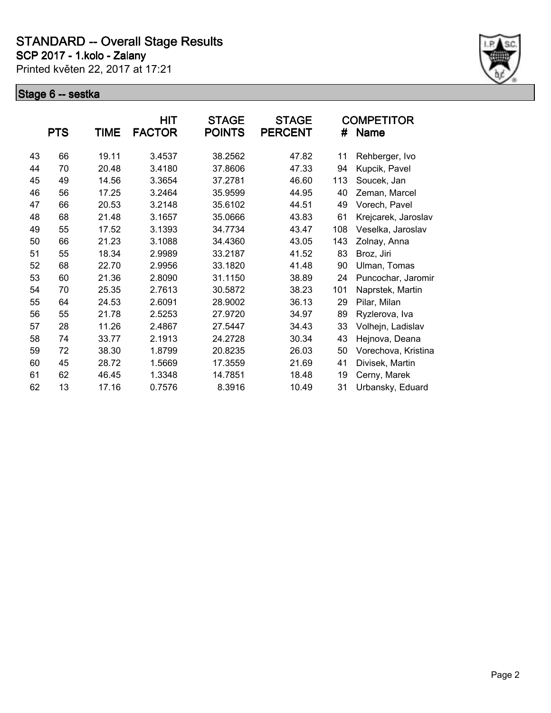**SCP 2017 - 1.kolo - Zalany**

Printed květen 22, 2017 at 17:21



|    |            |       | <b>HIT</b>    | <b>STAGE</b>  | <b>STAGE</b>   |     | <b>COMPETITOR</b>   |
|----|------------|-------|---------------|---------------|----------------|-----|---------------------|
|    | <b>PTS</b> | TIME  | <b>FACTOR</b> | <b>POINTS</b> | <b>PERCENT</b> | #   | Name                |
| 43 | 66         | 19.11 | 3.4537        | 38.2562       | 47.82          | 11  | Rehberger, Ivo      |
| 44 | 70         | 20.48 | 3.4180        | 37.8606       | 47.33          | 94  | Kupcik, Pavel       |
| 45 | 49         | 14.56 | 3.3654        | 37.2781       | 46.60          | 113 | Soucek, Jan         |
| 46 | 56         | 17.25 | 3.2464        | 35.9599       | 44.95          | 40  | Zeman, Marcel       |
| 47 | 66         | 20.53 | 3.2148        | 35.6102       | 44.51          | 49  | Vorech, Pavel       |
| 48 | 68         | 21.48 | 3.1657        | 35.0666       | 43.83          | 61  | Krejcarek, Jaroslav |
| 49 | 55         | 17.52 | 3.1393        | 34.7734       | 43.47          | 108 | Veselka, Jaroslav   |
| 50 | 66         | 21.23 | 3.1088        | 34.4360       | 43.05          | 143 | Zolnay, Anna        |
| 51 | 55         | 18.34 | 2.9989        | 33.2187       | 41.52          | 83  | Broz, Jiri          |
| 52 | 68         | 22.70 | 2.9956        | 33.1820       | 41.48          | 90  | Ulman, Tomas        |
| 53 | 60         | 21.36 | 2.8090        | 31.1150       | 38.89          | 24  | Puncochar, Jaromir  |
| 54 | 70         | 25.35 | 2.7613        | 30.5872       | 38.23          | 101 | Naprstek, Martin    |
| 55 | 64         | 24.53 | 2.6091        | 28.9002       | 36.13          | 29  | Pilar, Milan        |
| 56 | 55         | 21.78 | 2.5253        | 27.9720       | 34.97          | 89  | Ryzlerova, Iva      |
| 57 | 28         | 11.26 | 2.4867        | 27.5447       | 34.43          | 33  | Volhejn, Ladislav   |
| 58 | 74         | 33.77 | 2.1913        | 24.2728       | 30.34          | 43  | Hejnova, Deana      |
| 59 | 72         | 38.30 | 1.8799        | 20.8235       | 26.03          | 50  | Vorechova, Kristina |
| 60 | 45         | 28.72 | 1.5669        | 17.3559       | 21.69          | 41  | Divisek, Martin     |
| 61 | 62         | 46.45 | 1.3348        | 14.7851       | 18.48          | 19  | Cerny, Marek        |
| 62 | 13         | 17.16 | 0.7576        | 8.3916        | 10.49          | 31  | Urbansky, Eduard    |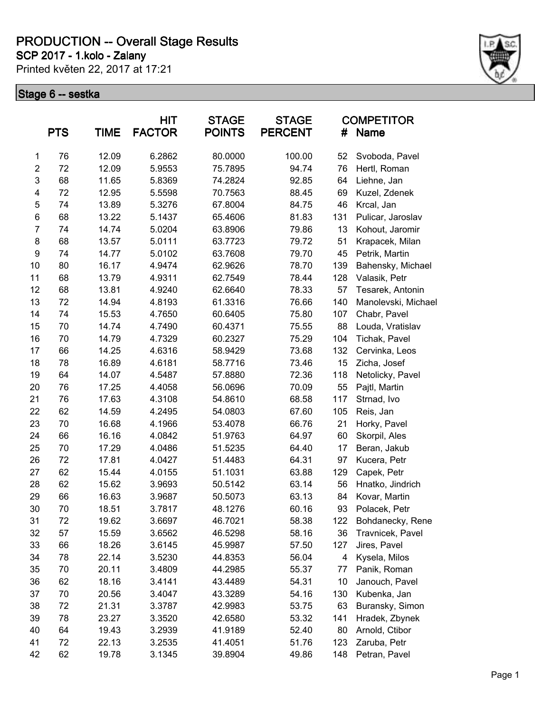**SCP 2017 - 1.kolo - Zalany**

Printed květen 22, 2017 at 17:21



|                  | <b>PTS</b> | TIME  | <b>HIT</b><br><b>FACTOR</b> | <b>STAGE</b><br><b>POINTS</b> | <b>STAGE</b><br><b>PERCENT</b> | #   | <b>COMPETITOR</b><br><b>Name</b> |
|------------------|------------|-------|-----------------------------|-------------------------------|--------------------------------|-----|----------------------------------|
| 1                | 76         | 12.09 | 6.2862                      | 80.0000                       | 100.00                         | 52  | Svoboda, Pavel                   |
| $\boldsymbol{2}$ | 72         | 12.09 | 5.9553                      | 75.7895                       | 94.74                          | 76  | Hertl, Roman                     |
| 3                | 68         | 11.65 | 5.8369                      | 74.2824                       | 92.85                          | 64  | Liehne, Jan                      |
| 4                | 72         | 12.95 | 5.5598                      | 70.7563                       | 88.45                          | 69  | Kuzel, Zdenek                    |
| 5                | 74         | 13.89 | 5.3276                      | 67.8004                       | 84.75                          | 46  | Krcal, Jan                       |
| 6                | 68         | 13.22 | 5.1437                      | 65.4606                       | 81.83                          | 131 | Pulicar, Jaroslav                |
| $\overline{7}$   | 74         | 14.74 | 5.0204                      | 63.8906                       | 79.86                          | 13  | Kohout, Jaromir                  |
| 8                | 68         | 13.57 | 5.0111                      | 63.7723                       | 79.72                          | 51  | Krapacek, Milan                  |
| $\boldsymbol{9}$ | 74         | 14.77 | 5.0102                      | 63.7608                       | 79.70                          | 45  | Petrik, Martin                   |
| 10               | 80         | 16.17 | 4.9474                      | 62.9626                       | 78.70                          | 139 | Bahensky, Michael                |
| 11               | 68         | 13.79 | 4.9311                      | 62.7549                       | 78.44                          | 128 | Valasik, Petr                    |
| 12               | 68         | 13.81 | 4.9240                      | 62.6640                       | 78.33                          | 57  | Tesarek, Antonin                 |
| 13               | 72         | 14.94 | 4.8193                      | 61.3316                       | 76.66                          | 140 | Manolevski, Michael              |
| 14               | 74         | 15.53 | 4.7650                      | 60.6405                       | 75.80                          | 107 | Chabr, Pavel                     |
| 15               | 70         | 14.74 | 4.7490                      | 60.4371                       | 75.55                          | 88  | Louda, Vratislav                 |
| 16               | 70         | 14.79 | 4.7329                      | 60.2327                       | 75.29                          | 104 | Tichak, Pavel                    |
| 17               | 66         | 14.25 | 4.6316                      | 58.9429                       | 73.68                          | 132 | Cervinka, Leos                   |
| 18               | 78         | 16.89 | 4.6181                      | 58.7716                       | 73.46                          | 15  | Zicha, Josef                     |
| 19               | 64         | 14.07 | 4.5487                      | 57.8880                       | 72.36                          | 118 | Netolicky, Pavel                 |
| 20               | 76         | 17.25 | 4.4058                      | 56.0696                       | 70.09                          | 55  | Pajtl, Martin                    |
| 21               | 76         | 17.63 | 4.3108                      | 54.8610                       | 68.58                          | 117 | Strnad, Ivo                      |
| 22               | 62         | 14.59 | 4.2495                      | 54.0803                       | 67.60                          | 105 | Reis, Jan                        |
| 23               | 70         | 16.68 | 4.1966                      | 53.4078                       | 66.76                          | 21  | Horky, Pavel                     |
| 24               | 66         | 16.16 | 4.0842                      | 51.9763                       | 64.97                          | 60  | Skorpil, Ales                    |
| 25               | 70         | 17.29 | 4.0486                      | 51.5235                       | 64.40                          | 17  | Beran, Jakub                     |
| 26               | 72         | 17.81 | 4.0427                      | 51.4483                       | 64.31                          | 97  | Kucera, Petr                     |
| 27               | 62         | 15.44 | 4.0155                      | 51.1031                       | 63.88                          | 129 | Capek, Petr                      |
| 28               | 62         | 15.62 | 3.9693                      | 50.5142                       | 63.14                          | 56  | Hnatko, Jindrich                 |
| 29               | 66         | 16.63 | 3.9687                      | 50.5073                       | 63.13                          | 84  | Kovar, Martin                    |
| 30               | 70         | 18.51 | 3.7817                      | 48.1276                       | 60.16                          | 93  | Polacek, Petr                    |
| 31               | 72         | 19.62 | 3.6697                      | 46.7021                       | 58.38                          | 122 | Bohdanecky, Rene                 |
| 32               | 57         | 15.59 | 3.6562                      | 46.5298                       | 58.16                          | 36  | Travnicek, Pavel                 |
| 33               | 66         | 18.26 | 3.6145                      | 45.9987                       | 57.50                          | 127 | Jires, Pavel                     |
| 34               | 78         | 22.14 | 3.5230                      | 44.8353                       | 56.04                          | 4   | Kysela, Milos                    |
| 35               | 70         | 20.11 | 3.4809                      | 44.2985                       | 55.37                          | 77  | Panik, Roman                     |
| 36               | 62         | 18.16 | 3.4141                      | 43.4489                       | 54.31                          | 10  | Janouch, Pavel                   |
| 37               | 70         | 20.56 | 3.4047                      | 43.3289                       | 54.16                          | 130 | Kubenka, Jan                     |
| 38               | 72         | 21.31 | 3.3787                      | 42.9983                       | 53.75                          | 63  | Buransky, Simon                  |
| 39               | 78         | 23.27 | 3.3520                      | 42.6580                       | 53.32                          | 141 | Hradek, Zbynek                   |
| 40               | 64         | 19.43 | 3.2939                      | 41.9189                       | 52.40                          | 80  | Arnold, Ctibor                   |
| 41               | 72         | 22.13 | 3.2535                      | 41.4051                       | 51.76                          | 123 | Zaruba, Petr                     |
| 42               | 62         | 19.78 | 3.1345                      | 39.8904                       | 49.86                          | 148 | Petran, Pavel                    |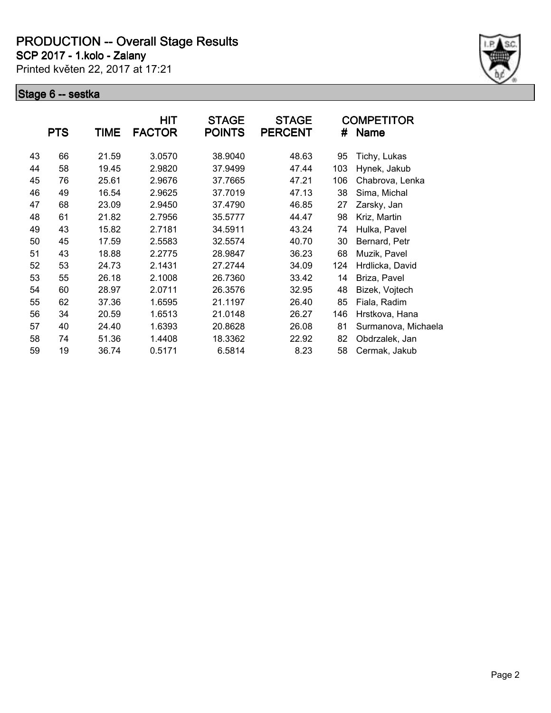**SCP 2017 - 1.kolo - Zalany**

Printed květen 22, 2017 at 17:21



|    |            |       | <b>HIT</b>    | <b>STAGE</b>  | <b>STAGE</b>   |     | <b>COMPETITOR</b>   |
|----|------------|-------|---------------|---------------|----------------|-----|---------------------|
|    | <b>PTS</b> | TIME  | <b>FACTOR</b> | <b>POINTS</b> | <b>PERCENT</b> | #   | <b>Name</b>         |
| 43 | 66         | 21.59 | 3.0570        | 38.9040       | 48.63          | 95  | Tichy, Lukas        |
| 44 | 58         | 19.45 | 2.9820        | 37.9499       | 47.44          | 103 | Hynek, Jakub        |
| 45 | 76         | 25.61 | 2.9676        | 37.7665       | 47.21          | 106 | Chabrova, Lenka     |
| 46 | 49         | 16.54 | 2.9625        | 37.7019       | 47.13          | 38  | Sima, Michal        |
| 47 | 68         | 23.09 | 2.9450        | 37.4790       | 46.85          | 27  | Zarsky, Jan         |
| 48 | 61         | 21.82 | 2.7956        | 35.5777       | 44.47          | 98  | Kriz, Martin        |
| 49 | 43         | 15.82 | 2.7181        | 34.5911       | 43.24          | 74  | Hulka, Pavel        |
| 50 | 45         | 17.59 | 2.5583        | 32.5574       | 40.70          | 30  | Bernard, Petr       |
| 51 | 43         | 18.88 | 2.2775        | 28.9847       | 36.23          | 68  | Muzik, Pavel        |
| 52 | 53         | 24.73 | 2.1431        | 27.2744       | 34.09          | 124 | Hrdlicka, David     |
| 53 | 55         | 26.18 | 2.1008        | 26.7360       | 33.42          | 14  | Briza, Pavel        |
| 54 | 60         | 28.97 | 2.0711        | 26.3576       | 32.95          | 48  | Bizek, Vojtech      |
| 55 | 62         | 37.36 | 1.6595        | 21.1197       | 26.40          | 85  | Fiala, Radim        |
| 56 | 34         | 20.59 | 1.6513        | 21.0148       | 26.27          | 146 | Hrstkova, Hana      |
| 57 | 40         | 24.40 | 1.6393        | 20.8628       | 26.08          | 81  | Surmanova, Michaela |
| 58 | 74         | 51.36 | 1.4408        | 18.3362       | 22.92          | 82  | Obdrzalek, Jan      |
| 59 | 19         | 36.74 | 0.5171        | 6.5814        | 8.23           | 58  | Cermak, Jakub       |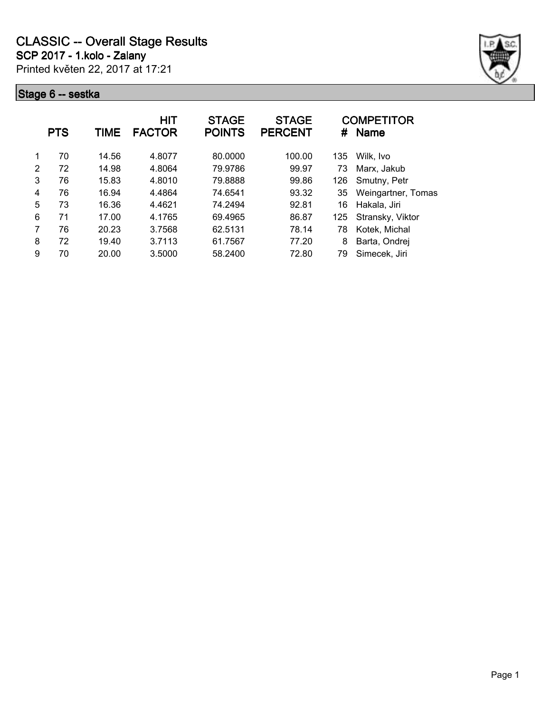

|   | <b>PTS</b> | TIME  | <b>HIT</b><br><b>FACTOR</b> | <b>STAGE</b><br><b>POINTS</b> | <b>STAGE</b><br><b>PERCENT</b> | #   | <b>COMPETITOR</b><br><b>Name</b> |
|---|------------|-------|-----------------------------|-------------------------------|--------------------------------|-----|----------------------------------|
| 1 | 70         | 14.56 | 4.8077                      | 80.0000                       | 100.00                         | 135 | Wilk. Ivo                        |
| 2 | 72         | 14.98 | 4.8064                      | 79.9786                       | 99.97                          | 73  | Marx, Jakub                      |
| 3 | 76         | 15.83 | 4.8010                      | 79.8888                       | 99.86                          | 126 | Smutny, Petr                     |
| 4 | 76         | 16.94 | 4.4864                      | 74.6541                       | 93.32                          | 35  | Weingartner, Tomas               |
| 5 | 73         | 16.36 | 4.4621                      | 74.2494                       | 92.81                          | 16  | Hakala, Jiri                     |
| 6 | 71         | 17.00 | 4.1765                      | 69.4965                       | 86.87                          | 125 | Stransky, Viktor                 |
| 7 | 76         | 20.23 | 3.7568                      | 62.5131                       | 78.14                          | 78  | Kotek, Michal                    |
| 8 | 72         | 19.40 | 3.7113                      | 61.7567                       | 77.20                          | 8   | Barta, Ondrej                    |
| 9 | 70         | 20.00 | 3.5000                      | 58.2400                       | 72.80                          | 79  | Simecek, Jiri                    |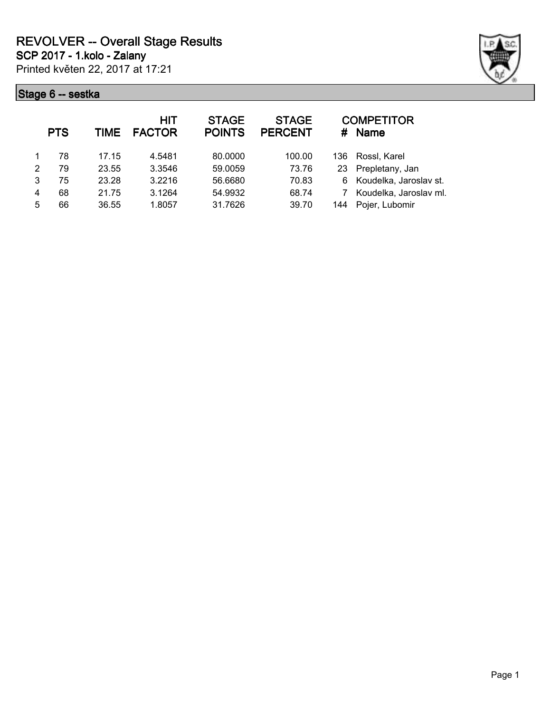Printed květen 22, 2017 at 17:21 **SCP 2017 - 1.kolo - Zalany**



|   | <b>PTS</b> | TIME  | <b>HIT</b><br><b>FACTOR</b> | <b>STAGE</b><br><b>POINTS</b> | <b>STAGE</b><br><b>PERCENT</b> | #    | <b>COMPETITOR</b><br><b>Name</b> |
|---|------------|-------|-----------------------------|-------------------------------|--------------------------------|------|----------------------------------|
|   | 78         | 17.15 | 4.5481                      | 80.0000                       | 100.00                         | 136. | Rossl, Karel                     |
| 2 | 79         | 23.55 | 3.3546                      | 59.0059                       | 73.76                          | 23   | Prepletany, Jan                  |
| 3 | 75         | 23.28 | 3.2216                      | 56.6680                       | 70.83                          | 6    | Koudelka, Jaroslav st.           |
| 4 | 68         | 21.75 | 3.1264                      | 54.9932                       | 68.74                          |      | Koudelka, Jaroslav ml.           |
| 5 | 66         | 36.55 | 1.8057                      | 31.7626                       | 39.70                          | 144  | Pojer, Lubomir                   |
|   |            |       |                             |                               |                                |      |                                  |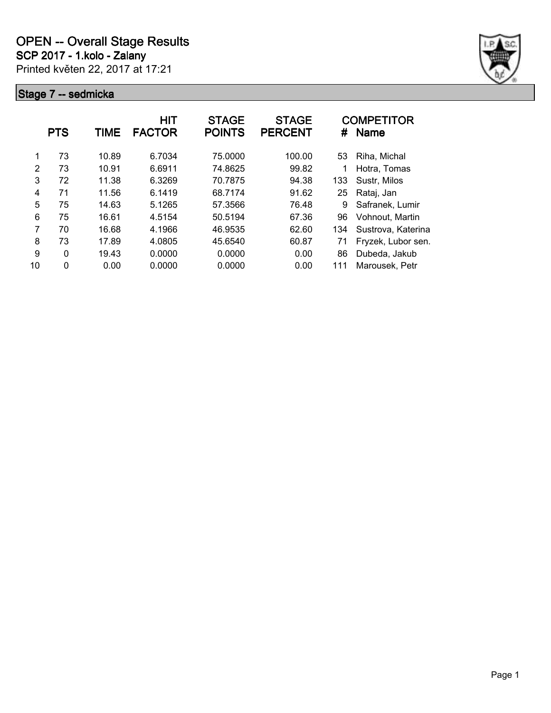

|               | <b>PTS</b>   | TIME  | HIT<br><b>FACTOR</b> | <b>STAGE</b><br><b>POINTS</b> | <b>STAGE</b><br><b>PERCENT</b> | #   | <b>COMPETITOR</b><br><b>Name</b> |
|---------------|--------------|-------|----------------------|-------------------------------|--------------------------------|-----|----------------------------------|
| 1             | 73           | 10.89 | 6.7034               | 75,0000                       | 100.00                         | 53  | Riha, Michal                     |
| $\mathcal{P}$ | 73           | 10.91 | 6.6911               | 74.8625                       | 99.82                          |     | Hotra, Tomas                     |
| 3             | 72           | 11.38 | 6.3269               | 70.7875                       | 94.38                          | 133 | Sustr, Milos                     |
| 4             | 71           | 11.56 | 6.1419               | 68.7174                       | 91.62                          | 25  | Rataj, Jan                       |
| 5             | 75           | 14.63 | 5.1265               | 57.3566                       | 76.48                          | 9   | Safranek, Lumir                  |
| 6             | 75           | 16.61 | 4.5154               | 50.5194                       | 67.36                          | 96  | Vohnout, Martin                  |
| 7             | 70           | 16.68 | 4.1966               | 46.9535                       | 62.60                          | 134 | Sustrova, Katerina               |
| 8             | 73           | 17.89 | 4.0805               | 45.6540                       | 60.87                          | 71  | Fryzek, Lubor sen.               |
| 9             | $\mathbf{0}$ | 19.43 | 0.0000               | 0.0000                        | 0.00                           | 86  | Dubeda, Jakub                    |
| 10            | 0            | 0.00  | 0.0000               | 0.0000                        | 0.00                           | 111 | Marousek, Petr                   |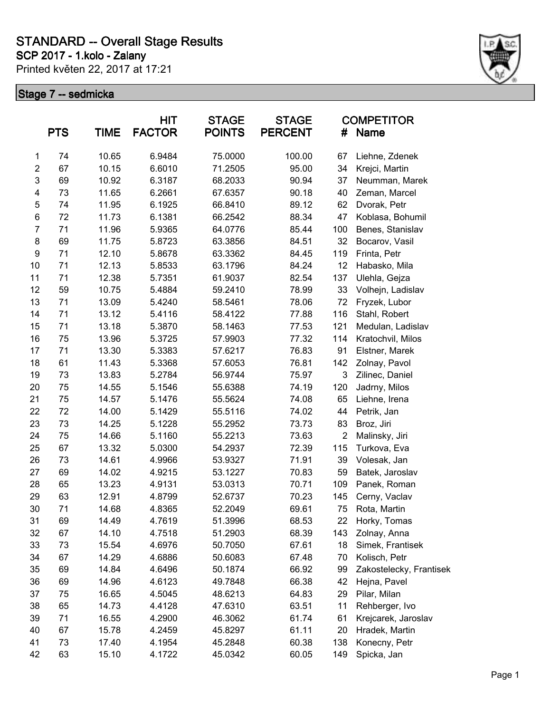**SCP 2017 - 1.kolo - Zalany**

Printed květen 22, 2017 at 17:21



|                         | <b>PTS</b> | <b>TIME</b> | HIT<br><b>FACTOR</b> | <b>STAGE</b><br><b>POINTS</b> | <b>STAGE</b><br><b>PERCENT</b> | #              | <b>COMPETITOR</b><br><b>Name</b> |
|-------------------------|------------|-------------|----------------------|-------------------------------|--------------------------------|----------------|----------------------------------|
| $\mathbf 1$             | 74         | 10.65       | 6.9484               | 75.0000                       | 100.00                         | 67             | Liehne, Zdenek                   |
| $\overline{\mathbf{c}}$ | 67         | 10.15       | 6.6010               | 71.2505                       | 95.00                          | 34             | Krejci, Martin                   |
| 3                       | 69         | 10.92       | 6.3187               | 68.2033                       | 90.94                          | 37             | Neumman, Marek                   |
| 4                       | 73         | 11.65       | 6.2661               | 67.6357                       | 90.18                          | 40             | Zeman, Marcel                    |
| 5                       | 74         | 11.95       | 6.1925               | 66.8410                       | 89.12                          | 62             | Dvorak, Petr                     |
| 6                       | 72         | 11.73       | 6.1381               | 66.2542                       | 88.34                          | 47             | Koblasa, Bohumil                 |
| $\boldsymbol{7}$        | 71         | 11.96       | 5.9365               | 64.0776                       | 85.44                          | 100            | Benes, Stanislav                 |
| 8                       | 69         | 11.75       | 5.8723               | 63.3856                       | 84.51                          | 32             | Bocarov, Vasil                   |
| $\boldsymbol{9}$        | 71         | 12.10       | 5.8678               | 63.3362                       | 84.45                          | 119            | Frinta, Petr                     |
| 10                      | 71         | 12.13       | 5.8533               | 63.1796                       | 84.24                          | 12             | Habasko, Mila                    |
| 11                      | 71         | 12.38       | 5.7351               | 61.9037                       | 82.54                          | 137            | Ulehla, Gejza                    |
| 12                      | 59         | 10.75       | 5.4884               | 59.2410                       | 78.99                          | 33             | Volhejn, Ladislav                |
| 13                      | 71         | 13.09       | 5.4240               | 58.5461                       | 78.06                          | 72             | Fryzek, Lubor                    |
| 14                      | 71         | 13.12       | 5.4116               | 58.4122                       | 77.88                          | 116            | Stahl, Robert                    |
| 15                      | 71         | 13.18       | 5.3870               | 58.1463                       | 77.53                          | 121            | Medulan, Ladislav                |
| 16                      | 75         | 13.96       | 5.3725               | 57.9903                       | 77.32                          | 114            | Kratochvil, Milos                |
| 17                      | 71         | 13.30       | 5.3383               | 57.6217                       | 76.83                          | 91             | Elstner, Marek                   |
| 18                      | 61         | 11.43       | 5.3368               | 57.6053                       | 76.81                          | 142            | Zolnay, Pavol                    |
| 19                      | 73         | 13.83       | 5.2784               | 56.9744                       | 75.97                          | $\mathbf{3}$   | Zilinec, Daniel                  |
| 20                      | 75         | 14.55       | 5.1546               | 55.6388                       | 74.19                          | 120            | Jadrny, Milos                    |
| 21                      | 75         | 14.57       | 5.1476               | 55.5624                       | 74.08                          | 65             | Liehne, Irena                    |
| 22                      | 72         | 14.00       | 5.1429               | 55.5116                       | 74.02                          | 44             | Petrik, Jan                      |
| 23                      | 73         | 14.25       | 5.1228               | 55.2952                       | 73.73                          | 83             | Broz, Jiri                       |
| 24                      | 75         | 14.66       | 5.1160               | 55.2213                       | 73.63                          | $\overline{2}$ | Malinsky, Jiri                   |
| 25                      | 67         | 13.32       | 5.0300               | 54.2937                       | 72.39                          | 115            | Turkova, Eva                     |
| 26                      | 73         | 14.61       | 4.9966               | 53.9327                       | 71.91                          | 39             | Volesak, Jan                     |
| 27                      | 69         | 14.02       | 4.9215               | 53.1227                       | 70.83                          | 59             | Batek, Jaroslav                  |
| 28                      | 65         | 13.23       | 4.9131               | 53.0313                       | 70.71                          | 109            | Panek, Roman                     |
| 29                      | 63         | 12.91       | 4.8799               | 52.6737                       | 70.23                          | 145            | Cerny, Vaclav                    |
| 30                      | 71         | 14.68       | 4.8365               | 52.2049                       | 69.61                          | 75             | Rota, Martin                     |
| 31                      | 69         | 14.49       | 4.7619               | 51.3996                       | 68.53                          | 22             | Horky, Tomas                     |
| 32                      | 67         | 14.10       | 4.7518               | 51.2903                       | 68.39                          | 143            | Zolnay, Anna                     |
| 33                      | 73         | 15.54       | 4.6976               | 50.7050                       | 67.61                          | 18             | Simek, Frantisek                 |
| 34                      | 67         | 14.29       | 4.6886               | 50.6083                       | 67.48                          | 70             | Kolisch, Petr                    |
| 35                      | 69         | 14.84       | 4.6496               | 50.1874                       | 66.92                          | 99             | Zakostelecky, Frantisek          |
| 36                      | 69         | 14.96       | 4.6123               | 49.7848                       | 66.38                          | 42             | Hejna, Pavel                     |
| 37                      | 75         | 16.65       | 4.5045               | 48.6213                       | 64.83                          | 29             | Pilar, Milan                     |
| 38                      | 65         | 14.73       | 4.4128               | 47.6310                       | 63.51                          | 11             | Rehberger, Ivo                   |
| 39                      | 71         | 16.55       | 4.2900               | 46.3062                       | 61.74                          | 61             | Krejcarek, Jaroslav              |
| 40                      | 67         | 15.78       | 4.2459               | 45.8297                       | 61.11                          | 20             | Hradek, Martin                   |
| 41                      | 73         | 17.40       | 4.1954               | 45.2848                       | 60.38                          | 138            | Konecny, Petr                    |
| 42                      | 63         | 15.10       | 4.1722               | 45.0342                       | 60.05                          | 149            | Spicka, Jan                      |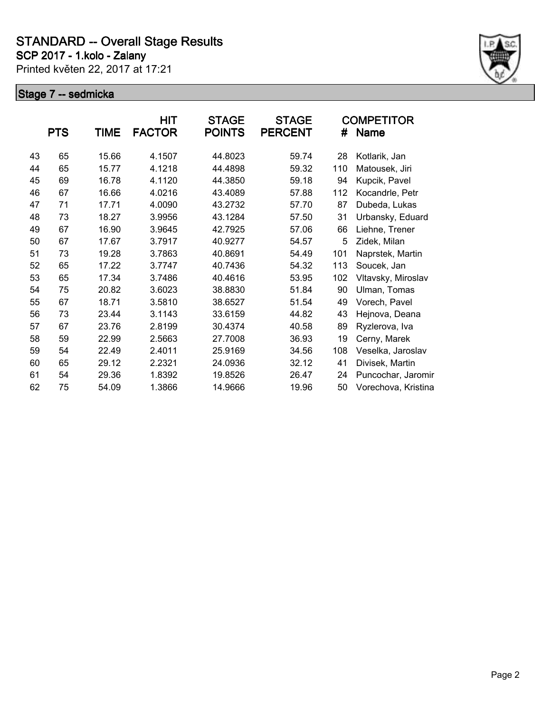**SCP 2017 - 1.kolo - Zalany**

Printed květen 22, 2017 at 17:21



|    | <b>PTS</b> | <b>TIME</b> | <b>HIT</b><br><b>FACTOR</b> | <b>STAGE</b><br><b>POINTS</b> | <b>STAGE</b><br><b>PERCENT</b> | #   | <b>COMPETITOR</b><br>Name |
|----|------------|-------------|-----------------------------|-------------------------------|--------------------------------|-----|---------------------------|
| 43 | 65         | 15.66       | 4.1507                      | 44.8023                       | 59.74                          | 28  | Kotlarik, Jan             |
| 44 | 65         | 15.77       | 4.1218                      | 44.4898                       | 59.32                          | 110 | Matousek, Jiri            |
| 45 | 69         | 16.78       | 4.1120                      | 44.3850                       | 59.18                          | 94  | Kupcik, Pavel             |
| 46 | 67         | 16.66       | 4.0216                      | 43.4089                       | 57.88                          | 112 | Kocandrle, Petr           |
| 47 | 71         | 17.71       | 4.0090                      | 43.2732                       | 57.70                          | 87  | Dubeda, Lukas             |
| 48 | 73         | 18.27       | 3.9956                      | 43.1284                       | 57.50                          | 31  | Urbansky, Eduard          |
| 49 | 67         | 16.90       | 3.9645                      | 42.7925                       | 57.06                          | 66  | Liehne, Trener            |
| 50 | 67         | 17.67       | 3.7917                      | 40.9277                       | 54.57                          | 5   | Zidek, Milan              |
| 51 | 73         | 19.28       | 3.7863                      | 40.8691                       | 54.49                          | 101 | Naprstek, Martin          |
| 52 | 65         | 17.22       | 3.7747                      | 40.7436                       | 54.32                          | 113 | Soucek, Jan               |
| 53 | 65         | 17.34       | 3.7486                      | 40.4616                       | 53.95                          | 102 | Vltavsky, Miroslav        |
| 54 | 75         | 20.82       | 3.6023                      | 38.8830                       | 51.84                          | 90  | Ulman, Tomas              |
| 55 | 67         | 18.71       | 3.5810                      | 38.6527                       | 51.54                          | 49  | Vorech, Pavel             |
| 56 | 73         | 23.44       | 3.1143                      | 33.6159                       | 44.82                          | 43  | Hejnova, Deana            |
| 57 | 67         | 23.76       | 2.8199                      | 30.4374                       | 40.58                          | 89  | Ryzlerova, Iva            |
| 58 | 59         | 22.99       | 2.5663                      | 27.7008                       | 36.93                          | 19  | Cerny, Marek              |
| 59 | 54         | 22.49       | 2.4011                      | 25.9169                       | 34.56                          | 108 | Veselka, Jaroslav         |
| 60 | 65         | 29.12       | 2.2321                      | 24.0936                       | 32.12                          | 41  | Divisek, Martin           |
| 61 | 54         | 29.36       | 1.8392                      | 19.8526                       | 26.47                          | 24  | Puncochar, Jaromir        |
| 62 | 75         | 54.09       | 1.3866                      | 14.9666                       | 19.96                          | 50  | Vorechova, Kristina       |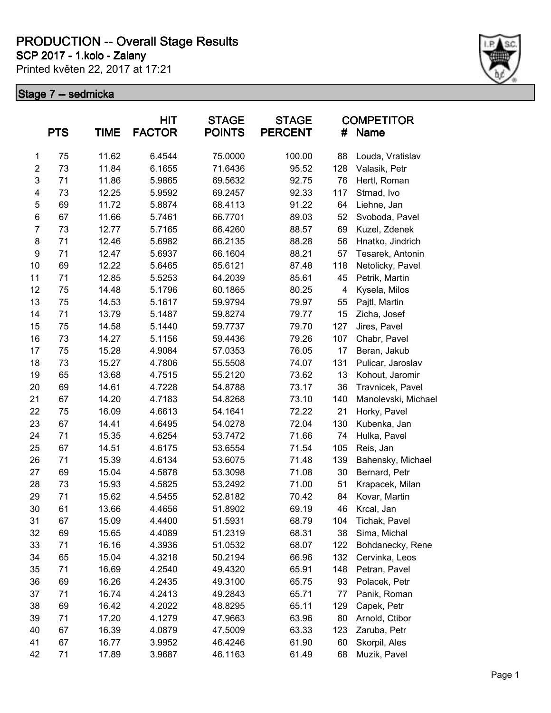**SCP 2017 - 1.kolo - Zalany**

Printed květen 22, 2017 at 17:21



|                         | <b>PTS</b> | TIME  | <b>HIT</b><br><b>FACTOR</b> | <b>STAGE</b><br><b>POINTS</b> | <b>STAGE</b><br><b>PERCENT</b> | #   | <b>COMPETITOR</b><br><b>Name</b> |
|-------------------------|------------|-------|-----------------------------|-------------------------------|--------------------------------|-----|----------------------------------|
| 1                       | 75         | 11.62 | 6.4544                      | 75.0000                       | 100.00                         | 88  | Louda, Vratislav                 |
| $\overline{\mathbf{c}}$ | 73         | 11.84 | 6.1655                      | 71.6436                       | 95.52                          | 128 | Valasik, Petr                    |
| 3                       | 71         | 11.86 | 5.9865                      | 69.5632                       | 92.75                          | 76  | Hertl, Roman                     |
| 4                       | 73         | 12.25 | 5.9592                      | 69.2457                       | 92.33                          | 117 | Strnad, Ivo                      |
| 5                       | 69         | 11.72 | 5.8874                      | 68.4113                       | 91.22                          | 64  | Liehne, Jan                      |
| 6                       | 67         | 11.66 | 5.7461                      | 66.7701                       | 89.03                          | 52  | Svoboda, Pavel                   |
| 7                       | 73         | 12.77 | 5.7165                      | 66.4260                       | 88.57                          | 69  | Kuzel, Zdenek                    |
| 8                       | 71         | 12.46 | 5.6982                      | 66.2135                       | 88.28                          | 56  | Hnatko, Jindrich                 |
| 9                       | 71         | 12.47 | 5.6937                      | 66.1604                       | 88.21                          | 57  | Tesarek, Antonin                 |
| 10                      | 69         | 12.22 | 5.6465                      | 65.6121                       | 87.48                          | 118 | Netolicky, Pavel                 |
| 11                      | 71         | 12.85 | 5.5253                      | 64.2039                       | 85.61                          | 45  | Petrik, Martin                   |
| 12                      | 75         | 14.48 | 5.1796                      | 60.1865                       | 80.25                          | 4   | Kysela, Milos                    |
| 13                      | 75         | 14.53 | 5.1617                      | 59.9794                       | 79.97                          | 55  | Pajtl, Martin                    |
| 14                      | 71         | 13.79 | 5.1487                      | 59.8274                       | 79.77                          | 15  | Zicha, Josef                     |
| 15                      | 75         | 14.58 | 5.1440                      | 59.7737                       | 79.70                          | 127 | Jires, Pavel                     |
| 16                      | 73         | 14.27 | 5.1156                      | 59.4436                       | 79.26                          | 107 | Chabr, Pavel                     |
| 17                      | 75         | 15.28 | 4.9084                      | 57.0353                       | 76.05                          | 17  | Beran, Jakub                     |
| 18                      | 73         | 15.27 | 4.7806                      | 55.5508                       | 74.07                          | 131 | Pulicar, Jaroslav                |
| 19                      | 65         | 13.68 | 4.7515                      | 55.2120                       | 73.62                          | 13  | Kohout, Jaromir                  |
| 20                      | 69         | 14.61 | 4.7228                      | 54.8788                       | 73.17                          | 36  | Travnicek, Pavel                 |
| 21                      | 67         | 14.20 | 4.7183                      | 54.8268                       | 73.10                          | 140 | Manolevski, Michael              |
| 22                      | 75         | 16.09 | 4.6613                      | 54.1641                       | 72.22                          | 21  | Horky, Pavel                     |
| 23                      | 67         | 14.41 | 4.6495                      | 54.0278                       | 72.04                          | 130 | Kubenka, Jan                     |
| 24                      | 71         | 15.35 | 4.6254                      | 53.7472                       | 71.66                          | 74  | Hulka, Pavel                     |
| 25                      | 67         | 14.51 | 4.6175                      | 53.6554                       | 71.54                          | 105 | Reis, Jan                        |
| 26                      | 71         | 15.39 | 4.6134                      | 53.6075                       | 71.48                          | 139 | Bahensky, Michael                |
| 27                      | 69         | 15.04 | 4.5878                      | 53.3098                       | 71.08                          | 30  | Bernard, Petr                    |
| 28                      | 73         | 15.93 | 4.5825                      | 53.2492                       | 71.00                          | 51  | Krapacek, Milan                  |
| 29                      | 71         | 15.62 | 4.5455                      | 52.8182                       | 70.42                          | 84  | Kovar, Martin                    |
| 30                      | 61         | 13.66 | 4.4656                      | 51.8902                       | 69.19                          | 46  | Krcal, Jan                       |
| 31                      | 67         | 15.09 | 4.4400                      | 51.5931                       | 68.79                          | 104 | Tichak, Pavel                    |
| 32                      | 69         | 15.65 | 4.4089                      | 51.2319                       | 68.31                          | 38  | Sima, Michal                     |
| 33                      | 71         | 16.16 | 4.3936                      | 51.0532                       | 68.07                          | 122 | Bohdanecky, Rene                 |
| 34                      | 65         | 15.04 | 4.3218                      | 50.2194                       | 66.96                          | 132 | Cervinka, Leos                   |
| 35                      | 71         | 16.69 | 4.2540                      | 49.4320                       | 65.91                          | 148 | Petran, Pavel                    |
| 36                      | 69         | 16.26 | 4.2435                      | 49.3100                       | 65.75                          | 93  | Polacek, Petr                    |
| 37                      | 71         | 16.74 | 4.2413                      | 49.2843                       | 65.71                          | 77  | Panik, Roman                     |
| 38                      | 69         | 16.42 | 4.2022                      | 48.8295                       | 65.11                          | 129 | Capek, Petr                      |
| 39                      | 71         | 17.20 | 4.1279                      | 47.9663                       | 63.96                          | 80  | Arnold, Ctibor                   |
| 40                      | 67         | 16.39 | 4.0879                      | 47.5009                       | 63.33                          | 123 | Zaruba, Petr                     |
| 41                      | 67         | 16.77 | 3.9952                      | 46.4246                       | 61.90                          | 60  | Skorpil, Ales                    |
| 42                      | 71         | 17.89 | 3.9687                      | 46.1163                       | 61.49                          | 68  | Muzik, Pavel                     |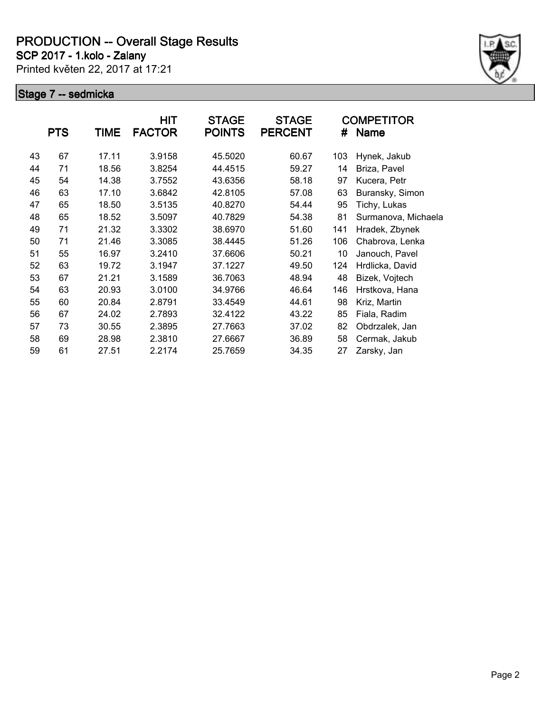**SCP 2017 - 1.kolo - Zalany**

Printed květen 22, 2017 at 17:21



|    | <b>PTS</b> | TIME  | HIT<br><b>FACTOR</b> | <b>STAGE</b><br><b>POINTS</b> | <b>STAGE</b><br><b>PERCENT</b> | #   | <b>COMPETITOR</b><br>Name |
|----|------------|-------|----------------------|-------------------------------|--------------------------------|-----|---------------------------|
| 43 | 67         | 17.11 | 3.9158               | 45.5020                       | 60.67                          | 103 | Hynek, Jakub              |
| 44 | 71         | 18.56 | 3.8254               | 44.4515                       | 59.27                          | 14  | Briza, Pavel              |
| 45 | 54         | 14.38 | 3.7552               | 43.6356                       | 58.18                          | 97  | Kucera, Petr              |
| 46 | 63         | 17.10 | 3.6842               | 42.8105                       | 57.08                          | 63  | Buransky, Simon           |
| 47 | 65         | 18.50 | 3.5135               | 40.8270                       | 54.44                          | 95  | Tichy, Lukas              |
| 48 | 65         | 18.52 | 3.5097               | 40.7829                       | 54.38                          | 81  | Surmanova, Michaela       |
| 49 | 71         | 21.32 | 3.3302               | 38.6970                       | 51.60                          | 141 | Hradek, Zbynek            |
| 50 | 71         | 21.46 | 3.3085               | 38.4445                       | 51.26                          | 106 | Chabrova, Lenka           |
| 51 | 55         | 16.97 | 3.2410               | 37.6606                       | 50.21                          | 10  | Janouch, Pavel            |
| 52 | 63         | 19.72 | 3.1947               | 37.1227                       | 49.50                          | 124 | Hrdlicka, David           |
| 53 | 67         | 21.21 | 3.1589               | 36.7063                       | 48.94                          | 48  | Bizek, Vojtech            |
| 54 | 63         | 20.93 | 3.0100               | 34.9766                       | 46.64                          | 146 | Hrstkova, Hana            |
| 55 | 60         | 20.84 | 2.8791               | 33.4549                       | 44.61                          | 98  | Kriz, Martin              |
| 56 | 67         | 24.02 | 2.7893               | 32.4122                       | 43.22                          | 85  | Fiala, Radim              |
| 57 | 73         | 30.55 | 2.3895               | 27.7663                       | 37.02                          | 82  | Obdrzalek, Jan            |
| 58 | 69         | 28.98 | 2.3810               | 27.6667                       | 36.89                          | 58  | Cermak, Jakub             |
| 59 | 61         | 27.51 | 2.2174               | 25.7659                       | 34.35                          | 27  | Zarsky, Jan               |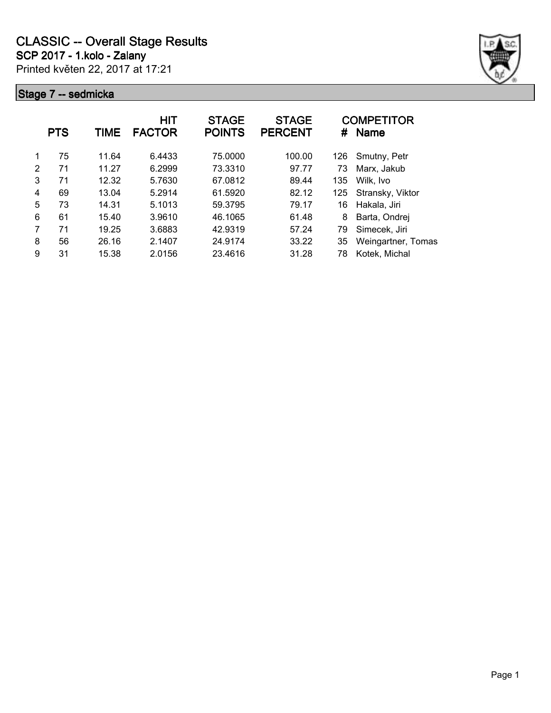Printed květen 22, 2017 at 17:21 **SCP 2017 - 1.kolo - Zalany**



|               | <b>PTS</b> | TIME  | HIT<br><b>FACTOR</b> | <b>STAGE</b><br><b>POINTS</b> | <b>STAGE</b><br><b>PERCENT</b> | #   | <b>COMPETITOR</b><br>Name |
|---------------|------------|-------|----------------------|-------------------------------|--------------------------------|-----|---------------------------|
|               | 75         | 11.64 | 6.4433               | 75.0000                       | 100.00                         | 126 | Smutny, Petr              |
| $\mathcal{P}$ | 71         | 11.27 | 6.2999               | 73.3310                       | 97.77                          | 73  | Marx, Jakub               |
| 3             | 71         | 12.32 | 5.7630               | 67.0812                       | 89.44                          | 135 | Wilk, Ivo                 |
| 4             | 69         | 13.04 | 5.2914               | 61.5920                       | 82.12                          | 125 | Stransky, Viktor          |
| 5             | 73         | 14.31 | 5.1013               | 59.3795                       | 79.17                          | 16  | Hakala, Jiri              |
| 6             | 61         | 15.40 | 3.9610               | 46.1065                       | 61.48                          | 8   | Barta, Ondrej             |
| 7             | 71         | 19.25 | 3.6883               | 42.9319                       | 57.24                          | 79  | Simecek, Jiri             |
| 8             | 56         | 26.16 | 2.1407               | 24.9174                       | 33.22                          | 35  | Weingartner, Tomas        |
| 9             | 31         | 15.38 | 2.0156               | 23.4616                       | 31.28                          | 78  | Kotek, Michal             |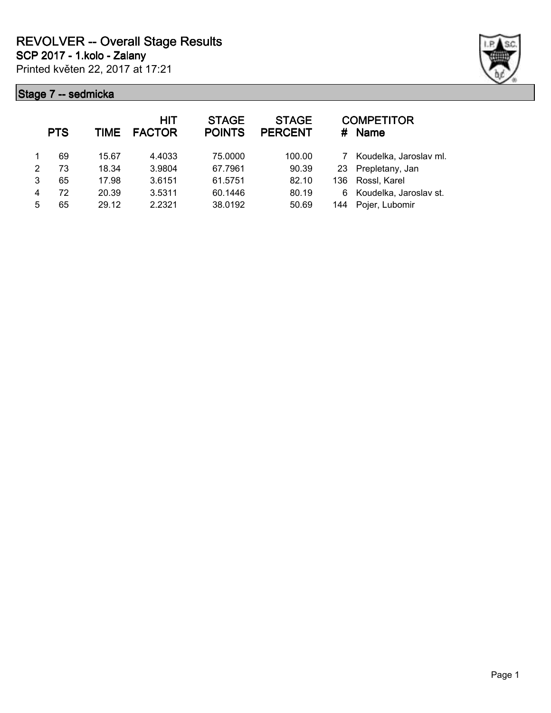Printed květen 22, 2017 at 17:21 **SCP 2017 - 1.kolo - Zalany**



|   | <b>PTS</b> | <b>TIME</b> | <b>HIT</b><br><b>FACTOR</b> | <b>STAGE</b><br><b>POINTS</b> | <b>STAGE</b><br><b>PERCENT</b> | #   | <b>COMPETITOR</b><br><b>Name</b> |
|---|------------|-------------|-----------------------------|-------------------------------|--------------------------------|-----|----------------------------------|
|   | 69         | 15.67       | 4.4033                      | 75.0000                       | 100.00                         | 7   | Koudelka, Jaroslav ml.           |
| 2 | 73         | 18.34       | 3.9804                      | 67.7961                       | 90.39                          | 23  | Prepletany, Jan                  |
| 3 | 65         | 17.98       | 3.6151                      | 61.5751                       | 82.10                          | 136 | Rossl, Karel                     |
| 4 | 72         | 20.39       | 3.5311                      | 60.1446                       | 80.19                          | 6   | Koudelka, Jaroslav st.           |
| 5 | 65         | 29.12       | 2.2321                      | 38.0192                       | 50.69                          | 144 | Pojer, Lubomir                   |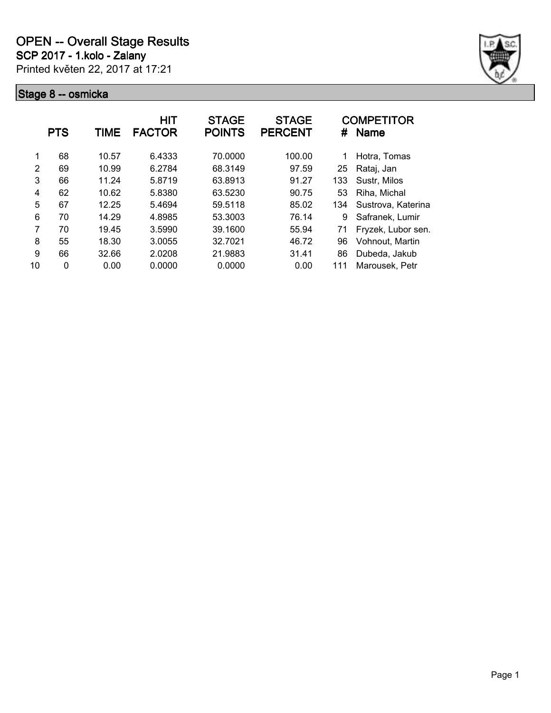

|               | <b>PTS</b> | TIME  | <b>HIT</b><br><b>FACTOR</b> | <b>STAGE</b><br><b>POINTS</b> | <b>STAGE</b><br><b>PERCENT</b> | #   | <b>COMPETITOR</b><br><b>Name</b> |
|---------------|------------|-------|-----------------------------|-------------------------------|--------------------------------|-----|----------------------------------|
| 1             | 68         | 10.57 | 6.4333                      | 70.0000                       | 100.00                         | 1   | Hotra, Tomas                     |
| $\mathcal{P}$ | 69         | 10.99 | 6.2784                      | 68.3149                       | 97.59                          | 25  | Rataj, Jan                       |
| 3             | 66         | 11.24 | 5.8719                      | 63.8913                       | 91.27                          | 133 | Sustr, Milos                     |
| 4             | 62         | 10.62 | 5.8380                      | 63.5230                       | 90.75                          | 53  | Riha, Michal                     |
| 5             | 67         | 12.25 | 5.4694                      | 59.5118                       | 85.02                          | 134 | Sustrova, Katerina               |
| 6             | 70         | 14.29 | 4.8985                      | 53.3003                       | 76.14                          | 9   | Safranek, Lumir                  |
| 7             | 70         | 19.45 | 3.5990                      | 39.1600                       | 55.94                          | 71  | Fryzek, Lubor sen.               |
| 8             | 55         | 18.30 | 3.0055                      | 32.7021                       | 46.72                          | 96  | Vohnout, Martin                  |
| 9             | 66         | 32.66 | 2.0208                      | 21.9883                       | 31.41                          | 86  | Dubeda, Jakub                    |
| 10            | 0          | 0.00  | 0.0000                      | 0.0000                        | 0.00                           | 111 | Marousek, Petr                   |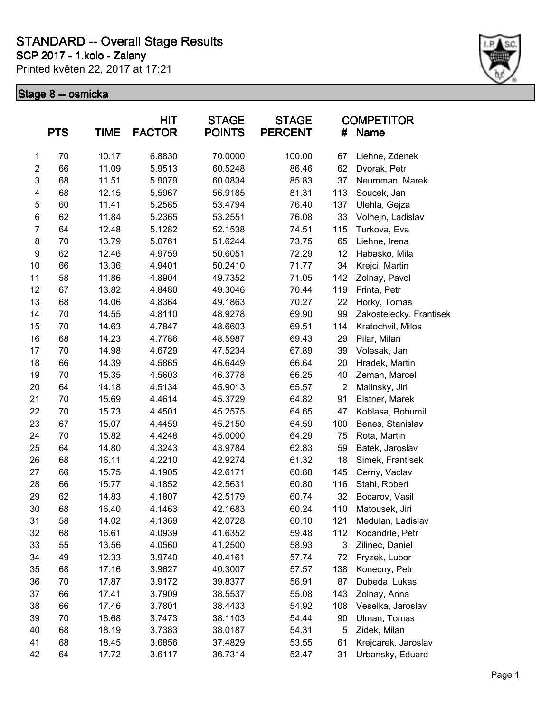**SCP 2017 - 1.kolo - Zalany**

Printed květen 22, 2017 at 17:21



|                         | <b>PTS</b> | <b>TIME</b> | HIT<br><b>FACTOR</b> | <b>STAGE</b><br><b>POINTS</b> | <b>STAGE</b><br><b>PERCENT</b> | #              | <b>COMPETITOR</b><br><b>Name</b> |
|-------------------------|------------|-------------|----------------------|-------------------------------|--------------------------------|----------------|----------------------------------|
| 1                       | 70         | 10.17       | 6.8830               | 70.0000                       | 100.00                         | 67             | Liehne, Zdenek                   |
| $\overline{\mathbf{c}}$ | 66         | 11.09       | 5.9513               | 60.5248                       | 86.46                          | 62             | Dvorak, Petr                     |
| 3                       | 68         | 11.51       | 5.9079               | 60.0834                       | 85.83                          | 37             | Neumman, Marek                   |
| 4                       | 68         | 12.15       | 5.5967               | 56.9185                       | 81.31                          | 113            | Soucek, Jan                      |
| 5                       | 60         | 11.41       | 5.2585               | 53.4794                       | 76.40                          | 137            | Ulehla, Gejza                    |
| 6                       | 62         | 11.84       | 5.2365               | 53.2551                       | 76.08                          | 33             | Volhejn, Ladislav                |
| $\overline{7}$          | 64         | 12.48       | 5.1282               | 52.1538                       | 74.51                          | 115            | Turkova, Eva                     |
| 8                       | 70         | 13.79       | 5.0761               | 51.6244                       | 73.75                          | 65             | Liehne, Irena                    |
| $\boldsymbol{9}$        | 62         | 12.46       | 4.9759               | 50.6051                       | 72.29                          | 12             | Habasko, Mila                    |
| 10                      | 66         | 13.36       | 4.9401               | 50.2410                       | 71.77                          | 34             | Krejci, Martin                   |
| 11                      | 58         | 11.86       | 4.8904               | 49.7352                       | 71.05                          | 142            | Zolnay, Pavol                    |
| 12                      | 67         | 13.82       | 4.8480               | 49.3046                       | 70.44                          | 119            | Frinta, Petr                     |
| 13                      | 68         | 14.06       | 4.8364               | 49.1863                       | 70.27                          | 22             | Horky, Tomas                     |
| 14                      | 70         | 14.55       | 4.8110               | 48.9278                       | 69.90                          | 99             | Zakostelecky, Frantisek          |
| 15                      | 70         | 14.63       | 4.7847               | 48.6603                       | 69.51                          | 114            | Kratochvil, Milos                |
| 16                      | 68         | 14.23       | 4.7786               | 48.5987                       | 69.43                          | 29             | Pilar, Milan                     |
| 17                      | 70         | 14.98       | 4.6729               | 47.5234                       | 67.89                          | 39             | Volesak, Jan                     |
| 18                      | 66         | 14.39       | 4.5865               | 46.6449                       | 66.64                          | 20             | Hradek, Martin                   |
| 19                      | 70         | 15.35       | 4.5603               | 46.3778                       | 66.25                          | 40             | Zeman, Marcel                    |
| 20                      | 64         | 14.18       | 4.5134               | 45.9013                       | 65.57                          | $\overline{2}$ | Malinsky, Jiri                   |
| 21                      | 70         | 15.69       | 4.4614               | 45.3729                       | 64.82                          | 91             | Elstner, Marek                   |
| 22                      | 70         | 15.73       | 4.4501               | 45.2575                       | 64.65                          | 47             | Koblasa, Bohumil                 |
| 23                      | 67         | 15.07       | 4.4459               | 45.2150                       | 64.59                          | 100            | Benes, Stanislav                 |
| 24                      | 70         | 15.82       | 4.4248               | 45.0000                       | 64.29                          | 75             | Rota, Martin                     |
| 25                      | 64         | 14.80       | 4.3243               | 43.9784                       | 62.83                          | 59             | Batek, Jaroslav                  |
| 26                      | 68         | 16.11       | 4.2210               | 42.9274                       | 61.32                          | 18             | Simek, Frantisek                 |
| 27                      | 66         | 15.75       | 4.1905               | 42.6171                       | 60.88                          | 145            | Cerny, Vaclav                    |
| 28                      | 66         | 15.77       | 4.1852               | 42.5631                       | 60.80                          | 116            | Stahl, Robert                    |
| 29                      | 62         | 14.83       | 4.1807               | 42.5179                       | 60.74                          | 32             | Bocarov, Vasil                   |
| 30                      | 68         | 16.40       | 4.1463               | 42.1683                       | 60.24                          | 110            | Matousek, Jiri                   |
| 31                      | 58         | 14.02       | 4.1369               | 42.0728                       | 60.10                          | 121            | Medulan, Ladislav                |
| 32                      | 68         | 16.61       | 4.0939               | 41.6352                       | 59.48                          | 112            | Kocandrle, Petr                  |
| 33                      | 55         | 13.56       | 4.0560               | 41.2500                       | 58.93                          | 3              | Zilinec, Daniel                  |
| 34                      | 49         | 12.33       | 3.9740               | 40.4161                       | 57.74                          | 72             | Fryzek, Lubor                    |
| 35                      | 68         | 17.16       | 3.9627               | 40.3007                       | 57.57                          | 138            | Konecny, Petr                    |
| 36                      | 70         | 17.87       | 3.9172               | 39.8377                       | 56.91                          | 87             | Dubeda, Lukas                    |
| 37                      | 66         | 17.41       | 3.7909               | 38.5537                       | 55.08                          | 143            | Zolnay, Anna                     |
| 38                      | 66         | 17.46       | 3.7801               | 38.4433                       | 54.92                          | 108            | Veselka, Jaroslav                |
| 39                      | 70         | 18.68       | 3.7473               | 38.1103                       | 54.44                          | 90             | Ulman, Tomas                     |
| 40                      | 68         | 18.19       | 3.7383               | 38.0187                       | 54.31                          | 5              | Zidek, Milan                     |
| 41                      | 68         | 18.45       | 3.6856               | 37.4829                       | 53.55                          | 61             | Krejcarek, Jaroslav              |
| 42                      | 64         | 17.72       | 3.6117               | 36.7314                       | 52.47                          | 31             | Urbansky, Eduard                 |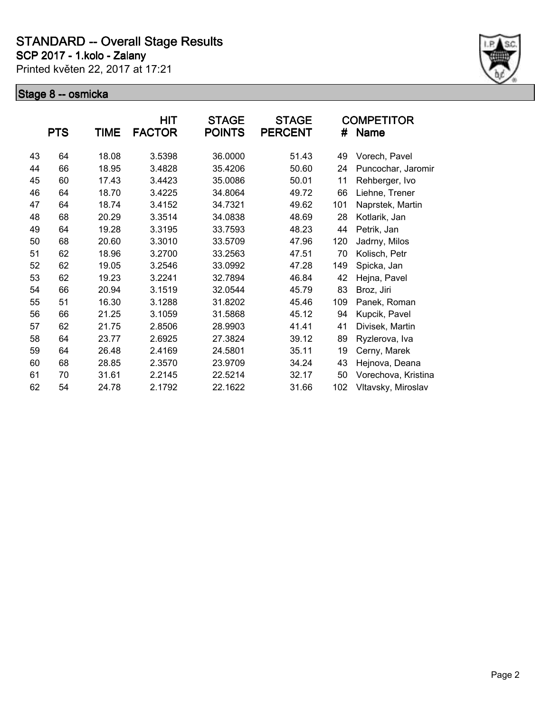**SCP 2017 - 1.kolo - Zalany**

Printed květen 22, 2017 at 17:21



|    | <b>PTS</b> | TIME  | HIT<br><b>FACTOR</b> | <b>STAGE</b><br><b>POINTS</b> | <b>STAGE</b><br><b>PERCENT</b> | #   | <b>COMPETITOR</b><br>Name |
|----|------------|-------|----------------------|-------------------------------|--------------------------------|-----|---------------------------|
| 43 | 64         | 18.08 | 3.5398               | 36.0000                       | 51.43                          | 49  | Vorech, Pavel             |
| 44 | 66         | 18.95 | 3.4828               | 35.4206                       | 50.60                          | 24  | Puncochar, Jaromir        |
| 45 | 60         | 17.43 | 3.4423               | 35.0086                       | 50.01                          | 11  | Rehberger, Ivo            |
| 46 | 64         | 18.70 | 3.4225               | 34.8064                       | 49.72                          | 66  | Liehne, Trener            |
| 47 | 64         | 18.74 | 3.4152               | 34.7321                       | 49.62                          | 101 | Naprstek, Martin          |
| 48 | 68         | 20.29 | 3.3514               | 34.0838                       | 48.69                          | 28  | Kotlarik, Jan             |
| 49 | 64         | 19.28 | 3.3195               | 33.7593                       | 48.23                          | 44  | Petrik, Jan               |
| 50 | 68         | 20.60 | 3.3010               | 33.5709                       | 47.96                          | 120 | Jadrny, Milos             |
| 51 | 62         | 18.96 | 3.2700               | 33.2563                       | 47.51                          | 70  | Kolisch, Petr             |
| 52 | 62         | 19.05 | 3.2546               | 33.0992                       | 47.28                          | 149 | Spicka, Jan               |
| 53 | 62         | 19.23 | 3.2241               | 32.7894                       | 46.84                          | 42  | Hejna, Pavel              |
| 54 | 66         | 20.94 | 3.1519               | 32.0544                       | 45.79                          | 83  | Broz, Jiri                |
| 55 | 51         | 16.30 | 3.1288               | 31.8202                       | 45.46                          | 109 | Panek, Roman              |
| 56 | 66         | 21.25 | 3.1059               | 31.5868                       | 45.12                          | 94  | Kupcik, Pavel             |
| 57 | 62         | 21.75 | 2.8506               | 28.9903                       | 41.41                          | 41  | Divisek, Martin           |
| 58 | 64         | 23.77 | 2.6925               | 27.3824                       | 39.12                          | 89  | Ryzlerova, Iva            |
| 59 | 64         | 26.48 | 2.4169               | 24.5801                       | 35.11                          | 19  | Cerny, Marek              |
| 60 | 68         | 28.85 | 2.3570               | 23.9709                       | 34.24                          | 43  | Hejnova, Deana            |
| 61 | 70         | 31.61 | 2.2145               | 22.5214                       | 32.17                          | 50  | Vorechova, Kristina       |
| 62 | 54         | 24.78 | 2.1792               | 22.1622                       | 31.66                          | 102 | Vltavsky, Miroslav        |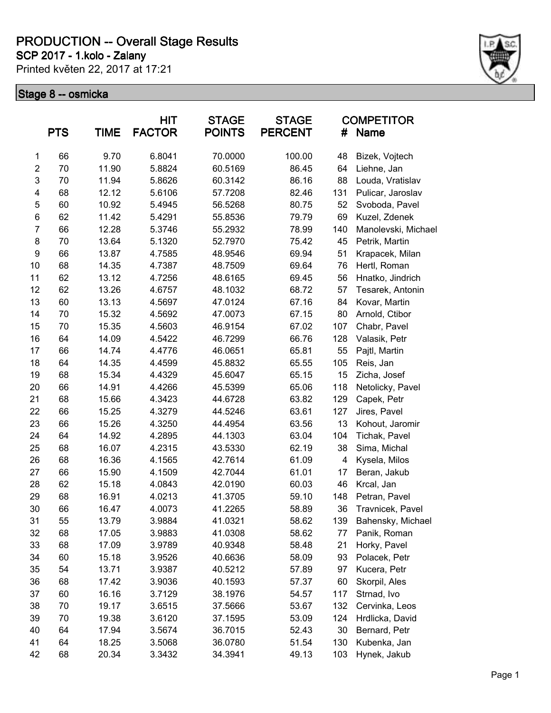**SCP 2017 - 1.kolo - Zalany**

Printed květen 22, 2017 at 17:21



|                         | <b>PTS</b> | TIME  | <b>HIT</b><br><b>FACTOR</b> | <b>STAGE</b><br><b>POINTS</b> | <b>STAGE</b><br><b>PERCENT</b> | #   | <b>COMPETITOR</b><br><b>Name</b> |
|-------------------------|------------|-------|-----------------------------|-------------------------------|--------------------------------|-----|----------------------------------|
| 1                       | 66         | 9.70  | 6.8041                      | 70.0000                       | 100.00                         | 48  | Bizek, Vojtech                   |
| $\overline{\mathbf{c}}$ | 70         | 11.90 | 5.8824                      | 60.5169                       | 86.45                          | 64  | Liehne, Jan                      |
| 3                       | 70         | 11.94 | 5.8626                      | 60.3142                       | 86.16                          | 88  | Louda, Vratislav                 |
| $\overline{\mathbf{4}}$ | 68         | 12.12 | 5.6106                      | 57.7208                       | 82.46                          | 131 | Pulicar, Jaroslav                |
| 5                       | 60         | 10.92 | 5.4945                      | 56.5268                       | 80.75                          | 52  | Svoboda, Pavel                   |
| 6                       | 62         | 11.42 | 5.4291                      | 55.8536                       | 79.79                          | 69  | Kuzel, Zdenek                    |
| $\overline{7}$          | 66         | 12.28 | 5.3746                      | 55.2932                       | 78.99                          | 140 | Manolevski, Michael              |
| 8                       | 70         | 13.64 | 5.1320                      | 52.7970                       | 75.42                          | 45  | Petrik, Martin                   |
| 9                       | 66         | 13.87 | 4.7585                      | 48.9546                       | 69.94                          | 51  | Krapacek, Milan                  |
| 10                      | 68         | 14.35 | 4.7387                      | 48.7509                       | 69.64                          | 76  | Hertl, Roman                     |
| 11                      | 62         | 13.12 | 4.7256                      | 48.6165                       | 69.45                          | 56  | Hnatko, Jindrich                 |
| 12                      | 62         | 13.26 | 4.6757                      | 48.1032                       | 68.72                          | 57  | Tesarek, Antonin                 |
| 13                      | 60         | 13.13 | 4.5697                      | 47.0124                       | 67.16                          | 84  | Kovar, Martin                    |
| 14                      | 70         | 15.32 | 4.5692                      | 47.0073                       | 67.15                          | 80  | Arnold, Ctibor                   |
| 15                      | 70         | 15.35 | 4.5603                      | 46.9154                       | 67.02                          | 107 | Chabr, Pavel                     |
| 16                      | 64         | 14.09 | 4.5422                      | 46.7299                       | 66.76                          | 128 | Valasik, Petr                    |
| 17                      | 66         | 14.74 | 4.4776                      | 46.0651                       | 65.81                          | 55  | Pajtl, Martin                    |
| 18                      | 64         | 14.35 | 4.4599                      | 45.8832                       | 65.55                          | 105 | Reis, Jan                        |
| 19                      | 68         | 15.34 | 4.4329                      | 45.6047                       | 65.15                          | 15  | Zicha, Josef                     |
| 20                      | 66         | 14.91 | 4.4266                      | 45.5399                       | 65.06                          | 118 | Netolicky, Pavel                 |
| 21                      | 68         | 15.66 | 4.3423                      | 44.6728                       | 63.82                          | 129 | Capek, Petr                      |
| 22                      | 66         | 15.25 | 4.3279                      | 44.5246                       | 63.61                          | 127 | Jires, Pavel                     |
| 23                      | 66         | 15.26 | 4.3250                      | 44.4954                       | 63.56                          | 13  | Kohout, Jaromir                  |
| 24                      | 64         | 14.92 | 4.2895                      | 44.1303                       | 63.04                          | 104 | Tichak, Pavel                    |
| 25                      | 68         | 16.07 | 4.2315                      | 43.5330                       | 62.19                          | 38  | Sima, Michal                     |
| 26                      | 68         | 16.36 | 4.1565                      | 42.7614                       | 61.09                          | 4   | Kysela, Milos                    |
| 27                      | 66         | 15.90 | 4.1509                      | 42.7044                       | 61.01                          | 17  | Beran, Jakub                     |
| 28                      | 62         | 15.18 | 4.0843                      | 42.0190                       | 60.03                          | 46  | Krcal, Jan                       |
| 29                      | 68         | 16.91 | 4.0213                      | 41.3705                       | 59.10                          | 148 | Petran, Pavel                    |
| 30                      | 66         | 16.47 | 4.0073                      | 41.2265                       | 58.89                          | 36  | Travnicek, Pavel                 |
| 31                      | 55         | 13.79 | 3.9884                      | 41.0321                       | 58.62                          | 139 | Bahensky, Michael                |
| 32                      | 68         | 17.05 | 3.9883                      | 41.0308                       | 58.62                          | 77  | Panik, Roman                     |
| 33                      | 68         | 17.09 | 3.9789                      | 40.9348                       | 58.48                          | 21  | Horky, Pavel                     |
| 34                      | 60         | 15.18 | 3.9526                      | 40.6636                       | 58.09                          | 93  | Polacek, Petr                    |
| 35                      | 54         | 13.71 | 3.9387                      | 40.5212                       | 57.89                          | 97  | Kucera, Petr                     |
| 36                      | 68         | 17.42 | 3.9036                      | 40.1593                       | 57.37                          | 60  | Skorpil, Ales                    |
| 37                      | 60         | 16.16 | 3.7129                      | 38.1976                       | 54.57                          | 117 | Strnad, Ivo                      |
| 38                      | 70         | 19.17 | 3.6515                      | 37.5666                       | 53.67                          | 132 | Cervinka, Leos                   |
| 39                      | 70         | 19.38 | 3.6120                      | 37.1595                       | 53.09                          | 124 | Hrdlicka, David                  |
| 40                      | 64         | 17.94 | 3.5674                      | 36.7015                       | 52.43                          | 30  | Bernard, Petr                    |
| 41                      | 64         | 18.25 | 3.5068                      | 36.0780                       | 51.54                          | 130 | Kubenka, Jan                     |
| 42                      | 68         | 20.34 | 3.3432                      | 34.3941                       | 49.13                          | 103 | Hynek, Jakub                     |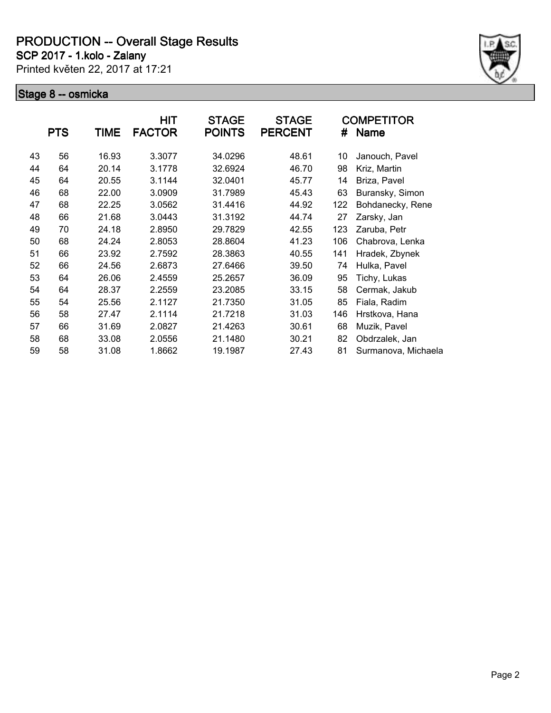**SCP 2017 - 1.kolo - Zalany**

Printed květen 22, 2017 at 17:21



| <b>PTS</b><br><b>TIME</b> |    | HIT<br><b>FACTOR</b> | <b>STAGE</b><br><b>POINTS</b> | <b>STAGE</b><br><b>PERCENT</b> | #     | <b>COMPETITOR</b><br>Name |                     |
|---------------------------|----|----------------------|-------------------------------|--------------------------------|-------|---------------------------|---------------------|
| 43                        | 56 | 16.93                | 3.3077                        | 34.0296                        | 48.61 | 10                        | Janouch, Pavel      |
| 44                        | 64 | 20.14                | 3.1778                        | 32.6924                        | 46.70 | 98                        | Kriz, Martin        |
| 45                        | 64 | 20.55                | 3.1144                        | 32.0401                        | 45.77 | 14                        | Briza, Pavel        |
| 46                        | 68 | 22.00                | 3.0909                        | 31.7989                        | 45.43 | 63                        | Buransky, Simon     |
| 47                        | 68 | 22.25                | 3.0562                        | 31.4416                        | 44.92 | 122                       | Bohdanecky, Rene    |
| 48                        | 66 | 21.68                | 3.0443                        | 31.3192                        | 44.74 | 27                        | Zarsky, Jan         |
| 49                        | 70 | 24.18                | 2.8950                        | 29.7829                        | 42.55 | 123                       | Zaruba, Petr        |
| 50                        | 68 | 24.24                | 2.8053                        | 28.8604                        | 41.23 | 106                       | Chabrova, Lenka     |
| 51                        | 66 | 23.92                | 2.7592                        | 28.3863                        | 40.55 | 141                       | Hradek, Zbynek      |
| 52                        | 66 | 24.56                | 2.6873                        | 27.6466                        | 39.50 | 74                        | Hulka, Pavel        |
| 53                        | 64 | 26.06                | 2.4559                        | 25.2657                        | 36.09 | 95                        | Tichy, Lukas        |
| 54                        | 64 | 28.37                | 2.2559                        | 23.2085                        | 33.15 | 58                        | Cermak, Jakub       |
| 55                        | 54 | 25.56                | 2.1127                        | 21.7350                        | 31.05 | 85                        | Fiala, Radim        |
| 56                        | 58 | 27.47                | 2.1114                        | 21.7218                        | 31.03 | 146                       | Hrstkova, Hana      |
| 57                        | 66 | 31.69                | 2.0827                        | 21.4263                        | 30.61 | 68                        | Muzik, Pavel        |
| 58                        | 68 | 33.08                | 2.0556                        | 21.1480                        | 30.21 | 82                        | Obdrzalek, Jan      |
| 59                        | 58 | 31.08                | 1.8662                        | 19.1987                        | 27.43 | 81                        | Surmanova, Michaela |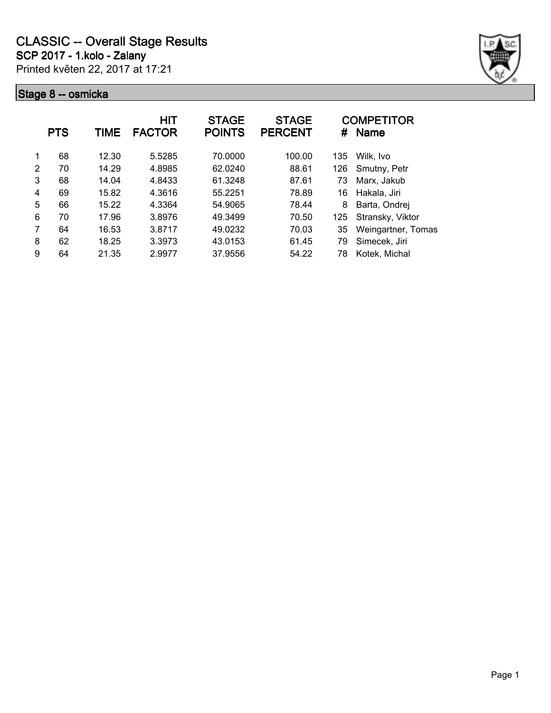

|   | <b>PTS</b> | <b>TIME</b> | HIT<br><b>FACTOR</b> | <b>STAGE</b><br><b>POINTS</b> | <b>STAGE</b><br><b>PERCENT</b> | #   | <b>COMPETITOR</b><br><b>Name</b> |
|---|------------|-------------|----------------------|-------------------------------|--------------------------------|-----|----------------------------------|
| 1 | 68         | 12.30       | 5.5285               | 70.0000                       | 100.00                         | 135 | Wilk, Ivo                        |
| 2 | 70         | 14.29       | 4.8985               | 62.0240                       | 88.61                          | 126 | Smutny, Petr                     |
| 3 | 68         | 14.04       | 4.8433               | 61.3248                       | 87.61                          | 73  | Marx, Jakub                      |
| 4 | 69         | 15.82       | 4.3616               | 55.2251                       | 78.89                          | 16  | Hakala, Jiri                     |
| 5 | 66         | 15.22       | 4.3364               | 54.9065                       | 78.44                          | 8   | Barta, Ondrej                    |
| 6 | 70         | 17.96       | 3.8976               | 49.3499                       | 70.50                          | 125 | Stransky, Viktor                 |
| 7 | 64         | 16.53       | 3.8717               | 49.0232                       | 70.03                          | 35  | Weingartner, Tomas               |
| 8 | 62         | 18.25       | 3.3973               | 43.0153                       | 61.45                          | 79  | Simecek, Jiri                    |
| 9 | 64         | 21.35       | 2.9977               | 37.9556                       | 54.22                          | 78  | Kotek, Michal                    |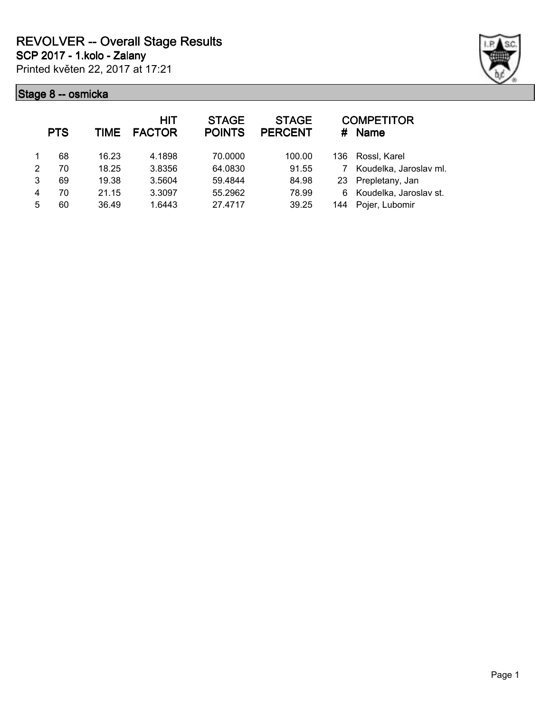

|   | <b>PTS</b> | TIME  | <b>HIT</b><br><b>FACTOR</b> | <b>STAGE</b><br><b>POINTS</b> | <b>STAGE</b><br><b>PERCENT</b> | #    | <b>COMPETITOR</b><br><b>Name</b> |
|---|------------|-------|-----------------------------|-------------------------------|--------------------------------|------|----------------------------------|
|   | 68         | 16.23 | 4.1898                      | 70,0000                       | 100.00                         | 136. | Rossl, Karel                     |
| 2 | 70         | 18.25 | 3.8356                      | 64.0830                       | 91.55                          |      | Koudelka, Jaroslav ml.           |
| 3 | 69         | 19.38 | 3.5604                      | 59.4844                       | 84.98                          | 23   | Prepletany, Jan                  |
| 4 | 70         | 21.15 | 3.3097                      | 55.2962                       | 78.99                          | 6    | Koudelka, Jaroslav st.           |
| 5 | 60         | 36.49 | 1.6443                      | 27.4717                       | 39.25                          | 144  | Pojer, Lubomir                   |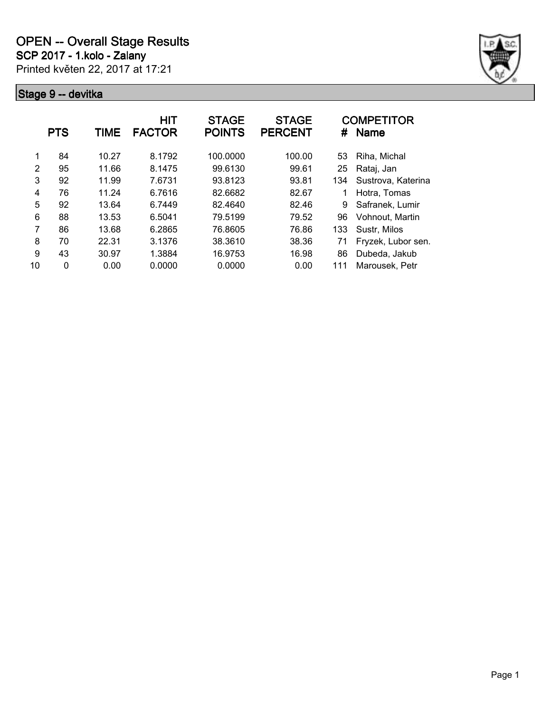

|                | <b>PTS</b> | TIME  | <b>HIT</b><br><b>FACTOR</b> | <b>STAGE</b><br><b>POINTS</b> | <b>STAGE</b><br><b>PERCENT</b> | #   | <b>COMPETITOR</b><br><b>Name</b> |
|----------------|------------|-------|-----------------------------|-------------------------------|--------------------------------|-----|----------------------------------|
|                | 84         | 10.27 | 8.1792                      | 100.0000                      | 100.00                         | 53  | Riha, Michal                     |
| $\overline{2}$ | 95         | 11.66 | 8.1475                      | 99.6130                       | 99.61                          | 25  | Rataj, Jan                       |
| 3              | 92         | 11.99 | 7.6731                      | 93.8123                       | 93.81                          | 134 | Sustrova, Katerina               |
| 4              | 76         | 11.24 | 6.7616                      | 82.6682                       | 82.67                          |     | Hotra, Tomas                     |
| 5              | 92         | 13.64 | 6.7449                      | 82.4640                       | 82.46                          | 9   | Safranek, Lumir                  |
| 6              | 88         | 13.53 | 6.5041                      | 79.5199                       | 79.52                          | 96  | Vohnout, Martin                  |
| 7              | 86         | 13.68 | 6.2865                      | 76.8605                       | 76.86                          | 133 | Sustr, Milos                     |
| 8              | 70         | 22.31 | 3.1376                      | 38.3610                       | 38.36                          | 71  | Fryzek, Lubor sen.               |
| 9              | 43         | 30.97 | 1.3884                      | 16.9753                       | 16.98                          | 86  | Dubeda, Jakub                    |
| 10             | 0          | 0.00  | 0.0000                      | 0.0000                        | 0.00                           | 111 | Marousek, Petr                   |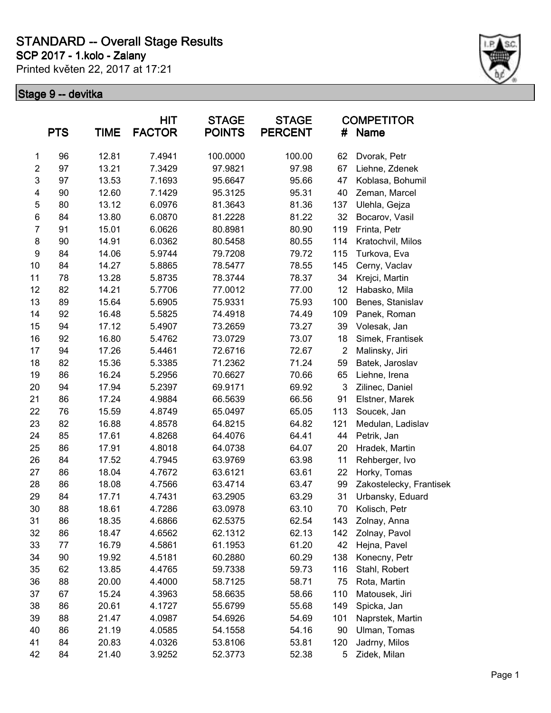**SCP 2017 - 1.kolo - Zalany**

Printed květen 22, 2017 at 17:21



| <b>PTS</b><br><b>TIME</b> |    | <b>HIT</b><br><b>STAGE</b><br><b>FACTOR</b><br><b>POINTS</b> |        | <b>STAGE</b><br><b>PERCENT</b> | <b>COMPETITOR</b><br>#<br><b>Name</b> |                |                         |
|---------------------------|----|--------------------------------------------------------------|--------|--------------------------------|---------------------------------------|----------------|-------------------------|
| 1                         | 96 | 12.81                                                        | 7.4941 | 100.0000                       | 100.00                                | 62             | Dvorak, Petr            |
| $\overline{2}$            | 97 | 13.21                                                        | 7.3429 | 97.9821                        | 97.98                                 | 67             | Liehne, Zdenek          |
| 3                         | 97 | 13.53                                                        | 7.1693 | 95.6647                        | 95.66                                 | 47             | Koblasa, Bohumil        |
| $\overline{\mathbf{4}}$   | 90 | 12.60                                                        | 7.1429 | 95.3125                        | 95.31                                 | 40             | Zeman, Marcel           |
| 5                         | 80 | 13.12                                                        | 6.0976 | 81.3643                        | 81.36                                 | 137            | Ulehla, Gejza           |
| $\,6$                     | 84 | 13.80                                                        | 6.0870 | 81.2228                        | 81.22                                 | 32             | Bocarov, Vasil          |
| $\overline{7}$            | 91 | 15.01                                                        | 6.0626 | 80.8981                        | 80.90                                 | 119            | Frinta, Petr            |
| 8                         | 90 | 14.91                                                        | 6.0362 | 80.5458                        | 80.55                                 | 114            | Kratochvil, Milos       |
| $\boldsymbol{9}$          | 84 | 14.06                                                        | 5.9744 | 79.7208                        | 79.72                                 | 115            | Turkova, Eva            |
| 10                        | 84 | 14.27                                                        | 5.8865 | 78.5477                        | 78.55                                 | 145            | Cerny, Vaclav           |
| 11                        | 78 | 13.28                                                        | 5.8735 | 78.3744                        | 78.37                                 | 34             | Krejci, Martin          |
| 12                        | 82 | 14.21                                                        | 5.7706 | 77.0012                        | 77.00                                 | 12             | Habasko, Mila           |
| 13                        | 89 | 15.64                                                        | 5.6905 | 75.9331                        | 75.93                                 | 100            | Benes, Stanislav        |
| 14                        | 92 | 16.48                                                        | 5.5825 | 74.4918                        | 74.49                                 | 109            | Panek, Roman            |
| 15                        | 94 | 17.12                                                        | 5.4907 | 73.2659                        | 73.27                                 | 39             | Volesak, Jan            |
| 16                        | 92 | 16.80                                                        | 5.4762 | 73.0729                        | 73.07                                 | 18             | Simek, Frantisek        |
| 17                        | 94 | 17.26                                                        | 5.4461 | 72.6716                        | 72.67                                 | $\overline{2}$ | Malinsky, Jiri          |
| 18                        | 82 | 15.36                                                        | 5.3385 | 71.2362                        | 71.24                                 | 59             | Batek, Jaroslav         |
| 19                        | 86 | 16.24                                                        | 5.2956 | 70.6627                        | 70.66                                 | 65             | Liehne, Irena           |
| 20                        | 94 | 17.94                                                        | 5.2397 | 69.9171                        | 69.92                                 | $\mathbf{3}$   | Zilinec, Daniel         |
| 21                        | 86 | 17.24                                                        | 4.9884 | 66.5639                        | 66.56                                 | 91             | Elstner, Marek          |
| 22                        | 76 | 15.59                                                        | 4.8749 | 65.0497                        | 65.05                                 | 113            | Soucek, Jan             |
| 23                        | 82 | 16.88                                                        | 4.8578 | 64.8215                        | 64.82                                 | 121            | Medulan, Ladislav       |
| 24                        | 85 | 17.61                                                        | 4.8268 | 64.4076                        | 64.41                                 | 44             | Petrik, Jan             |
| 25                        | 86 | 17.91                                                        | 4.8018 | 64.0738                        | 64.07                                 | 20             | Hradek, Martin          |
| 26                        | 84 | 17.52                                                        | 4.7945 | 63.9769                        | 63.98                                 | 11             | Rehberger, Ivo          |
| 27                        | 86 | 18.04                                                        | 4.7672 | 63.6121                        | 63.61                                 | 22             | Horky, Tomas            |
| 28                        | 86 | 18.08                                                        | 4.7566 | 63.4714                        | 63.47                                 | 99             | Zakostelecky, Frantisek |
| 29                        | 84 | 17.71                                                        | 4.7431 | 63.2905                        | 63.29                                 | 31             | Urbansky, Eduard        |
| 30                        | 88 | 18.61                                                        | 4.7286 | 63.0978                        | 63.10                                 | 70             | Kolisch, Petr           |
| 31                        | 86 | 18.35                                                        | 4.6866 | 62.5375                        | 62.54                                 | 143            | Zolnay, Anna            |
| 32                        | 86 | 18.47                                                        | 4.6562 | 62.1312                        | 62.13                                 | 142            | Zolnay, Pavol           |
| 33                        | 77 | 16.79                                                        | 4.5861 | 61.1953                        | 61.20                                 | 42             | Hejna, Pavel            |
| 34                        | 90 | 19.92                                                        | 4.5181 | 60.2880                        | 60.29                                 | 138            | Konecny, Petr           |
| 35                        | 62 | 13.85                                                        | 4.4765 | 59.7338                        | 59.73                                 | 116            | Stahl, Robert           |
| 36                        | 88 | 20.00                                                        | 4.4000 | 58.7125                        | 58.71                                 | 75             | Rota, Martin            |
| 37                        | 67 | 15.24                                                        | 4.3963 | 58.6635                        | 58.66                                 | 110            | Matousek, Jiri          |
| 38                        | 86 | 20.61                                                        | 4.1727 | 55.6799                        | 55.68                                 | 149            | Spicka, Jan             |
| 39                        | 88 | 21.47                                                        | 4.0987 | 54.6926                        | 54.69                                 | 101            | Naprstek, Martin        |
| 40                        | 86 | 21.19                                                        | 4.0585 | 54.1558                        | 54.16                                 | 90             | Ulman, Tomas            |
| 41                        | 84 | 20.83                                                        | 4.0326 | 53.8106                        | 53.81                                 | 120            | Jadrny, Milos           |
| 42                        | 84 | 21.40                                                        | 3.9252 | 52.3773                        | 52.38                                 | 5              | Zidek, Milan            |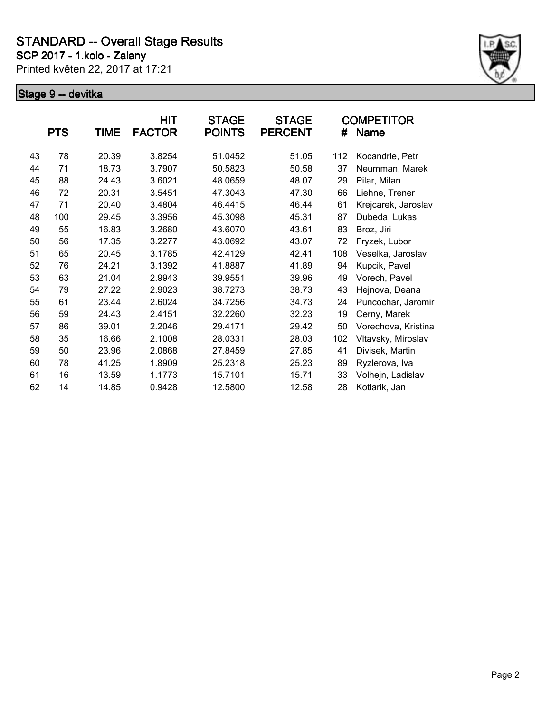**SCP 2017 - 1.kolo - Zalany**

Printed květen 22, 2017 at 17:21



|    | <b>PTS</b> | <b>TIME</b> | HIT<br><b>FACTOR</b> | <b>STAGE</b><br><b>POINTS</b> | <b>STAGE</b><br><b>PERCENT</b> | #   | <b>COMPETITOR</b><br><b>Name</b> |
|----|------------|-------------|----------------------|-------------------------------|--------------------------------|-----|----------------------------------|
| 43 | 78         | 20.39       | 3.8254               | 51.0452                       | 51.05                          | 112 | Kocandrle, Petr                  |
| 44 | 71         | 18.73       | 3.7907               | 50.5823                       | 50.58                          | 37  | Neumman, Marek                   |
| 45 | 88         | 24.43       | 3.6021               | 48.0659                       | 48.07                          | 29  | Pilar, Milan                     |
| 46 | 72         | 20.31       | 3.5451               | 47.3043                       | 47.30                          | 66  | Liehne, Trener                   |
| 47 | 71         | 20.40       | 3.4804               | 46.4415                       | 46.44                          | 61  | Krejcarek, Jaroslav              |
| 48 | 100        | 29.45       | 3.3956               | 45.3098                       | 45.31                          | 87  | Dubeda, Lukas                    |
| 49 | 55         | 16.83       | 3.2680               | 43.6070                       | 43.61                          | 83  | Broz, Jiri                       |
| 50 | 56         | 17.35       | 3.2277               | 43.0692                       | 43.07                          | 72  | Fryzek, Lubor                    |
| 51 | 65         | 20.45       | 3.1785               | 42.4129                       | 42.41                          | 108 | Veselka, Jaroslav                |
| 52 | 76         | 24.21       | 3.1392               | 41.8887                       | 41.89                          | 94  | Kupcik, Pavel                    |
| 53 | 63         | 21.04       | 2.9943               | 39.9551                       | 39.96                          | 49  | Vorech, Pavel                    |
| 54 | 79         | 27.22       | 2.9023               | 38.7273                       | 38.73                          | 43  | Hejnova, Deana                   |
| 55 | 61         | 23.44       | 2.6024               | 34.7256                       | 34.73                          | 24  | Puncochar, Jaromir               |
| 56 | 59         | 24.43       | 2.4151               | 32.2260                       | 32.23                          | 19  | Cerny, Marek                     |
| 57 | 86         | 39.01       | 2.2046               | 29.4171                       | 29.42                          | 50  | Vorechova, Kristina              |
| 58 | 35         | 16.66       | 2.1008               | 28.0331                       | 28.03                          | 102 | Vltavsky, Miroslav               |
| 59 | 50         | 23.96       | 2.0868               | 27.8459                       | 27.85                          | 41  | Divisek, Martin                  |
| 60 | 78         | 41.25       | 1.8909               | 25.2318                       | 25.23                          | 89  | Ryzlerova, Iva                   |
| 61 | 16         | 13.59       | 1.1773               | 15.7101                       | 15.71                          | 33  | Volhejn, Ladislav                |
| 62 | 14         | 14.85       | 0.9428               | 12.5800                       | 12.58                          | 28  | Kotlarik, Jan                    |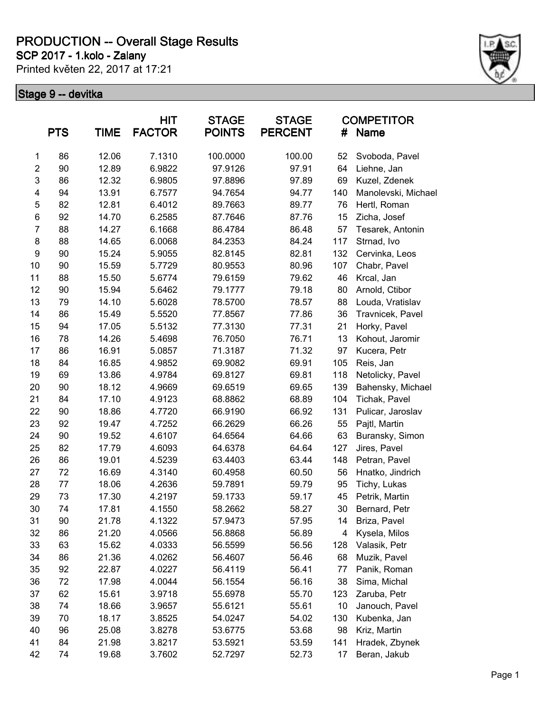**SCP 2017 - 1.kolo - Zalany**

Printed květen 22, 2017 at 17:21



|                | <b>PTS</b> | <b>TIME</b> | <b>HIT</b><br><b>FACTOR</b> | <b>STAGE</b><br><b>POINTS</b> | <b>STAGE</b><br><b>PERCENT</b> | #   | <b>COMPETITOR</b><br><b>Name</b> |
|----------------|------------|-------------|-----------------------------|-------------------------------|--------------------------------|-----|----------------------------------|
| 1              | 86         | 12.06       | 7.1310                      | 100.0000                      | 100.00                         | 52  | Svoboda, Pavel                   |
| $\overline{c}$ | 90         | 12.89       | 6.9822                      | 97.9126                       | 97.91                          | 64  | Liehne, Jan                      |
| $\mathsf 3$    | 86         | 12.32       | 6.9805                      | 97.8896                       | 97.89                          | 69  | Kuzel, Zdenek                    |
| 4              | 94         | 13.91       | 6.7577                      | 94.7654                       | 94.77                          | 140 | Manolevski, Michael              |
| 5              | 82         | 12.81       | 6.4012                      | 89.7663                       | 89.77                          | 76  | Hertl, Roman                     |
| 6              | 92         | 14.70       | 6.2585                      | 87.7646                       | 87.76                          | 15  | Zicha, Josef                     |
| $\overline{7}$ | 88         | 14.27       | 6.1668                      | 86.4784                       | 86.48                          | 57  | Tesarek, Antonin                 |
| 8              | 88         | 14.65       | 6.0068                      | 84.2353                       | 84.24                          | 117 | Strnad, Ivo                      |
| 9              | 90         | 15.24       | 5.9055                      | 82.8145                       | 82.81                          | 132 | Cervinka, Leos                   |
| 10             | 90         | 15.59       | 5.7729                      | 80.9553                       | 80.96                          | 107 | Chabr, Pavel                     |
| 11             | 88         | 15.50       | 5.6774                      | 79.6159                       | 79.62                          | 46  | Krcal, Jan                       |
| 12             | 90         | 15.94       | 5.6462                      | 79.1777                       | 79.18                          | 80  | Arnold, Ctibor                   |
| 13             | 79         | 14.10       | 5.6028                      | 78.5700                       | 78.57                          | 88  | Louda, Vratislav                 |
| 14             | 86         | 15.49       | 5.5520                      | 77.8567                       | 77.86                          | 36  | Travnicek, Pavel                 |
| 15             | 94         | 17.05       | 5.5132                      | 77.3130                       | 77.31                          | 21  | Horky, Pavel                     |
| 16             | 78         | 14.26       | 5.4698                      | 76.7050                       | 76.71                          | 13  | Kohout, Jaromir                  |
| 17             | 86         | 16.91       | 5.0857                      | 71.3187                       | 71.32                          | 97  | Kucera, Petr                     |
| 18             | 84         | 16.85       | 4.9852                      | 69.9082                       | 69.91                          | 105 | Reis, Jan                        |
| 19             | 69         | 13.86       | 4.9784                      | 69.8127                       | 69.81                          | 118 | Netolicky, Pavel                 |
| 20             | 90         | 18.12       | 4.9669                      | 69.6519                       | 69.65                          | 139 | Bahensky, Michael                |
| 21             | 84         | 17.10       | 4.9123                      | 68.8862                       | 68.89                          | 104 | Tichak, Pavel                    |
| 22             | 90         | 18.86       | 4.7720                      | 66.9190                       | 66.92                          | 131 | Pulicar, Jaroslav                |
| 23             | 92         | 19.47       | 4.7252                      | 66.2629                       | 66.26                          | 55  | Pajtl, Martin                    |
| 24             | 90         | 19.52       | 4.6107                      | 64.6564                       | 64.66                          | 63  | Buransky, Simon                  |
| 25             | 82         | 17.79       | 4.6093                      | 64.6378                       | 64.64                          | 127 | Jires, Pavel                     |
| 26             | 86         | 19.01       | 4.5239                      | 63.4403                       | 63.44                          | 148 | Petran, Pavel                    |
| 27             | 72         | 16.69       | 4.3140                      | 60.4958                       | 60.50                          | 56  | Hnatko, Jindrich                 |
| 28             | 77         | 18.06       | 4.2636                      | 59.7891                       | 59.79                          | 95  | Tichy, Lukas                     |
| 29             | 73         | 17.30       | 4.2197                      | 59.1733                       | 59.17                          | 45  | Petrik, Martin                   |
| 30             | 74         | 17.81       | 4.1550                      | 58.2662                       | 58.27                          | 30  | Bernard, Petr                    |
| 31             | 90         | 21.78       | 4.1322                      | 57.9473                       | 57.95                          | 14  | Briza, Pavel                     |
| 32             | 86         | 21.20       | 4.0566                      | 56.8868                       | 56.89                          | 4   | Kysela, Milos                    |
| 33             | 63         | 15.62       | 4.0333                      | 56.5599                       | 56.56                          | 128 | Valasik, Petr                    |
| 34             | 86         | 21.36       | 4.0262                      | 56.4607                       | 56.46                          | 68  | Muzik, Pavel                     |
| 35             | 92         | 22.87       | 4.0227                      | 56.4119                       | 56.41                          | 77  | Panik, Roman                     |
| 36             | 72         | 17.98       | 4.0044                      | 56.1554                       | 56.16                          | 38  | Sima, Michal                     |
| 37             | 62         | 15.61       | 3.9718                      | 55.6978                       | 55.70                          | 123 | Zaruba, Petr                     |
| 38             | 74         | 18.66       | 3.9657                      | 55.6121                       | 55.61                          | 10  | Janouch, Pavel                   |
| 39             | 70         | 18.17       | 3.8525                      | 54.0247                       | 54.02                          | 130 | Kubenka, Jan                     |
| 40             | 96         | 25.08       | 3.8278                      | 53.6775                       | 53.68                          | 98  | Kriz, Martin                     |
| 41             | 84         | 21.98       | 3.8217                      | 53.5921                       | 53.59                          | 141 | Hradek, Zbynek                   |
| 42             | 74         | 19.68       | 3.7602                      | 52.7297                       | 52.73                          | 17  | Beran, Jakub                     |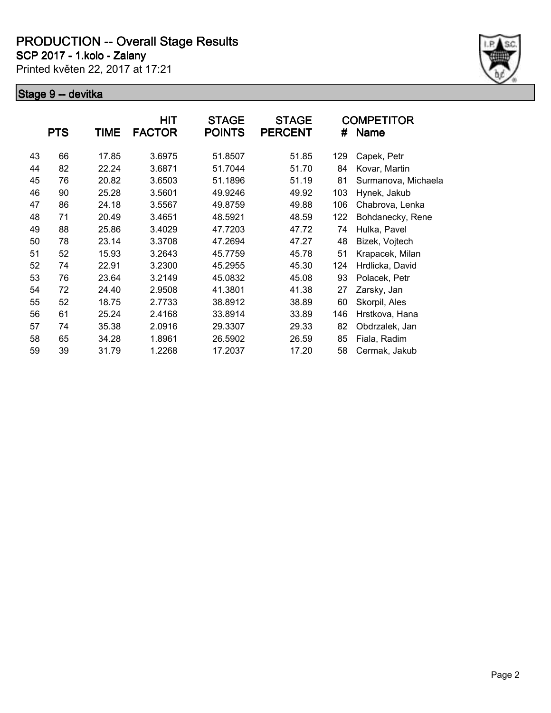**SCP 2017 - 1.kolo - Zalany**

Printed květen 22, 2017 at 17:21



|    | <b>PTS</b> | TIME  | HIT<br><b>FACTOR</b> | <b>STAGE</b><br><b>POINTS</b> | <b>STAGE</b><br><b>PERCENT</b> | #   | <b>COMPETITOR</b><br>Name |
|----|------------|-------|----------------------|-------------------------------|--------------------------------|-----|---------------------------|
| 43 | 66         | 17.85 | 3.6975               | 51.8507                       | 51.85                          | 129 | Capek, Petr               |
| 44 | 82         | 22.24 | 3.6871               | 51.7044                       | 51.70                          | 84  | Kovar, Martin             |
| 45 | 76         | 20.82 | 3.6503               | 51.1896                       | 51.19                          | 81  | Surmanova, Michaela       |
| 46 | 90         | 25.28 | 3.5601               | 49.9246                       | 49.92                          | 103 | Hynek, Jakub              |
| 47 | 86         | 24.18 | 3.5567               | 49.8759                       | 49.88                          | 106 | Chabrova, Lenka           |
| 48 | 71         | 20.49 | 3.4651               | 48.5921                       | 48.59                          | 122 | Bohdanecky, Rene          |
| 49 | 88         | 25.86 | 3.4029               | 47.7203                       | 47.72                          | 74  | Hulka, Pavel              |
| 50 | 78         | 23.14 | 3.3708               | 47.2694                       | 47.27                          | 48  | Bizek, Vojtech            |
| 51 | 52         | 15.93 | 3.2643               | 45.7759                       | 45.78                          | 51  | Krapacek, Milan           |
| 52 | 74         | 22.91 | 3.2300               | 45.2955                       | 45.30                          | 124 | Hrdlicka, David           |
| 53 | 76         | 23.64 | 3.2149               | 45.0832                       | 45.08                          | 93  | Polacek, Petr             |
| 54 | 72         | 24.40 | 2.9508               | 41.3801                       | 41.38                          | 27  | Zarsky, Jan               |
| 55 | 52         | 18.75 | 2.7733               | 38.8912                       | 38.89                          | 60  | Skorpil, Ales             |
| 56 | 61         | 25.24 | 2.4168               | 33.8914                       | 33.89                          | 146 | Hrstkova, Hana            |
| 57 | 74         | 35.38 | 2.0916               | 29.3307                       | 29.33                          | 82  | Obdrzalek, Jan            |
| 58 | 65         | 34.28 | 1.8961               | 26.5902                       | 26.59                          | 85  | Fiala, Radim              |
| 59 | 39         | 31.79 | 1.2268               | 17.2037                       | 17.20                          | 58  | Cermak, Jakub             |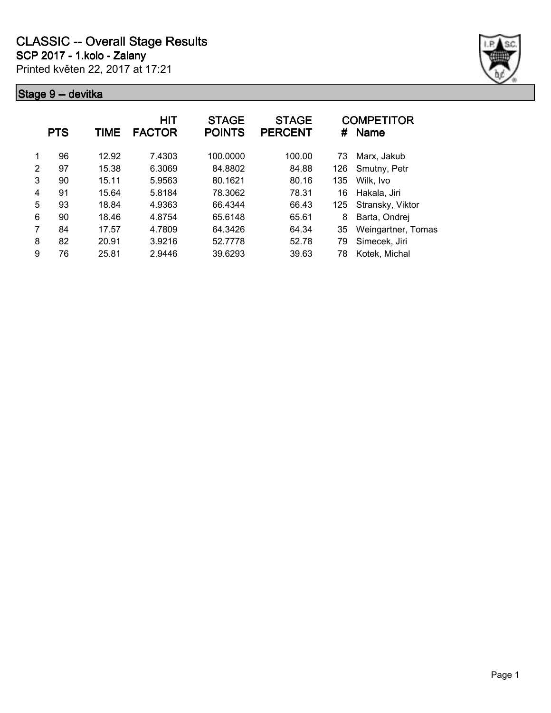

|   | <b>PTS</b> | <b>TIME</b> | <b>HIT</b><br><b>FACTOR</b> | <b>STAGE</b><br><b>POINTS</b> | <b>STAGE</b><br><b>PERCENT</b> | #   | <b>COMPETITOR</b><br><b>Name</b> |
|---|------------|-------------|-----------------------------|-------------------------------|--------------------------------|-----|----------------------------------|
| 1 | 96         | 12.92       | 7.4303                      | 100.0000                      | 100.00                         | 73  | Marx, Jakub                      |
| 2 | 97         | 15.38       | 6.3069                      | 84.8802                       | 84.88                          | 126 | Smutny, Petr                     |
| 3 | 90         | 15.11       | 5.9563                      | 80.1621                       | 80.16                          | 135 | Wilk, Ivo                        |
| 4 | 91         | 15.64       | 5.8184                      | 78.3062                       | 78.31                          | 16  | Hakala, Jiri                     |
| 5 | 93         | 18.84       | 4.9363                      | 66.4344                       | 66.43                          | 125 | Stransky, Viktor                 |
| 6 | 90         | 18.46       | 4.8754                      | 65.6148                       | 65.61                          | 8   | Barta, Ondrej                    |
| 7 | 84         | 17.57       | 4.7809                      | 64.3426                       | 64.34                          | 35  | Weingartner, Tomas               |
| 8 | 82         | 20.91       | 3.9216                      | 52.7778                       | 52.78                          | 79  | Simecek, Jiri                    |
| 9 | 76         | 25.81       | 2.9446                      | 39.6293                       | 39.63                          | 78  | Kotek, Michal                    |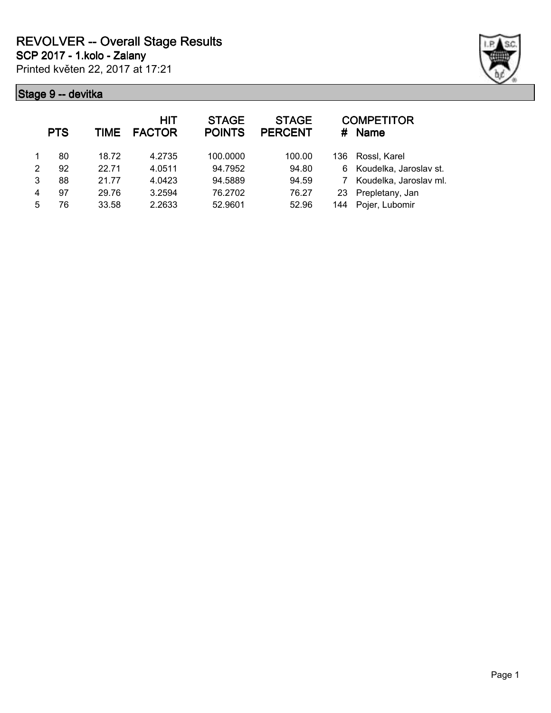

|               | <b>PTS</b> | <b>TIME</b> | <b>HIT</b><br><b>FACTOR</b> | <b>STAGE</b><br><b>POINTS</b> | <b>STAGE</b><br><b>PERCENT</b> | #    | <b>COMPETITOR</b><br><b>Name</b> |
|---------------|------------|-------------|-----------------------------|-------------------------------|--------------------------------|------|----------------------------------|
|               | 80         | 18.72       | 4.2735                      | 100.0000                      | 100.00                         | 136. | Rossl, Karel                     |
| $\mathcal{P}$ | 92         | 22.71       | 4.0511                      | 94.7952                       | 94.80                          | 6    | Koudelka, Jaroslav st.           |
| 3             | 88         | 21.77       | 4.0423                      | 94.5889                       | 94.59                          |      | Koudelka, Jaroslav ml.           |
| 4             | 97         | 29.76       | 3.2594                      | 76.2702                       | 76.27                          | 23   | Prepletany, Jan                  |
| 5             | 76         | 33.58       | 2.2633                      | 52.9601                       | 52.96                          | 144  | Pojer, Lubomir                   |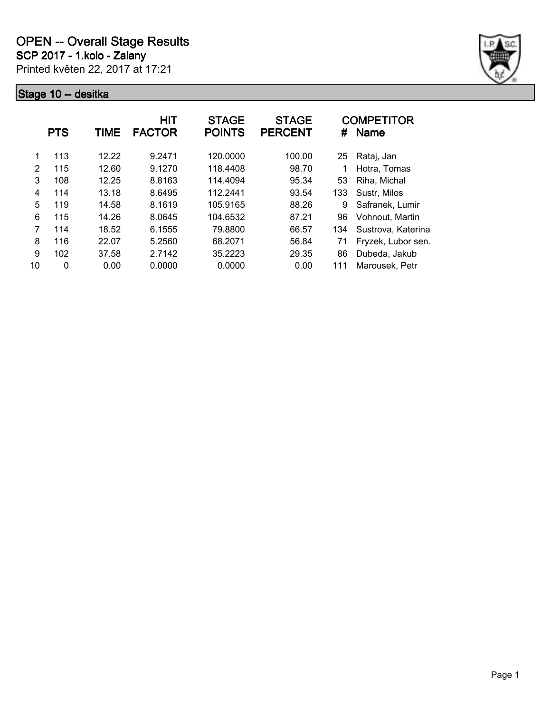

|    | <b>PTS</b> | TIME  | <b>HIT</b><br><b>FACTOR</b> | <b>STAGE</b><br><b>POINTS</b> | <b>STAGE</b><br><b>PERCENT</b> | #   | <b>COMPETITOR</b><br><b>Name</b> |
|----|------------|-------|-----------------------------|-------------------------------|--------------------------------|-----|----------------------------------|
| 1  | 113        | 12.22 | 9.2471                      | 120.0000                      | 100.00                         | 25  | Rataj, Jan                       |
| 2  | 115        | 12.60 | 9.1270                      | 118.4408                      | 98.70                          |     | Hotra, Tomas                     |
| 3  | 108        | 12.25 | 8.8163                      | 114.4094                      | 95.34                          | 53  | Riha, Michal                     |
| 4  | 114        | 13.18 | 8.6495                      | 112.2441                      | 93.54                          | 133 | Sustr, Milos                     |
| 5  | 119        | 14.58 | 8.1619                      | 105.9165                      | 88.26                          | 9   | Safranek, Lumir                  |
| 6  | 115        | 14.26 | 8.0645                      | 104.6532                      | 87.21                          | 96  | Vohnout, Martin                  |
| 7  | 114        | 18.52 | 6.1555                      | 79.8800                       | 66.57                          | 134 | Sustrova, Katerina               |
| 8  | 116        | 22.07 | 5.2560                      | 68.2071                       | 56.84                          | 71  | Fryzek, Lubor sen.               |
| 9  | 102        | 37.58 | 2.7142                      | 35.2223                       | 29.35                          | 86  | Dubeda, Jakub                    |
| 10 | 0          | 0.00  | 0.0000                      | 0.0000                        | 0.00                           | 111 | Marousek, Petr                   |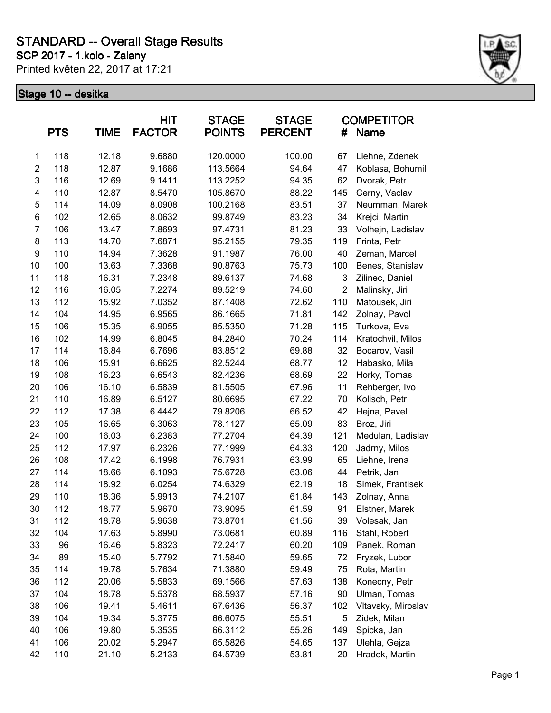**SCP 2017 - 1.kolo - Zalany**

Printed květen 22, 2017 at 17:21



|                  | <b>PTS</b> | <b>TIME</b> | HIT<br><b>FACTOR</b> | <b>STAGE</b><br><b>POINTS</b> | <b>STAGE</b><br><b>PERCENT</b> | #              | <b>COMPETITOR</b><br><b>Name</b> |
|------------------|------------|-------------|----------------------|-------------------------------|--------------------------------|----------------|----------------------------------|
| 1                | 118        | 12.18       | 9.6880               | 120.0000                      | 100.00                         | 67             | Liehne, Zdenek                   |
| $\overline{2}$   | 118        | 12.87       | 9.1686               | 113.5664                      | 94.64                          | 47             | Koblasa, Bohumil                 |
| 3                | 116        | 12.69       | 9.1411               | 113.2252                      | 94.35                          | 62             | Dvorak, Petr                     |
| 4                | 110        | 12.87       | 8.5470               | 105.8670                      | 88.22                          | 145            | Cerny, Vaclav                    |
| 5                | 114        | 14.09       | 8.0908               | 100.2168                      | 83.51                          | 37             | Neumman, Marek                   |
| 6                | 102        | 12.65       | 8.0632               | 99.8749                       | 83.23                          | 34             | Krejci, Martin                   |
| $\overline{7}$   | 106        | 13.47       | 7.8693               | 97.4731                       | 81.23                          | 33             | Volhejn, Ladislav                |
| 8                | 113        | 14.70       | 7.6871               | 95.2155                       | 79.35                          | 119            | Frinta, Petr                     |
| $\boldsymbol{9}$ | 110        | 14.94       | 7.3628               | 91.1987                       | 76.00                          | 40             | Zeman, Marcel                    |
| 10               | 100        | 13.63       | 7.3368               | 90.8763                       | 75.73                          | 100            | Benes, Stanislav                 |
| 11               | 118        | 16.31       | 7.2348               | 89.6137                       | 74.68                          | 3              | Zilinec, Daniel                  |
| 12               | 116        | 16.05       | 7.2274               | 89.5219                       | 74.60                          | $\overline{2}$ | Malinsky, Jiri                   |
| 13               | 112        | 15.92       | 7.0352               | 87.1408                       | 72.62                          | 110            | Matousek, Jiri                   |
| 14               | 104        | 14.95       | 6.9565               | 86.1665                       | 71.81                          | 142            | Zolnay, Pavol                    |
| 15               | 106        | 15.35       | 6.9055               | 85.5350                       | 71.28                          | 115            | Turkova, Eva                     |
| 16               | 102        | 14.99       | 6.8045               | 84.2840                       | 70.24                          | 114            | Kratochvil, Milos                |
| 17               | 114        | 16.84       | 6.7696               | 83.8512                       | 69.88                          | 32             | Bocarov, Vasil                   |
| 18               | 106        | 15.91       | 6.6625               | 82.5244                       | 68.77                          | 12             | Habasko, Mila                    |
| 19               | 108        | 16.23       | 6.6543               | 82.4236                       | 68.69                          | 22             | Horky, Tomas                     |
| 20               | 106        | 16.10       | 6.5839               | 81.5505                       | 67.96                          | 11             | Rehberger, Ivo                   |
| 21               | 110        | 16.89       | 6.5127               | 80.6695                       | 67.22                          | 70             | Kolisch, Petr                    |
| 22               | 112        | 17.38       | 6.4442               | 79.8206                       | 66.52                          | 42             | Hejna, Pavel                     |
| 23               | 105        | 16.65       | 6.3063               | 78.1127                       | 65.09                          | 83             | Broz, Jiri                       |
| 24               | 100        | 16.03       | 6.2383               | 77.2704                       | 64.39                          | 121            | Medulan, Ladislav                |
| 25               | 112        | 17.97       | 6.2326               | 77.1999                       | 64.33                          | 120            | Jadrny, Milos                    |
| 26               | 108        | 17.42       | 6.1998               | 76.7931                       | 63.99                          | 65             | Liehne, Irena                    |
| 27               | 114        | 18.66       | 6.1093               | 75.6728                       | 63.06                          | 44             | Petrik, Jan                      |
| 28               | 114        | 18.92       | 6.0254               | 74.6329                       | 62.19                          | 18             | Simek, Frantisek                 |
| 29               | 110        | 18.36       | 5.9913               | 74.2107                       | 61.84                          | 143            | Zolnay, Anna                     |
| 30               | 112        | 18.77       | 5.9670               | 73.9095                       | 61.59                          | 91             | Elstner, Marek                   |
| 31               | 112        | 18.78       | 5.9638               | 73.8701                       | 61.56                          | 39             | Volesak, Jan                     |
| 32               | 104        | 17.63       | 5.8990               | 73.0681                       | 60.89                          | 116            | Stahl, Robert                    |
| 33               | 96         | 16.46       | 5.8323               | 72.2417                       | 60.20                          | 109            | Panek, Roman                     |
| 34               | 89         | 15.40       | 5.7792               | 71.5840                       | 59.65                          | 72             | Fryzek, Lubor                    |
| 35               | 114        | 19.78       | 5.7634               | 71.3880                       | 59.49                          | 75             | Rota, Martin                     |
| 36               | 112        | 20.06       | 5.5833               | 69.1566                       | 57.63                          | 138            | Konecny, Petr                    |
| 37               | 104        | 18.78       | 5.5378               | 68.5937                       | 57.16                          | 90             | Ulman, Tomas                     |
| 38               | 106        | 19.41       | 5.4611               | 67.6436                       | 56.37                          | 102            | Vltavsky, Miroslav               |
| 39               | 104        | 19.34       | 5.3775               | 66.6075                       | 55.51                          | 5              | Zidek, Milan                     |
| 40               | 106        | 19.80       | 5.3535               | 66.3112                       | 55.26                          | 149            | Spicka, Jan                      |
| 41               | 106        | 20.02       | 5.2947               | 65.5826                       | 54.65                          | 137            | Ulehla, Gejza                    |
| 42               | 110        | 21.10       | 5.2133               | 64.5739                       | 53.81                          | 20             | Hradek, Martin                   |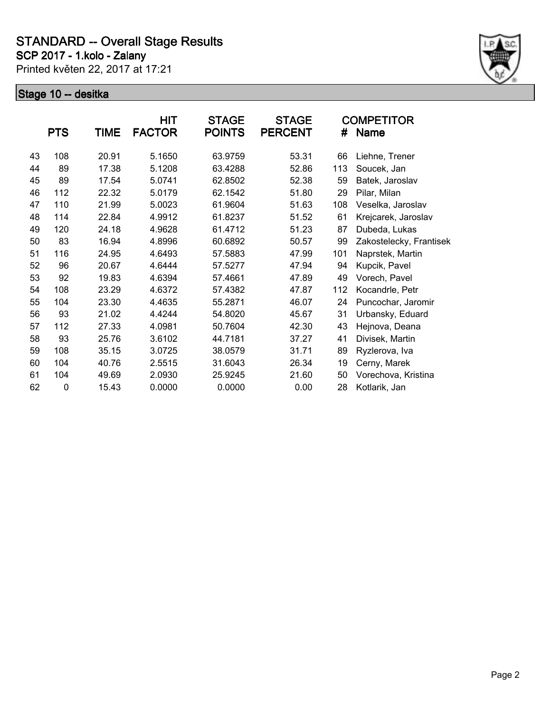**SCP 2017 - 1.kolo - Zalany**

Printed květen 22, 2017 at 17:21



|    | <b>PTS</b>  | TIME  | HIT<br><b>FACTOR</b> | <b>STAGE</b><br><b>POINTS</b> | <b>STAGE</b><br><b>PERCENT</b> | #   | <b>COMPETITOR</b><br><b>Name</b> |
|----|-------------|-------|----------------------|-------------------------------|--------------------------------|-----|----------------------------------|
| 43 | 108         | 20.91 | 5.1650               | 63.9759                       | 53.31                          | 66  | Liehne, Trener                   |
| 44 | 89          | 17.38 | 5.1208               | 63.4288                       | 52.86                          | 113 | Soucek, Jan                      |
| 45 | 89          | 17.54 | 5.0741               | 62.8502                       | 52.38                          | 59  | Batek, Jaroslav                  |
| 46 | 112         | 22.32 | 5.0179               | 62.1542                       | 51.80                          | 29  | Pilar, Milan                     |
| 47 | 110         | 21.99 | 5.0023               | 61.9604                       | 51.63                          | 108 | Veselka, Jaroslav                |
| 48 | 114         | 22.84 | 4.9912               | 61.8237                       | 51.52                          | 61  | Krejcarek, Jaroslav              |
| 49 | 120         | 24.18 | 4.9628               | 61.4712                       | 51.23                          | 87  | Dubeda, Lukas                    |
| 50 | 83          | 16.94 | 4.8996               | 60.6892                       | 50.57                          | 99  | Zakostelecky, Frantisek          |
| 51 | 116         | 24.95 | 4.6493               | 57.5883                       | 47.99                          | 101 | Naprstek, Martin                 |
| 52 | 96          | 20.67 | 4.6444               | 57.5277                       | 47.94                          | 94  | Kupcik, Pavel                    |
| 53 | 92          | 19.83 | 4.6394               | 57.4661                       | 47.89                          | 49  | Vorech, Pavel                    |
| 54 | 108         | 23.29 | 4.6372               | 57.4382                       | 47.87                          | 112 | Kocandrle, Petr                  |
| 55 | 104         | 23.30 | 4.4635               | 55.2871                       | 46.07                          | 24  | Puncochar, Jaromir               |
| 56 | 93          | 21.02 | 4.4244               | 54.8020                       | 45.67                          | 31  | Urbansky, Eduard                 |
| 57 | 112         | 27.33 | 4.0981               | 50.7604                       | 42.30                          | 43  | Hejnova, Deana                   |
| 58 | 93          | 25.76 | 3.6102               | 44.7181                       | 37.27                          | 41  | Divisek, Martin                  |
| 59 | 108         | 35.15 | 3.0725               | 38.0579                       | 31.71                          | 89  | Ryzlerova, Iva                   |
| 60 | 104         | 40.76 | 2.5515               | 31.6043                       | 26.34                          | 19  | Cerny, Marek                     |
| 61 | 104         | 49.69 | 2.0930               | 25.9245                       | 21.60                          | 50  | Vorechova, Kristina              |
| 62 | $\mathbf 0$ | 15.43 | 0.0000               | 0.0000                        | 0.00                           | 28  | Kotlarik, Jan                    |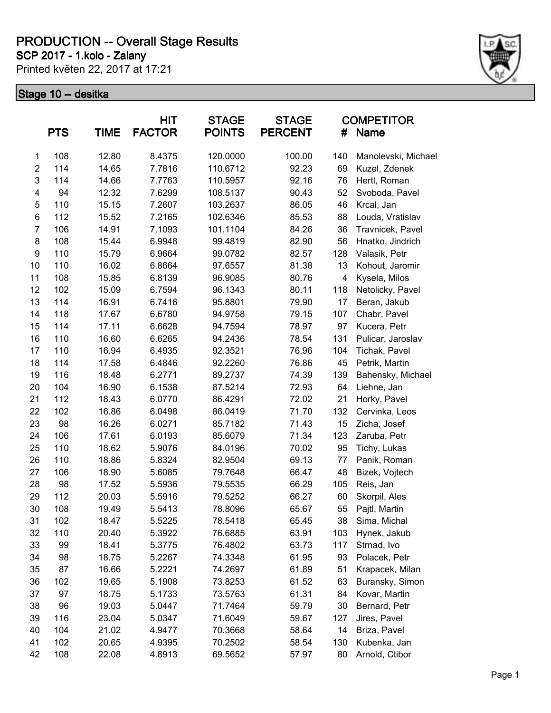**SCP 2017 - 1.kolo - Zalany**

Printed květen 22, 2017 at 17:21



|                         | <b>PTS</b> | TIME  | <b>HIT</b><br><b>FACTOR</b> | <b>STAGE</b><br><b>POINTS</b> | <b>STAGE</b><br><b>PERCENT</b> | #   | <b>COMPETITOR</b><br><b>Name</b> |
|-------------------------|------------|-------|-----------------------------|-------------------------------|--------------------------------|-----|----------------------------------|
| 1                       | 108        | 12.80 | 8.4375                      | 120.0000                      | 100.00                         | 140 | Manolevski, Michael              |
| $\overline{\mathbf{c}}$ | 114        | 14.65 | 7.7816                      | 110.6712                      | 92.23                          | 69  | Kuzel, Zdenek                    |
| 3                       | 114        | 14.66 | 7.7763                      | 110.5957                      | 92.16                          | 76  | Hertl, Roman                     |
| 4                       | 94         | 12.32 | 7.6299                      | 108.5137                      | 90.43                          | 52  | Svoboda, Pavel                   |
| 5                       | 110        | 15.15 | 7.2607                      | 103.2637                      | 86.05                          | 46  | Krcal, Jan                       |
| 6                       | 112        | 15.52 | 7.2165                      | 102.6346                      | 85.53                          | 88  | Louda, Vratislav                 |
| $\overline{7}$          | 106        | 14.91 | 7.1093                      | 101.1104                      | 84.26                          | 36  | Travnicek, Pavel                 |
| 8                       | 108        | 15.44 | 6.9948                      | 99.4819                       | 82.90                          | 56  | Hnatko, Jindrich                 |
| 9                       | 110        | 15.79 | 6.9664                      | 99.0782                       | 82.57                          | 128 | Valasik, Petr                    |
| 10                      | 110        | 16.02 | 6.8664                      | 97.6557                       | 81.38                          | 13  | Kohout, Jaromir                  |
| 11                      | 108        | 15.85 | 6.8139                      | 96.9085                       | 80.76                          | 4   | Kysela, Milos                    |
| 12                      | 102        | 15.09 | 6.7594                      | 96.1343                       | 80.11                          | 118 | Netolicky, Pavel                 |
| 13                      | 114        | 16.91 | 6.7416                      | 95.8801                       | 79.90                          | 17  | Beran, Jakub                     |
| 14                      | 118        | 17.67 | 6.6780                      | 94.9758                       | 79.15                          | 107 | Chabr, Pavel                     |
| 15                      | 114        | 17.11 | 6.6628                      | 94.7594                       | 78.97                          | 97  | Kucera, Petr                     |
| 16                      | 110        | 16.60 | 6.6265                      | 94.2436                       | 78.54                          | 131 | Pulicar, Jaroslav                |
| 17                      | 110        | 16.94 | 6.4935                      | 92.3521                       | 76.96                          | 104 | Tichak, Pavel                    |
| 18                      | 114        | 17.58 | 6.4846                      | 92.2260                       | 76.86                          | 45  | Petrik, Martin                   |
| 19                      | 116        | 18.48 | 6.2771                      | 89.2737                       | 74.39                          | 139 | Bahensky, Michael                |
| 20                      | 104        | 16.90 | 6.1538                      | 87.5214                       | 72.93                          | 64  | Liehne, Jan                      |
| 21                      | 112        | 18.43 | 6.0770                      | 86.4291                       | 72.02                          | 21  | Horky, Pavel                     |
| 22                      | 102        | 16.86 | 6.0498                      | 86.0419                       | 71.70                          | 132 | Cervinka, Leos                   |
| 23                      | 98         | 16.26 | 6.0271                      | 85.7182                       | 71.43                          | 15  | Zicha, Josef                     |
| 24                      | 106        | 17.61 | 6.0193                      | 85.6079                       | 71.34                          | 123 | Zaruba, Petr                     |
| 25                      | 110        | 18.62 | 5.9076                      | 84.0196                       | 70.02                          | 95  | Tichy, Lukas                     |
| 26                      | 110        | 18.86 | 5.8324                      | 82.9504                       | 69.13                          | 77  | Panik, Roman                     |
| 27                      | 106        | 18.90 | 5.6085                      | 79.7648                       | 66.47                          | 48  | Bizek, Vojtech                   |
| 28                      | 98         | 17.52 | 5.5936                      | 79.5535                       | 66.29                          | 105 | Reis, Jan                        |
| 29                      | 112        | 20.03 | 5.5916                      | 79.5252                       | 66.27                          | 60  | Skorpil, Ales                    |
| 30                      | 108        | 19.49 | 5.5413                      | 78.8096                       | 65.67                          | 55  | Pajtl, Martin                    |
| 31                      | 102        | 18.47 | 5.5225                      | 78.5418                       | 65.45                          | 38  | Sima, Michal                     |
| 32                      | 110        | 20.40 | 5.3922                      | 76.6885                       | 63.91                          | 103 | Hynek, Jakub                     |
| 33                      | 99         | 18.41 | 5.3775                      | 76.4802                       | 63.73                          | 117 | Strnad, Ivo                      |
| 34                      | 98         | 18.75 | 5.2267                      | 74.3348                       | 61.95                          | 93  | Polacek, Petr                    |
| 35                      | 87         | 16.66 | 5.2221                      | 74.2697                       | 61.89                          | 51  | Krapacek, Milan                  |
| 36                      | 102        | 19.65 | 5.1908                      | 73.8253                       | 61.52                          | 63  | Buransky, Simon                  |
| 37                      | 97         | 18.75 | 5.1733                      | 73.5763                       | 61.31                          | 84  | Kovar, Martin                    |
| 38                      | 96         | 19.03 | 5.0447                      | 71.7464                       | 59.79                          | 30  | Bernard, Petr                    |
| 39                      | 116        | 23.04 | 5.0347                      | 71.6049                       | 59.67                          | 127 | Jires, Pavel                     |
| 40                      | 104        | 21.02 | 4.9477                      | 70.3668                       | 58.64                          | 14  | Briza, Pavel                     |
| 41                      | 102        | 20.65 | 4.9395                      | 70.2502                       | 58.54                          | 130 | Kubenka, Jan                     |
| 42                      | 108        | 22.08 | 4.8913                      | 69.5652                       | 57.97                          | 80  | Arnold, Ctibor                   |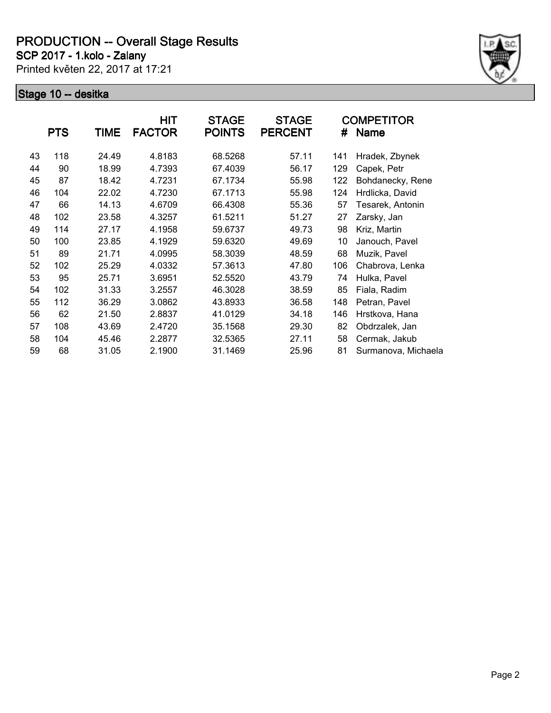**SCP 2017 - 1.kolo - Zalany**

Printed květen 22, 2017 at 17:21



|    | <b>PTS</b> | TIME  | HIT<br><b>FACTOR</b> | <b>STAGE</b><br><b>POINTS</b> | <b>STAGE</b><br><b>PERCENT</b> | #   | <b>COMPETITOR</b><br><b>Name</b> |
|----|------------|-------|----------------------|-------------------------------|--------------------------------|-----|----------------------------------|
| 43 | 118        | 24.49 | 4.8183               | 68.5268                       | 57.11                          | 141 | Hradek, Zbynek                   |
| 44 | 90         | 18.99 | 4.7393               | 67.4039                       | 56.17                          | 129 | Capek, Petr                      |
| 45 | 87         | 18.42 | 4.7231               | 67.1734                       | 55.98                          | 122 | Bohdanecky, Rene                 |
| 46 | 104        | 22.02 | 4.7230               | 67.1713                       | 55.98                          | 124 | Hrdlicka, David                  |
| 47 | 66         | 14.13 | 4.6709               | 66.4308                       | 55.36                          | 57  | Tesarek, Antonin                 |
| 48 | 102        | 23.58 | 4.3257               | 61.5211                       | 51.27                          | 27  | Zarsky, Jan                      |
| 49 | 114        | 27.17 | 4.1958               | 59.6737                       | 49.73                          | 98  | Kriz, Martin                     |
| 50 | 100        | 23.85 | 4.1929               | 59.6320                       | 49.69                          | 10  | Janouch, Pavel                   |
| 51 | 89         | 21.71 | 4.0995               | 58.3039                       | 48.59                          | 68  | Muzik, Pavel                     |
| 52 | 102        | 25.29 | 4.0332               | 57.3613                       | 47.80                          | 106 | Chabrova, Lenka                  |
| 53 | 95         | 25.71 | 3.6951               | 52.5520                       | 43.79                          | 74  | Hulka, Pavel                     |
| 54 | 102        | 31.33 | 3.2557               | 46.3028                       | 38.59                          | 85  | Fiala, Radim                     |
| 55 | 112        | 36.29 | 3.0862               | 43.8933                       | 36.58                          | 148 | Petran, Pavel                    |
| 56 | 62         | 21.50 | 2.8837               | 41.0129                       | 34.18                          | 146 | Hrstkova, Hana                   |
| 57 | 108        | 43.69 | 2.4720               | 35.1568                       | 29.30                          | 82  | Obdrzalek, Jan                   |
| 58 | 104        | 45.46 | 2.2877               | 32.5365                       | 27.11                          | 58  | Cermak, Jakub                    |
| 59 | 68         | 31.05 | 2.1900               | 31.1469                       | 25.96                          | 81  | Surmanova, Michaela              |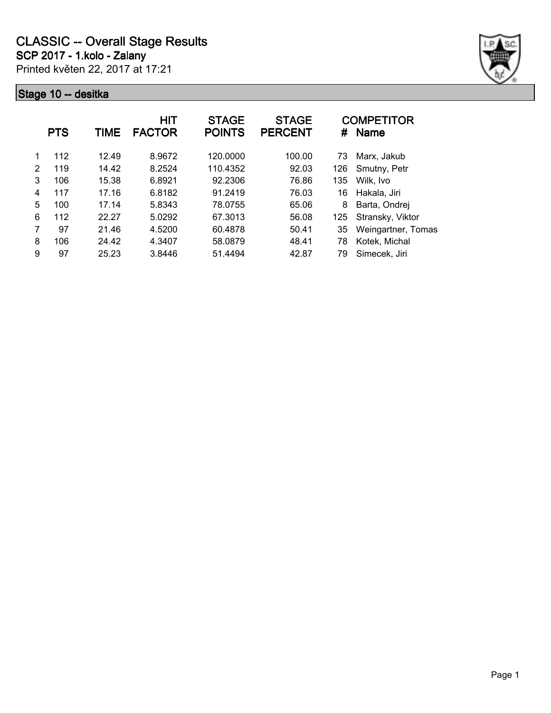Printed květen 22, 2017 at 17:21 **SCP 2017 - 1.kolo - Zalany**



|                | <b>PTS</b> | <b>TIME</b> | <b>HIT</b><br><b>FACTOR</b> | <b>STAGE</b><br><b>POINTS</b> | <b>STAGE</b><br><b>PERCENT</b> | #   | <b>COMPETITOR</b><br><b>Name</b> |
|----------------|------------|-------------|-----------------------------|-------------------------------|--------------------------------|-----|----------------------------------|
|                | 112        | 12.49       | 8.9672                      | 120.0000                      | 100.00                         | 73  | Marx, Jakub                      |
| $\mathfrak{p}$ | 119        | 14.42       | 8.2524                      | 110.4352                      | 92.03                          | 126 | Smutny, Petr                     |
| 3              | 106        | 15.38       | 6.8921                      | 92.2306                       | 76.86                          | 135 | Wilk, Ivo                        |
| 4              | 117        | 17.16       | 6.8182                      | 91.2419                       | 76.03                          | 16  | Hakala, Jiri                     |
| 5              | 100        | 17.14       | 5.8343                      | 78.0755                       | 65.06                          | 8   | Barta, Ondrej                    |
| 6              | 112        | 22.27       | 5.0292                      | 67.3013                       | 56.08                          | 125 | Stransky, Viktor                 |
| 7              | 97         | 21.46       | 4.5200                      | 60.4878                       | 50.41                          | 35  | Weingartner, Tomas               |
| 8              | 106        | 24.42       | 4.3407                      | 58.0879                       | 48.41                          | 78  | Kotek, Michal                    |
| 9              | 97         | 25.23       | 3.8446                      | 51.4494                       | 42.87                          | 79  | Simecek, Jiri                    |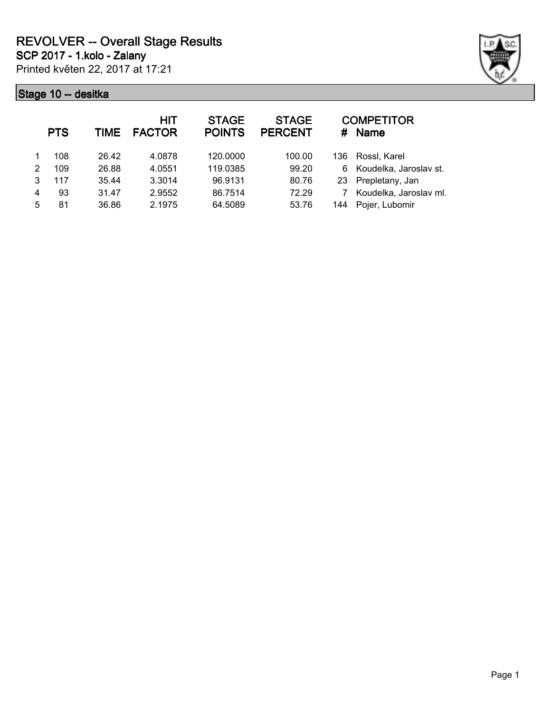Printed květen 22, 2017 at 17:21 **SCP 2017 - 1.kolo - Zalany**



| <b>HIT</b><br><b>FACTOR</b> | <b>STAGE</b><br><b>POINTS</b>                            | <b>STAGE</b><br><b>PERCENT</b> | #    | <b>COMPETITOR</b><br><b>Name</b> |
|-----------------------------|----------------------------------------------------------|--------------------------------|------|----------------------------------|
| 4.0878                      | 120.0000                                                 | 100.00                         | 136. | Rossl, Karel                     |
| 4.0551                      | 119.0385                                                 | 99.20                          | 6    | Koudelka, Jaroslav st.           |
| 3.3014                      | 96.9131                                                  | 80.76                          | -23  | Prepletany, Jan                  |
| 2.9552                      | 86.7514                                                  | 72.29                          |      | Koudelka, Jaroslav ml.           |
| 2.1975                      | 64.5089                                                  | 53.76                          | 144  | Pojer, Lubomir                   |
|                             | <b>TIME</b><br>26.42<br>26.88<br>35.44<br>31.47<br>36.86 |                                |      |                                  |